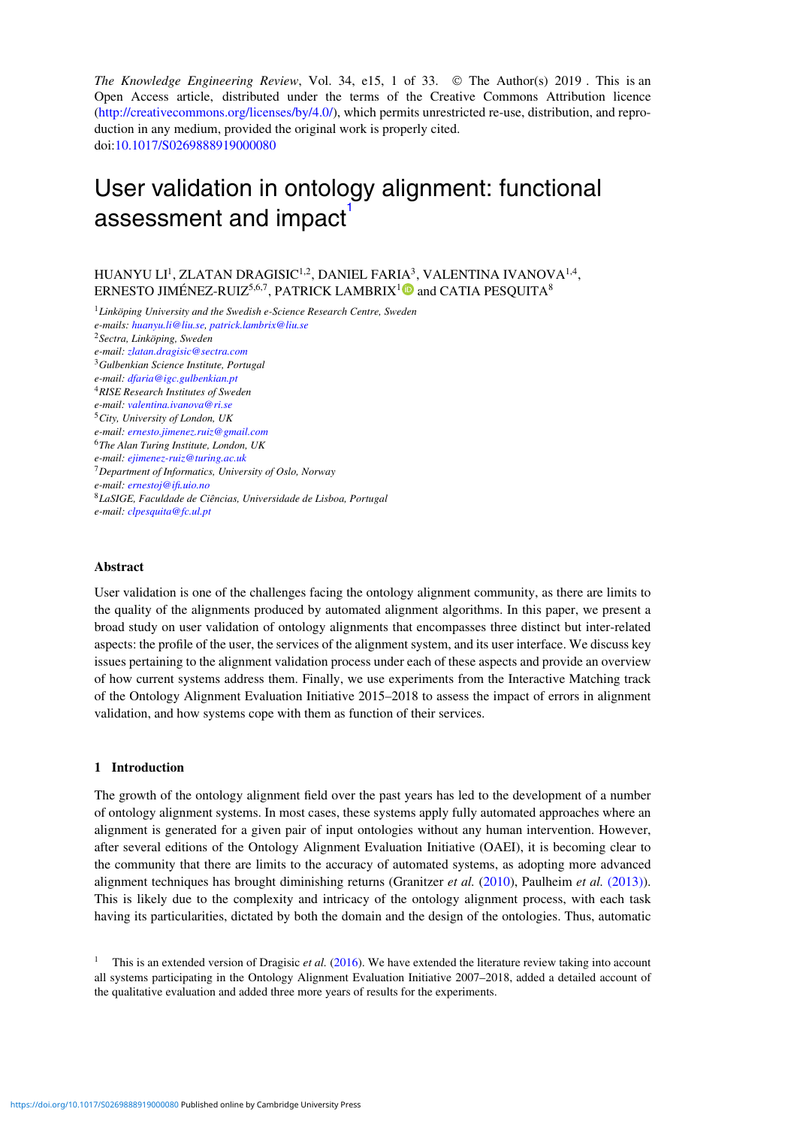*The Knowledge Engineering Review*, Vol. 34, e15, 1 of 33. © The Author(s) 2019 . This is an Open Access article, distributed under the terms of the Creative Commons Attribution licence [\(http://creativecommons.org/licenses/by/4.0/\)](http://creativecommons.org/licenses/by/4.0/), which permits unrestricted re-use, distribution, and reproduction in any medium, provided the original work is properly cited. doi[:10.1017/S0269888919000080](https://doi.org/10.1017/S0269888919000080)

# User validation in ontology alignment: functional assessment and impact

HUANYU LI<sup>1</sup>, ZLATAN DRAGISIC<sup>1,2</sup>, DANIEL FARIA<sup>3</sup>, VALENTINA IVANOVA<sup>1,4</sup>, ERNESTO JIMÉNEZ-RUIZ<sup>5,6,7</sup>, PATRICK LAMBRIX<sup>[1](https://orcid.org/0000-0002-9084-0470)</sup><sup>0</sup> and CATIA PESOUITA<sup>8</sup>

<sup>1</sup>*Linköping University and the Swedish e-Science Research Centre, Sweden e-mails: huanyu.li@liu.se, patrick.lambrix@liu.se* <sup>2</sup>*Sectra, Linköping, Sweden e-mail: zlatan.dragisic@sectra.com* <sup>3</sup>*Gulbenkian Science Institute, Portugal e-mail: dfaria@igc.gulbenkian.pt* <sup>4</sup>*RISE Research Institutes of Sweden e-mail: valentina.ivanova@ri.se* <sup>5</sup>*City, University of London, UK e-mail: ernesto.jimenez.ruiz@gmail.com* <sup>6</sup>*The Alan Turing Institute, London, UK e-mail: ejimenez-ruiz@turing.ac.uk* <sup>7</sup>*Department of Informatics, University of Oslo, Norway e-mail: ernestoj@ifi.uio.no* <sup>8</sup>*LaSIGE, Faculdade de Ciências, Universidade de Lisboa, Portugal e-mail: clpesquita@fc.ul.pt*

# **Abstract**

User validation is one of the challenges facing the ontology alignment community, as there are limits to the quality of the alignments produced by automated alignment algorithms. In this paper, we present a broad study on user validation of ontology alignments that encompasses three distinct but inter-related aspects: the profile of the user, the services of the alignment system, and its user interface. We discuss key issues pertaining to the alignment validation process under each of these aspects and provide an overview of how current systems address them. Finally, we use experiments from the Interactive Matching track of the Ontology Alignment Evaluation Initiative 2015–2018 to assess the impact of errors in alignment validation, and how systems cope with them as function of their services.

# <span id="page-0-1"></span>**1 Introduction**

The growth of the ontology alignment field over the past years has led to the development of a number of ontology alignment systems. In most cases, these systems apply fully automated approaches where an alignment is generated for a given pair of input ontologies without any human intervention. However, after several editions of the Ontology Alignment Evaluation Initiative (OAEI), it is becoming clear to the community that there are limits to the accuracy of automated systems, as adopting more advanced alignment techniques has brought diminishing returns (Granitzer *et al.* [\(2010\)](#page-29-0), Paulheim *et al.* [\(2013\)\)](#page-31-0). This is likely due to the complexity and intricacy of the ontology alignment process, with each task having its particularities, dictated by both the domain and the design of the ontologies. Thus, automatic

<span id="page-0-0"></span><sup>1</sup> This is an extended version of Dragisic *et al.* [\(2016\)](#page-29-1). We have extended the literature review taking into account all systems participating in the Ontology Alignment Evaluation Initiative 2007–2018, added a detailed account of the qualitative evaluation and added three more years of results for the experiments.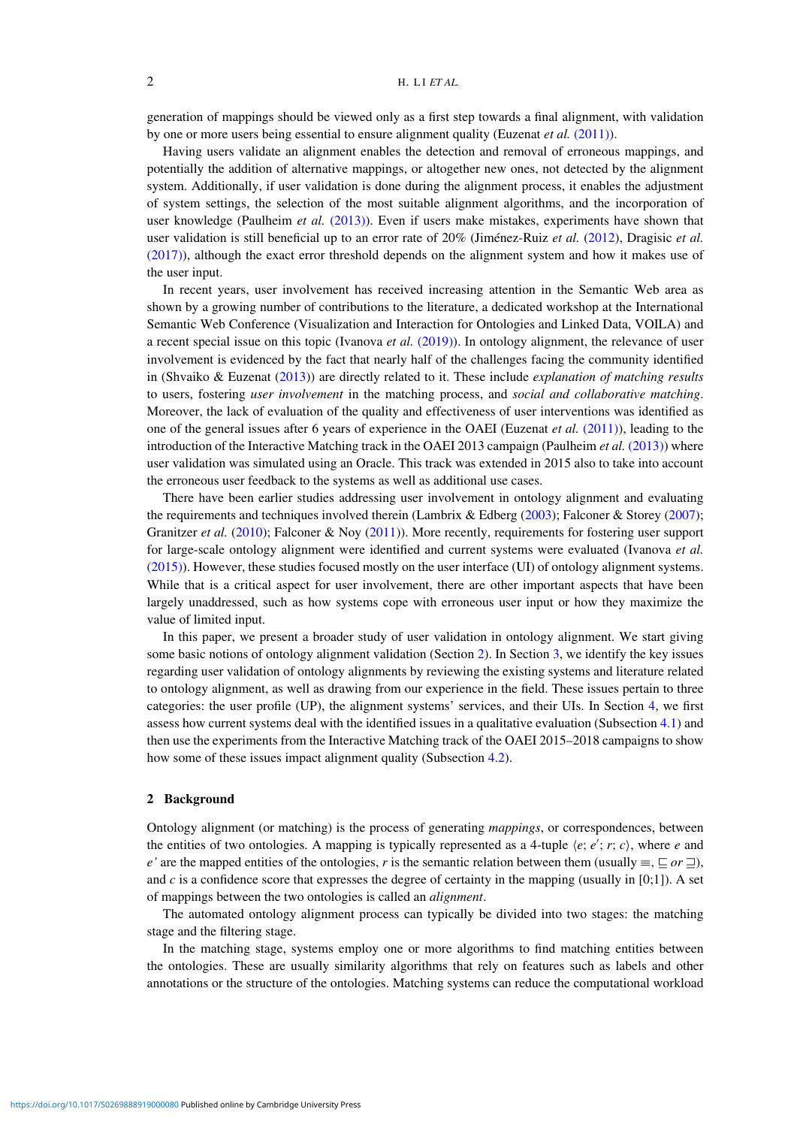generation of mappings should be viewed only as a first step towards a final alignment, with validation by one or more users being essential to ensure alignment quality (Euzenat *et al.* [\(2011\)\)](#page-29-2).

Having users validate an alignment enables the detection and removal of erroneous mappings, and potentially the addition of alternative mappings, or altogether new ones, not detected by the alignment system. Additionally, if user validation is done during the alignment process, it enables the adjustment of system settings, the selection of the most suitable alignment algorithms, and the incorporation of user knowledge (Paulheim *et al.* [\(2013\)\)](#page-31-0). Even if users make mistakes, experiments have shown that user validation is still beneficial up to an error rate of 20% (Jiménez-Ruiz *et al.* [\(2012\)](#page-30-0), Dragisic *et al.* [\(2017\)\)](#page-29-3), although the exact error threshold depends on the alignment system and how it makes use of the user input.

In recent years, user involvement has received increasing attention in the Semantic Web area as shown by a growing number of contributions to the literature, a dedicated workshop at the International Semantic Web Conference (Visualization and Interaction for Ontologies and Linked Data, VOILA) and a recent special issue on this topic (Ivanova *et al.* [\(2019\)\)](#page-30-1). In ontology alignment, the relevance of user involvement is evidenced by the fact that nearly half of the challenges facing the community identified in (Shvaiko & Euzenat [\(2013\)](#page-32-0)) are directly related to it. These include *explanation of matching results* to users, fostering *user involvement* in the matching process, and *social and collaborative matching*. Moreover, the lack of evaluation of the quality and effectiveness of user interventions was identified as one of the general issues after 6 years of experience in the OAEI (Euzenat *et al.* [\(2011\)\)](#page-29-2), leading to the introduction of the Interactive Matching track in the OAEI 2013 campaign (Paulheim *et al.* [\(2013\)\)](#page-31-0) where user validation was simulated using an Oracle. This track was extended in 2015 also to take into account the erroneous user feedback to the systems as well as additional use cases.

There have been earlier studies addressing user involvement in ontology alignment and evaluating the requirements and techniques involved therein (Lambrix & Edberg [\(2003\)](#page-31-1); Falconer & Storey [\(2007\)](#page-29-4); Granitzer *et al.* [\(2010\)](#page-29-0); Falconer & Noy [\(2011\)](#page-29-5)). More recently, requirements for fostering user support for large-scale ontology alignment were identified and current systems were evaluated (Ivanova *et al.* [\(2015\)\)](#page-30-2). However, these studies focused mostly on the user interface (UI) of ontology alignment systems. While that is a critical aspect for user involvement, there are other important aspects that have been largely unaddressed, such as how systems cope with erroneous user input or how they maximize the value of limited input.

In this paper, we present a broader study of user validation in ontology alignment. We start giving some basic notions of ontology alignment validation (Section [2\)](#page-1-0). In Section [3,](#page-3-0) we identify the key issues regarding user validation of ontology alignments by reviewing the existing systems and literature related to ontology alignment, as well as drawing from our experience in the field. These issues pertain to three categories: the user profile (UP), the alignment systems' services, and their UIs. In Section [4,](#page-8-0) we first assess how current systems deal with the identified issues in a qualitative evaluation (Subsection [4.1\)](#page-9-0) and then use the experiments from the Interactive Matching track of the OAEI 2015–2018 campaigns to show how some of these issues impact alignment quality (Subsection [4.2\)](#page-16-0).

## <span id="page-1-0"></span>**2 Background**

Ontology alignment (or matching) is the process of generating *mappings*, or correspondences, between the entities of two ontologies. A mapping is typically represented as a 4-tuple  $\langle e; e'; r; c \rangle$ , where *e* and *e'* are the mapped entities of the ontologies, *r* is the semantic relation between them (usually  $\equiv$ ,  $\Box$  *or*  $\Box$ ), and *c* is a confidence score that expresses the degree of certainty in the mapping (usually in [0;1]). A set of mappings between the two ontologies is called an *alignment*.

The automated ontology alignment process can typically be divided into two stages: the matching stage and the filtering stage.

In the matching stage, systems employ one or more algorithms to find matching entities between the ontologies. These are usually similarity algorithms that rely on features such as labels and other annotations or the structure of the ontologies. Matching systems can reduce the computational workload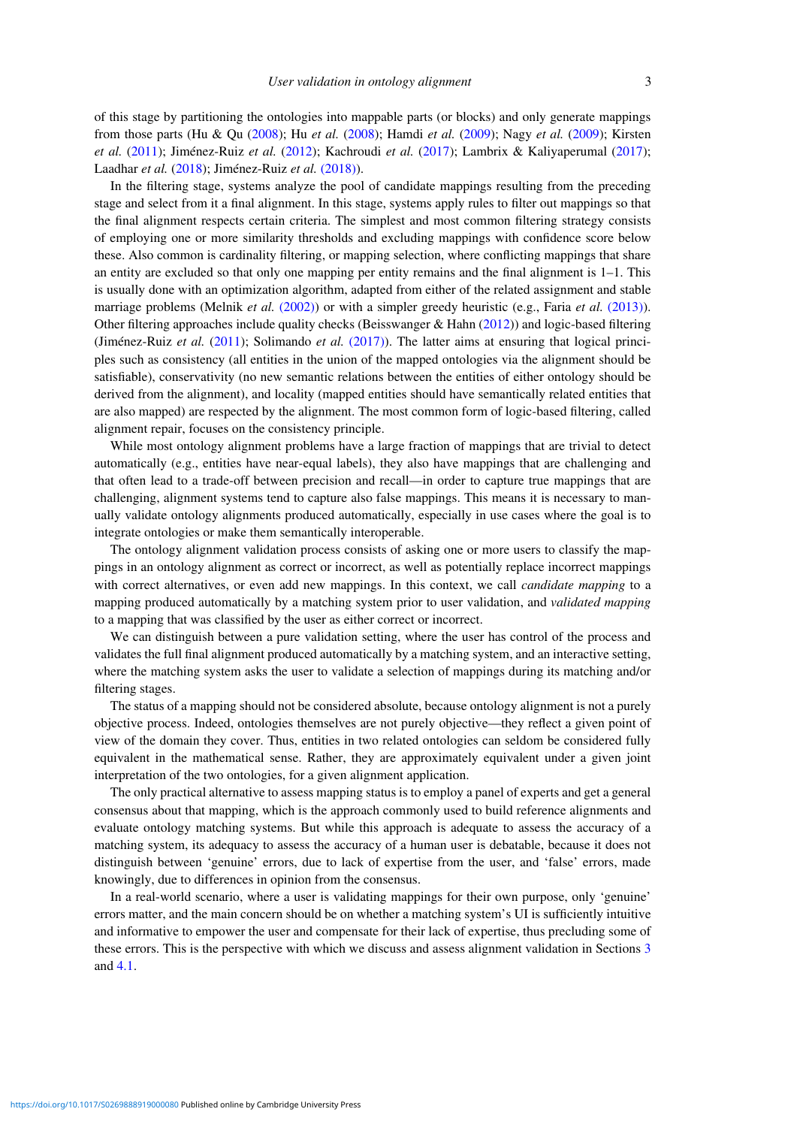of this stage by partitioning the ontologies into mappable parts (or blocks) and only generate mappings from those parts (Hu & Qu [\(2008\)](#page-30-3); Hu *et al.* [\(2008\)](#page-30-4); Hamdi *et al.* [\(2009\)](#page-30-5); Nagy *et al.* [\(2009\)](#page-31-2); Kirsten *et al.* [\(2011\)](#page-30-6); Jiménez-Ruiz *et al.* [\(2012\)](#page-30-0); Kachroudi *et al.* [\(2017\)](#page-30-7); Lambrix & Kaliyaperumal [\(2017\)](#page-31-3); Laadhar *et al.* [\(2018\)](#page-30-8); Jiménez-Ruiz *et al.* [\(2018\)\)](#page-30-9).

In the filtering stage, systems analyze the pool of candidate mappings resulting from the preceding stage and select from it a final alignment. In this stage, systems apply rules to filter out mappings so that the final alignment respects certain criteria. The simplest and most common filtering strategy consists of employing one or more similarity thresholds and excluding mappings with confidence score below these. Also common is cardinality filtering, or mapping selection, where conflicting mappings that share an entity are excluded so that only one mapping per entity remains and the final alignment is 1–1. This is usually done with an optimization algorithm, adapted from either of the related assignment and stable marriage problems (Melnik *et al.* [\(2002\)\)](#page-31-4) or with a simpler greedy heuristic (e.g., Faria *et al.* [\(2013\)\)](#page-29-6). Other filtering approaches include quality checks (Beisswanger & Hahn  $(2012)$ ) and logic-based filtering (Jiménez-Ruiz *et al.* [\(2011\)](#page-30-10); Solimando *et al.* [\(2017\)\)](#page-32-1). The latter aims at ensuring that logical principles such as consistency (all entities in the union of the mapped ontologies via the alignment should be satisfiable), conservativity (no new semantic relations between the entities of either ontology should be derived from the alignment), and locality (mapped entities should have semantically related entities that are also mapped) are respected by the alignment. The most common form of logic-based filtering, called alignment repair, focuses on the consistency principle.

While most ontology alignment problems have a large fraction of mappings that are trivial to detect automatically (e.g., entities have near-equal labels), they also have mappings that are challenging and that often lead to a trade-off between precision and recall—in order to capture true mappings that are challenging, alignment systems tend to capture also false mappings. This means it is necessary to manually validate ontology alignments produced automatically, especially in use cases where the goal is to integrate ontologies or make them semantically interoperable.

The ontology alignment validation process consists of asking one or more users to classify the mappings in an ontology alignment as correct or incorrect, as well as potentially replace incorrect mappings with correct alternatives, or even add new mappings. In this context, we call *candidate mapping* to a mapping produced automatically by a matching system prior to user validation, and *validated mapping* to a mapping that was classified by the user as either correct or incorrect.

We can distinguish between a pure validation setting, where the user has control of the process and validates the full final alignment produced automatically by a matching system, and an interactive setting, where the matching system asks the user to validate a selection of mappings during its matching and/or filtering stages.

The status of a mapping should not be considered absolute, because ontology alignment is not a purely objective process. Indeed, ontologies themselves are not purely objective—they reflect a given point of view of the domain they cover. Thus, entities in two related ontologies can seldom be considered fully equivalent in the mathematical sense. Rather, they are approximately equivalent under a given joint interpretation of the two ontologies, for a given alignment application.

The only practical alternative to assess mapping status is to employ a panel of experts and get a general consensus about that mapping, which is the approach commonly used to build reference alignments and evaluate ontology matching systems. But while this approach is adequate to assess the accuracy of a matching system, its adequacy to assess the accuracy of a human user is debatable, because it does not distinguish between 'genuine' errors, due to lack of expertise from the user, and 'false' errors, made knowingly, due to differences in opinion from the consensus.

In a real-world scenario, where a user is validating mappings for their own purpose, only 'genuine' errors matter, and the main concern should be on whether a matching system's UI is sufficiently intuitive and informative to empower the user and compensate for their lack of expertise, thus precluding some of these errors. This is the perspective with which we discuss and assess alignment validation in Sections [3](#page-3-0) and [4.1.](#page-9-0)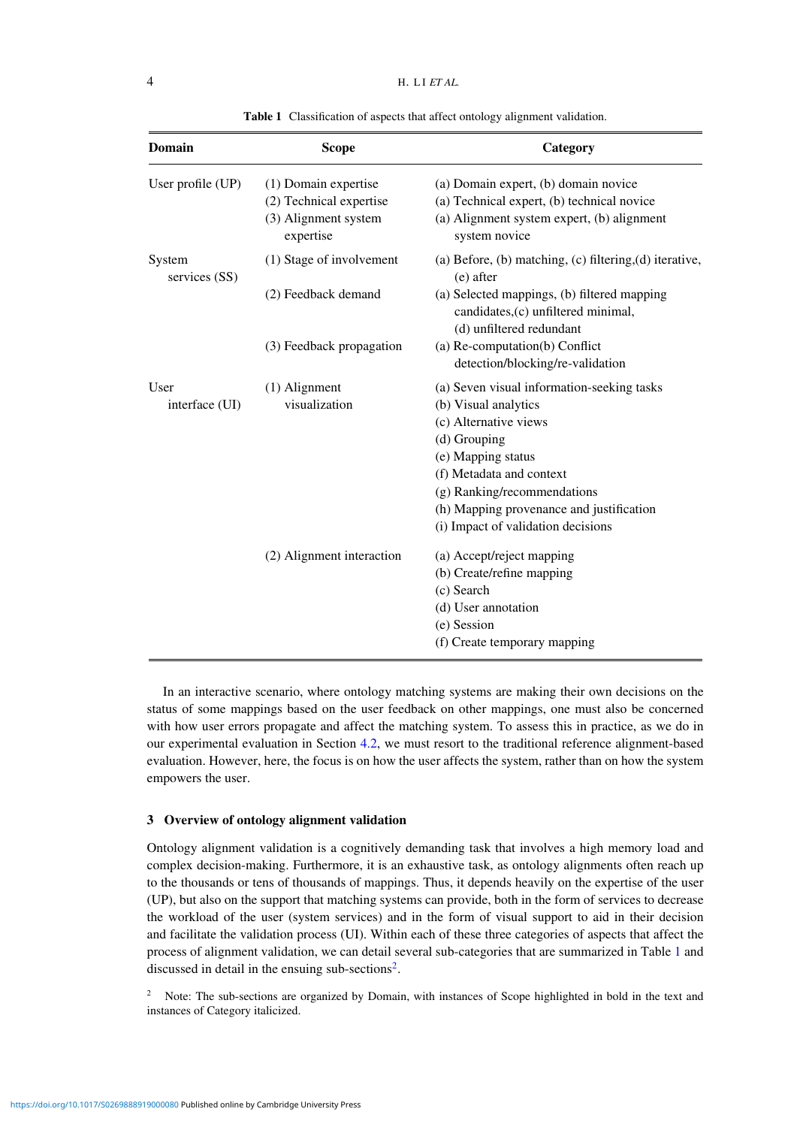<span id="page-3-1"></span>

| <b>Domain</b>           | <b>Scope</b>                                                                         | Category                                                                                                                                                                                                                                                                       |  |  |  |  |  |
|-------------------------|--------------------------------------------------------------------------------------|--------------------------------------------------------------------------------------------------------------------------------------------------------------------------------------------------------------------------------------------------------------------------------|--|--|--|--|--|
| User profile (UP)       | (1) Domain expertise<br>(2) Technical expertise<br>(3) Alignment system<br>expertise | (a) Domain expert, (b) domain novice<br>(a) Technical expert, (b) technical novice<br>(a) Alignment system expert, (b) alignment<br>system novice                                                                                                                              |  |  |  |  |  |
| System<br>services (SS) | (1) Stage of involvement                                                             | (a) Before, (b) matching, (c) filtering, (d) iterative,<br>(e) after                                                                                                                                                                                                           |  |  |  |  |  |
|                         | (2) Feedback demand                                                                  | (a) Selected mappings, (b) filtered mapping<br>candidates, (c) unfiltered minimal,<br>(d) unfiltered redundant                                                                                                                                                                 |  |  |  |  |  |
|                         | (3) Feedback propagation                                                             | (a) Re-computation(b) Conflict<br>detection/blocking/re-validation                                                                                                                                                                                                             |  |  |  |  |  |
| User<br>interface (UI)  | (1) Alignment<br>visualization                                                       | (a) Seven visual information-seeking tasks<br>(b) Visual analytics<br>(c) Alternative views<br>(d) Grouping<br>(e) Mapping status<br>(f) Metadata and context<br>(g) Ranking/recommendations<br>(h) Mapping provenance and justification<br>(i) Impact of validation decisions |  |  |  |  |  |
|                         | (2) Alignment interaction                                                            | (a) Accept/reject mapping<br>(b) Create/refine mapping<br>(c) Search<br>(d) User annotation<br>(e) Session<br>(f) Create temporary mapping                                                                                                                                     |  |  |  |  |  |

**Table 1** Classification of aspects that affect ontology alignment validation.

In an interactive scenario, where ontology matching systems are making their own decisions on the status of some mappings based on the user feedback on other mappings, one must also be concerned with how user errors propagate and affect the matching system. To assess this in practice, as we do in our experimental evaluation in Section [4.2,](#page-16-0) we must resort to the traditional reference alignment-based evaluation. However, here, the focus is on how the user affects the system, rather than on how the system empowers the user.

# <span id="page-3-0"></span>**3 Overview of ontology alignment validation**

Ontology alignment validation is a cognitively demanding task that involves a high memory load and complex decision-making. Furthermore, it is an exhaustive task, as ontology alignments often reach up to the thousands or tens of thousands of mappings. Thus, it depends heavily on the expertise of the user (UP), but also on the support that matching systems can provide, both in the form of services to decrease the workload of the user (system services) and in the form of visual support to aid in their decision and facilitate the validation process (UI). Within each of these three categories of aspects that affect the process of alignment validation, we can detail several sub-categories that are summarized in Table [1](#page-3-1) and discussed in detail in the ensuing sub-sections<sup>2</sup>.

<span id="page-3-3"></span><span id="page-3-2"></span><sup>2</sup> Note: The sub-sections are organized by Domain, with instances of Scope highlighted in bold in the text and instances of Category italicized.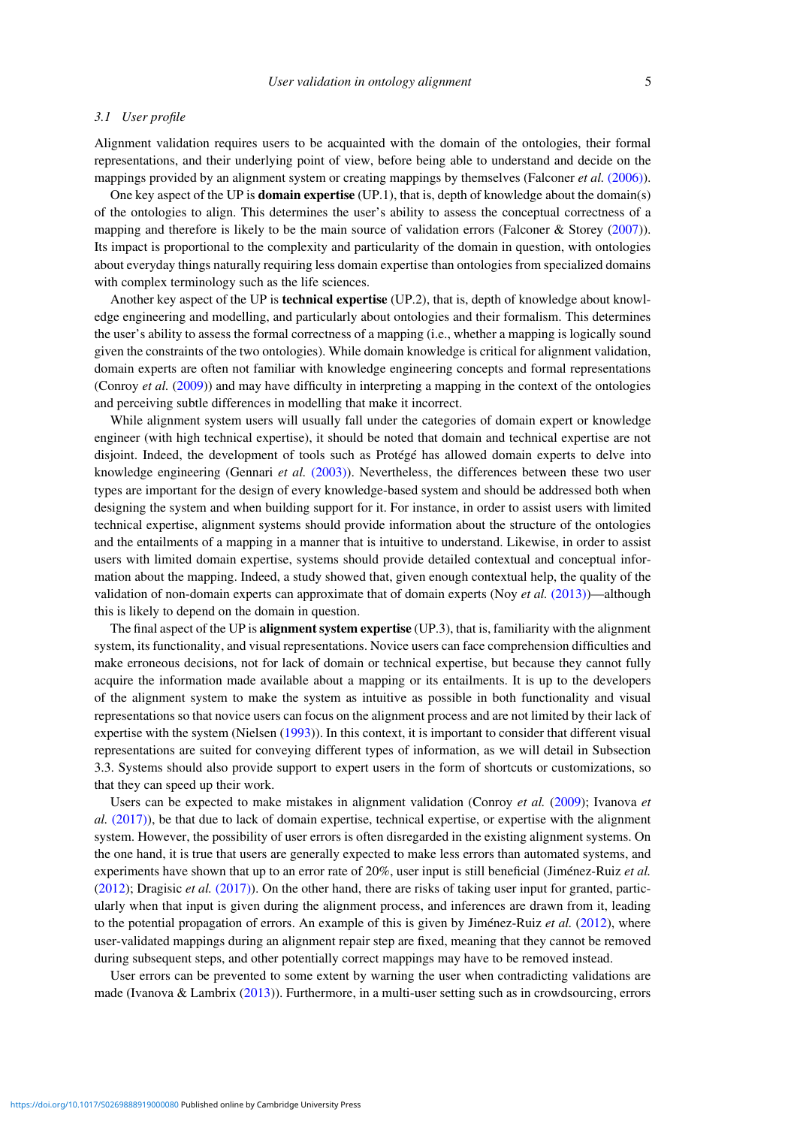# *3.1 User profile*

Alignment validation requires users to be acquainted with the domain of the ontologies, their formal representations, and their underlying point of view, before being able to understand and decide on the mappings provided by an alignment system or creating mappings by themselves (Falconer *et al.* [\(2006\)\)](#page-29-7).

One key aspect of the UP is **domain expertise** (UP.1), that is, depth of knowledge about the domain(s) of the ontologies to align. This determines the user's ability to assess the conceptual correctness of a mapping and therefore is likely to be the main source of validation errors (Falconer & Storey [\(2007\)](#page-29-4)). Its impact is proportional to the complexity and particularity of the domain in question, with ontologies about everyday things naturally requiring less domain expertise than ontologies from specialized domains with complex terminology such as the life sciences.

Another key aspect of the UP is **technical expertise** (UP.2), that is, depth of knowledge about knowledge engineering and modelling, and particularly about ontologies and their formalism. This determines the user's ability to assess the formal correctness of a mapping (i.e., whether a mapping is logically sound given the constraints of the two ontologies). While domain knowledge is critical for alignment validation, domain experts are often not familiar with knowledge engineering concepts and formal representations (Conroy *et al.* [\(2009\)](#page-28-1)) and may have difficulty in interpreting a mapping in the context of the ontologies and perceiving subtle differences in modelling that make it incorrect.

While alignment system users will usually fall under the categories of domain expert or knowledge engineer (with high technical expertise), it should be noted that domain and technical expertise are not disjoint. Indeed, the development of tools such as Protégé has allowed domain experts to delve into knowledge engineering (Gennari *et al.* [\(2003\)\)](#page-29-8). Nevertheless, the differences between these two user types are important for the design of every knowledge-based system and should be addressed both when designing the system and when building support for it. For instance, in order to assist users with limited technical expertise, alignment systems should provide information about the structure of the ontologies and the entailments of a mapping in a manner that is intuitive to understand. Likewise, in order to assist users with limited domain expertise, systems should provide detailed contextual and conceptual information about the mapping. Indeed, a study showed that, given enough contextual help, the quality of the validation of non-domain experts can approximate that of domain experts (Noy *et al.* [\(2013\)\)](#page-31-5)—although this is likely to depend on the domain in question.

The final aspect of the UP is **alignment system expertise** (UP.3), that is, familiarity with the alignment system, its functionality, and visual representations. Novice users can face comprehension difficulties and make erroneous decisions, not for lack of domain or technical expertise, but because they cannot fully acquire the information made available about a mapping or its entailments. It is up to the developers of the alignment system to make the system as intuitive as possible in both functionality and visual representations so that novice users can focus on the alignment process and are not limited by their lack of expertise with the system (Nielsen [\(1993\)](#page-31-6)). In this context, it is important to consider that different visual representations are suited for conveying different types of information, as we will detail in Subsection 3.3. Systems should also provide support to expert users in the form of shortcuts or customizations, so that they can speed up their work.

Users can be expected to make mistakes in alignment validation (Conroy *et al.* [\(2009\)](#page-28-1); Ivanova *et al.* [\(2017\)\)](#page-30-11), be that due to lack of domain expertise, technical expertise, or expertise with the alignment system. However, the possibility of user errors is often disregarded in the existing alignment systems. On the one hand, it is true that users are generally expected to make less errors than automated systems, and experiments have shown that up to an error rate of 20%, user input is still beneficial (Jiménez-Ruiz *et al.* [\(2012\)](#page-30-0); Dragisic *et al.* [\(2017\)\)](#page-29-3). On the other hand, there are risks of taking user input for granted, particularly when that input is given during the alignment process, and inferences are drawn from it, leading to the potential propagation of errors. An example of this is given by Jiménez-Ruiz *et al.* [\(2012\)](#page-30-0), where user-validated mappings during an alignment repair step are fixed, meaning that they cannot be removed during subsequent steps, and other potentially correct mappings may have to be removed instead.

User errors can be prevented to some extent by warning the user when contradicting validations are made (Ivanova & Lambrix  $(2013)$ ). Furthermore, in a multi-user setting such as in crowdsourcing, errors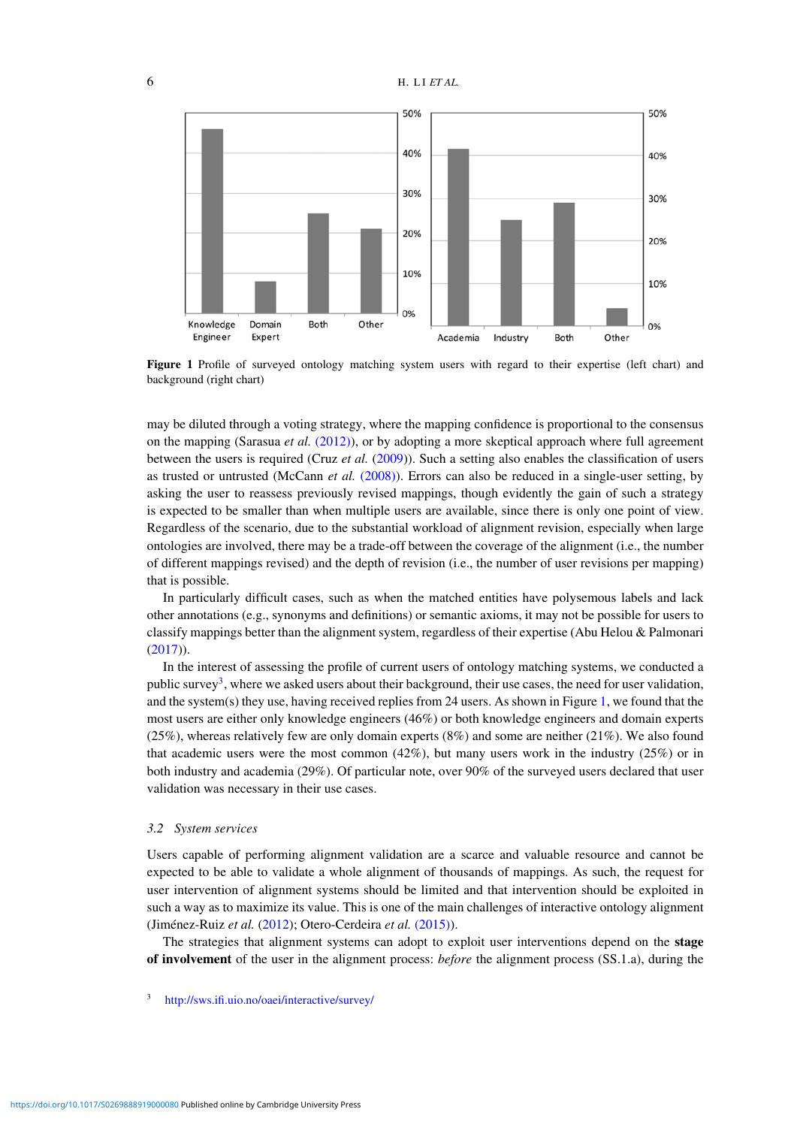<span id="page-5-1"></span>

**Figure 1** Profile of surveyed ontology matching system users with regard to their expertise (left chart) and background (right chart)

may be diluted through a voting strategy, where the mapping confidence is proportional to the consensus on the mapping (Sarasua *et al.* [\(2012\)\)](#page-32-2), or by adopting a more skeptical approach where full agreement between the users is required (Cruz *et al.* [\(2009\)](#page-28-2)). Such a setting also enables the classification of users as trusted or untrusted (McCann *et al.* [\(2008\)\)](#page-31-7). Errors can also be reduced in a single-user setting, by asking the user to reassess previously revised mappings, though evidently the gain of such a strategy is expected to be smaller than when multiple users are available, since there is only one point of view. Regardless of the scenario, due to the substantial workload of alignment revision, especially when large ontologies are involved, there may be a trade-off between the coverage of the alignment (i.e., the number of different mappings revised) and the depth of revision (i.e., the number of user revisions per mapping) that is possible.

In particularly difficult cases, such as when the matched entities have polysemous labels and lack other annotations (e.g., synonyms and definitions) or semantic axioms, it may not be possible for users to classify mappings better than the alignment system, regardless of their expertise (Abu Helou & Palmonari [\(2017\)](#page-28-3)).

In the interest of assessing the profile of current users of ontology matching systems, we conducted a public survey<sup>3</sup>, where we asked users about their background, their use cases, the need for user validation, and the system(s) they use, having received replies from 24 users. As shown in Figure [1,](#page-5-1) we found that the most users are either only knowledge engineers (46%) or both knowledge engineers and domain experts (25%), whereas relatively few are only domain experts (8%) and some are neither (21%). We also found that academic users were the most common (42%), but many users work in the industry (25%) or in both industry and academia (29%). Of particular note, over 90% of the surveyed users declared that user validation was necessary in their use cases.

# *3.2 System services*

Users capable of performing alignment validation are a scarce and valuable resource and cannot be expected to be able to validate a whole alignment of thousands of mappings. As such, the request for user intervention of alignment systems should be limited and that intervention should be exploited in such a way as to maximize its value. This is one of the main challenges of interactive ontology alignment (Jiménez-Ruiz *et al.* [\(2012\)](#page-30-0); Otero-Cerdeira *et al.* [\(2015\)\)](#page-31-8).

The strategies that alignment systems can adopt to exploit user interventions depend on the **stage of involvement** of the user in the alignment process: *before* the alignment process (SS.1.a), during the

<span id="page-5-0"></span><http://sws.ifi.uio.no/oaei/interactive/survey/>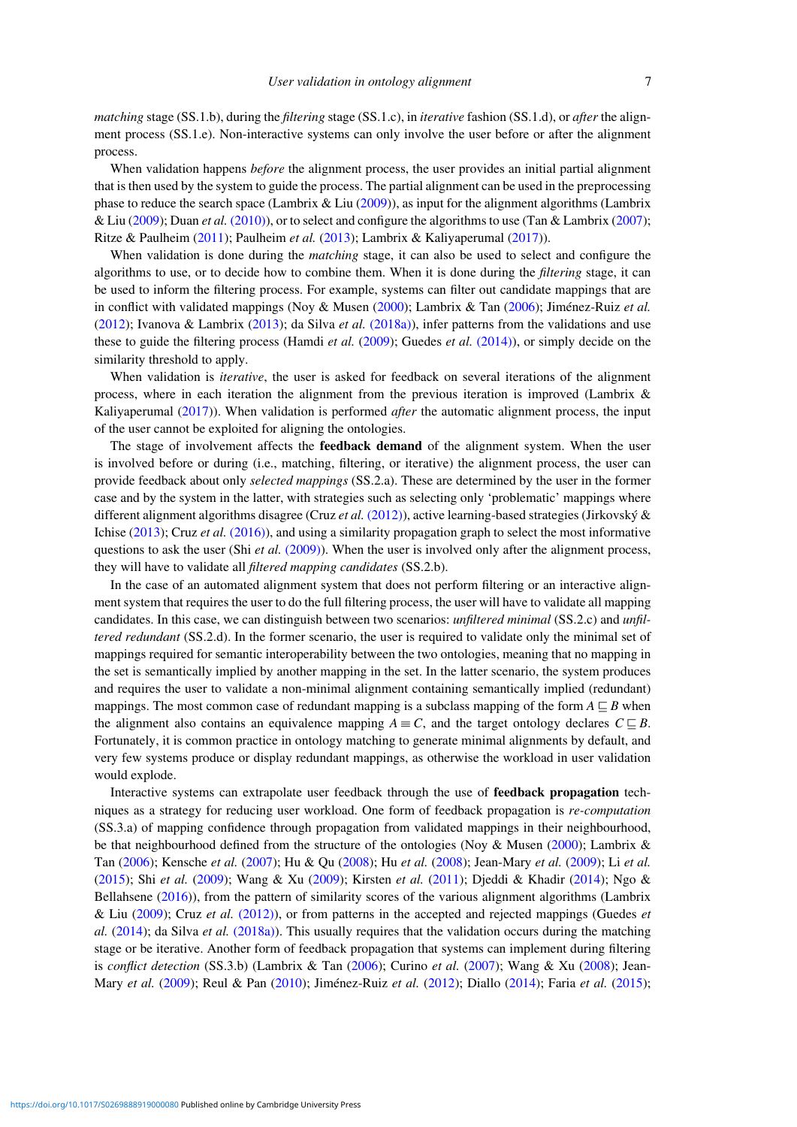*matching* stage (SS.1.b), during the *filtering* stage (SS.1.c), in *iterative* fashion (SS.1.d), or *after* the alignment process (SS.1.e). Non-interactive systems can only involve the user before or after the alignment process.

When validation happens *before* the alignment process, the user provides an initial partial alignment that is then used by the system to guide the process. The partial alignment can be used in the preprocessing phase to reduce the search space (Lambrix & Liu [\(2009\)](#page-31-9)), as input for the alignment algorithms (Lambrix & Liu [\(2009\)](#page-31-9); Duan *et al.* [\(2010\)\)](#page-29-9), or to select and configure the algorithms to use (Tan & Lambrix [\(2007\)](#page-32-3); Ritze & Paulheim [\(2011\)](#page-32-4); Paulheim *et al.* [\(2013\)](#page-31-0); Lambrix & Kaliyaperumal [\(2017\)](#page-31-3)).

When validation is done during the *matching* stage, it can also be used to select and configure the algorithms to use, or to decide how to combine them. When it is done during the *filtering* stage, it can be used to inform the filtering process. For example, systems can filter out candidate mappings that are in conflict with validated mappings (Noy & Musen [\(2000\)](#page-31-10); Lambrix & Tan [\(2006\)](#page-31-11); Jiménez-Ruiz *et al.* [\(2012\)](#page-30-0); Ivanova & Lambrix [\(2013\)](#page-30-12); da Silva *et al.* [\(2018a\)\)](#page-29-10), infer patterns from the validations and use these to guide the filtering process (Hamdi *et al.* [\(2009\)](#page-30-5); Guedes *et al.* [\(2014\)\)](#page-30-13), or simply decide on the similarity threshold to apply.

When validation is *iterative*, the user is asked for feedback on several iterations of the alignment process, where in each iteration the alignment from the previous iteration is improved (Lambrix & Kaliyaperumal [\(2017\)](#page-31-3)). When validation is performed *after* the automatic alignment process, the input of the user cannot be exploited for aligning the ontologies.

The stage of involvement affects the **feedback demand** of the alignment system. When the user is involved before or during (i.e., matching, filtering, or iterative) the alignment process, the user can provide feedback about only *selected mappings* (SS.2.a). These are determined by the user in the former case and by the system in the latter, with strategies such as selecting only 'problematic' mappings where different alignment algorithms disagree (Cruz *et al.* [\(2012\)\)](#page-29-11), active learning-based strategies (Jirkovský & Ichise [\(2013\)](#page-30-14); Cruz *et al.* [\(2016\)\)](#page-28-4), and using a similarity propagation graph to select the most informative questions to ask the user (Shi *et al.* [\(2009\)\)](#page-32-5). When the user is involved only after the alignment process, they will have to validate all *filtered mapping candidates* (SS.2.b).

In the case of an automated alignment system that does not perform filtering or an interactive alignment system that requires the user to do the full filtering process, the user will have to validate all mapping candidates. In this case, we can distinguish between two scenarios: *unfiltered minimal* (SS.2.c) and *unfiltered redundant* (SS.2.d). In the former scenario, the user is required to validate only the minimal set of mappings required for semantic interoperability between the two ontologies, meaning that no mapping in the set is semantically implied by another mapping in the set. In the latter scenario, the system produces and requires the user to validate a non-minimal alignment containing semantically implied (redundant) mappings. The most common case of redundant mapping is a subclass mapping of the form  $A \sqsubseteq B$  when the alignment also contains an equivalence mapping  $A \equiv C$ , and the target ontology declares  $C \sqsubseteq B$ . Fortunately, it is common practice in ontology matching to generate minimal alignments by default, and very few systems produce or display redundant mappings, as otherwise the workload in user validation would explode.

Interactive systems can extrapolate user feedback through the use of **feedback propagation** techniques as a strategy for reducing user workload. One form of feedback propagation is *re-computation* (SS.3.a) of mapping confidence through propagation from validated mappings in their neighbourhood, be that neighbourhood defined from the structure of the ontologies (Noy & Musen [\(2000\)](#page-31-10); Lambrix & Tan [\(2006\)](#page-31-11); Kensche *et al.* [\(2007\)](#page-30-15); Hu & Qu [\(2008\)](#page-30-3); Hu *et al.* [\(2008\)](#page-30-4); Jean-Mary *et al.* [\(2009\)](#page-30-16); Li *et al.* [\(2015\)](#page-31-12); Shi *et al.* [\(2009\)](#page-32-5); Wang & Xu [\(2009\)](#page-32-6); Kirsten *et al.* [\(2011\)](#page-30-6); Djeddi & Khadir [\(2014\)](#page-29-12); Ngo & Bellahsene [\(2016\)](#page-31-13)), from the pattern of similarity scores of the various alignment algorithms (Lambrix & Liu [\(2009\)](#page-31-9); Cruz *et al.* [\(2012\)\)](#page-29-11), or from patterns in the accepted and rejected mappings (Guedes *et al.* [\(2014\)](#page-30-13); da Silva *et al.* [\(2018a\)\)](#page-29-10). This usually requires that the validation occurs during the matching stage or be iterative. Another form of feedback propagation that systems can implement during filtering is *conflict detection* (SS.3.b) (Lambrix & Tan [\(2006\)](#page-31-11); Curino *et al.* [\(2007\)](#page-29-13); Wang & Xu [\(2008\)](#page-32-7); Jean-Mary *et al.* [\(2009\)](#page-30-16); Reul & Pan [\(2010\)](#page-31-14); Jiménez-Ruiz *et al.* [\(2012\)](#page-30-0); Diallo [\(2014\)](#page-29-14); Faria *et al.* [\(2015\)](#page-29-15);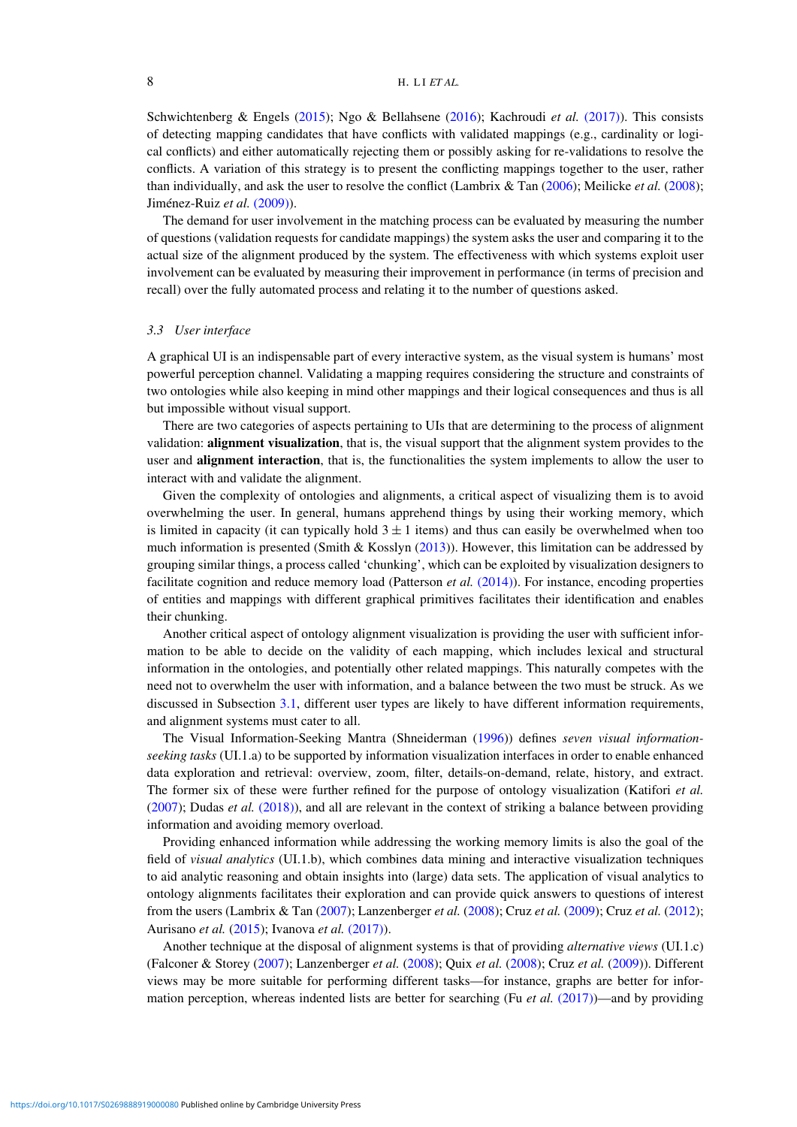Schwichtenberg & Engels [\(2015\)](#page-32-8); Ngo & Bellahsene [\(2016\)](#page-31-13); Kachroudi *et al.* [\(2017\)\)](#page-30-7). This consists of detecting mapping candidates that have conflicts with validated mappings (e.g., cardinality or logical conflicts) and either automatically rejecting them or possibly asking for re-validations to resolve the conflicts. A variation of this strategy is to present the conflicting mappings together to the user, rather than individually, and ask the user to resolve the conflict (Lambrix & Tan [\(2006\)](#page-31-11); Meilicke *et al.* [\(2008\)](#page-31-15); Jiménez-Ruiz *et al.* [\(2009\)\)](#page-30-17).

The demand for user involvement in the matching process can be evaluated by measuring the number of questions (validation requests for candidate mappings) the system asks the user and comparing it to the actual size of the alignment produced by the system. The effectiveness with which systems exploit user involvement can be evaluated by measuring their improvement in performance (in terms of precision and recall) over the fully automated process and relating it to the number of questions asked.

# *3.3 User interface*

A graphical UI is an indispensable part of every interactive system, as the visual system is humans' most powerful perception channel. Validating a mapping requires considering the structure and constraints of two ontologies while also keeping in mind other mappings and their logical consequences and thus is all but impossible without visual support.

There are two categories of aspects pertaining to UIs that are determining to the process of alignment validation: **alignment visualization**, that is, the visual support that the alignment system provides to the user and **alignment interaction**, that is, the functionalities the system implements to allow the user to interact with and validate the alignment.

Given the complexity of ontologies and alignments, a critical aspect of visualizing them is to avoid overwhelming the user. In general, humans apprehend things by using their working memory, which is limited in capacity (it can typically hold  $3 \pm 1$  items) and thus can easily be overwhelmed when too much information is presented (Smith & Kosslyn [\(2013\)](#page-32-9)). However, this limitation can be addressed by grouping similar things, a process called 'chunking', which can be exploited by visualization designers to facilitate cognition and reduce memory load (Patterson *et al.* [\(2014\)\)](#page-31-16). For instance, encoding properties of entities and mappings with different graphical primitives facilitates their identification and enables their chunking.

Another critical aspect of ontology alignment visualization is providing the user with sufficient information to be able to decide on the validity of each mapping, which includes lexical and structural information in the ontologies, and potentially other related mappings. This naturally competes with the need not to overwhelm the user with information, and a balance between the two must be struck. As we discussed in Subsection [3.1,](#page-3-3) different user types are likely to have different information requirements, and alignment systems must cater to all.

The Visual Information-Seeking Mantra (Shneiderman [\(1996\)](#page-32-10)) defines *seven visual informationseeking tasks* (UI.1.a) to be supported by information visualization interfaces in order to enable enhanced data exploration and retrieval: overview, zoom, filter, details-on-demand, relate, history, and extract. The former six of these were further refined for the purpose of ontology visualization (Katifori *et al.* [\(2007\)](#page-30-18); Dudas *et al.* [\(2018\)\)](#page-29-16), and all are relevant in the context of striking a balance between providing information and avoiding memory overload.

Providing enhanced information while addressing the working memory limits is also the goal of the field of *visual analytics* (UI.1.b), which combines data mining and interactive visualization techniques to aid analytic reasoning and obtain insights into (large) data sets. The application of visual analytics to ontology alignments facilitates their exploration and can provide quick answers to questions of interest from the users (Lambrix & Tan [\(2007\)](#page-31-17); Lanzenberger *et al.* [\(2008\)](#page-31-18); Cruz *et al.* [\(2009\)](#page-28-2); Cruz *et al.* [\(2012\)](#page-29-11); Aurisano *et al.* [\(2015\)](#page-28-5); Ivanova *et al.* [\(2017\)\)](#page-30-11).

Another technique at the disposal of alignment systems is that of providing *alternative views* (UI.1.c) (Falconer & Storey [\(2007\)](#page-29-4); Lanzenberger *et al.* [\(2008\)](#page-31-18); Quix *et al.* [\(2008\)](#page-31-19); Cruz *et al.* [\(2009\)](#page-28-2)). Different views may be more suitable for performing different tasks—for instance, graphs are better for information perception, whereas indented lists are better for searching (Fu *et al.* [\(2017\)\)](#page-29-17)—and by providing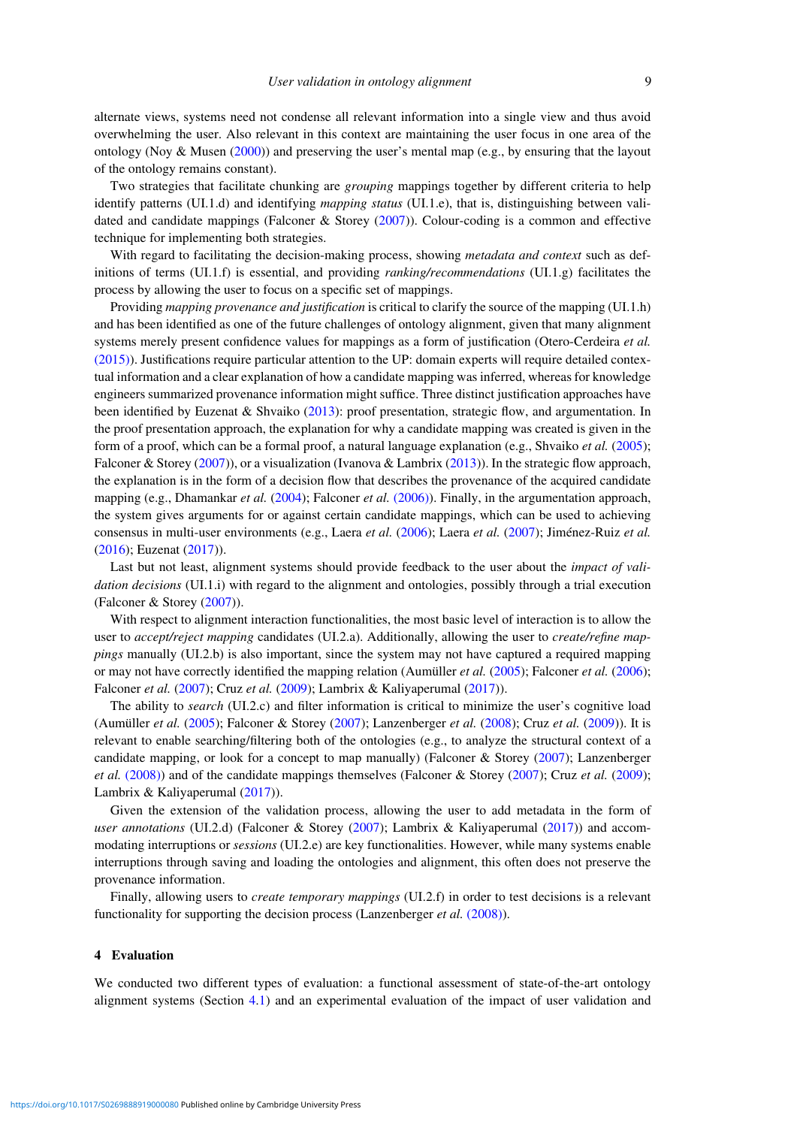alternate views, systems need not condense all relevant information into a single view and thus avoid overwhelming the user. Also relevant in this context are maintaining the user focus in one area of the ontology (Noy & Musen [\(2000\)](#page-31-10)) and preserving the user's mental map (e.g., by ensuring that the layout of the ontology remains constant).

Two strategies that facilitate chunking are *grouping* mappings together by different criteria to help identify patterns (UI.1.d) and identifying *mapping status* (UI.1.e), that is, distinguishing between validated and candidate mappings (Falconer & Storey [\(2007\)](#page-29-4)). Colour-coding is a common and effective technique for implementing both strategies.

With regard to facilitating the decision-making process, showing *metadata and context* such as definitions of terms (UI.1.f) is essential, and providing *ranking/recommendations* (UI.1.g) facilitates the process by allowing the user to focus on a specific set of mappings.

Providing *mapping provenance and justification* is critical to clarify the source of the mapping (UI.1.h) and has been identified as one of the future challenges of ontology alignment, given that many alignment systems merely present confidence values for mappings as a form of justification (Otero-Cerdeira *et al.* [\(2015\)\)](#page-31-8). Justifications require particular attention to the UP: domain experts will require detailed contextual information and a clear explanation of how a candidate mapping was inferred, whereas for knowledge engineers summarized provenance information might suffice. Three distinct justification approaches have been identified by Euzenat & Shvaiko [\(2013\)](#page-29-18): proof presentation, strategic flow, and argumentation. In the proof presentation approach, the explanation for why a candidate mapping was created is given in the form of a proof, which can be a formal proof, a natural language explanation (e.g., Shvaiko *et al.* [\(2005\)](#page-32-11); Falconer & Storey [\(2007\)](#page-29-4)), or a visualization (Ivanova & Lambrix [\(2013\)](#page-30-12)). In the strategic flow approach, the explanation is in the form of a decision flow that describes the provenance of the acquired candidate mapping (e.g., Dhamankar *et al.* [\(2004\)](#page-29-19); Falconer *et al.* [\(2006\)\)](#page-29-7). Finally, in the argumentation approach, the system gives arguments for or against certain candidate mappings, which can be used to achieving consensus in multi-user environments (e.g., Laera *et al.* [\(2006\)](#page-30-19); Laera *et al.* [\(2007\)](#page-31-20); Jiménez-Ruiz *et al.* [\(2016\)](#page-30-20); Euzenat [\(2017\)](#page-29-20)).

Last but not least, alignment systems should provide feedback to the user about the *impact of validation decisions* (UI.1.i) with regard to the alignment and ontologies, possibly through a trial execution (Falconer & Storey [\(2007\)](#page-29-4)).

With respect to alignment interaction functionalities, the most basic level of interaction is to allow the user to *accept/reject mapping* candidates (UI.2.a). Additionally, allowing the user to *create/refine mappings* manually (UI.2.b) is also important, since the system may not have captured a required mapping or may not have correctly identified the mapping relation (Aumüller *et al.* [\(2005\)](#page-28-6); Falconer *et al.* [\(2006\)](#page-29-7); Falconer *et al.* [\(2007\)](#page-29-21); Cruz *et al.* [\(2009\)](#page-28-2); Lambrix & Kaliyaperumal [\(2017\)](#page-31-3)).

The ability to *search* (UI.2.c) and filter information is critical to minimize the user's cognitive load (Aumüller *et al.* [\(2005\)](#page-28-6); Falconer & Storey [\(2007\)](#page-29-4); Lanzenberger *et al.* [\(2008\)](#page-31-18); Cruz *et al.* [\(2009\)](#page-28-2)). It is relevant to enable searching/filtering both of the ontologies (e.g., to analyze the structural context of a candidate mapping, or look for a concept to map manually) (Falconer & Storey [\(2007\)](#page-29-4); Lanzenberger *et al.* [\(2008\)\)](#page-31-18) and of the candidate mappings themselves (Falconer & Storey [\(2007\)](#page-29-4); Cruz *et al.* [\(2009\)](#page-28-2); Lambrix & Kaliyaperumal [\(2017\)](#page-31-3)).

Given the extension of the validation process, allowing the user to add metadata in the form of *user annotations* (UI.2.d) (Falconer & Storey [\(2007\)](#page-29-4); Lambrix & Kaliyaperumal [\(2017\)](#page-31-3)) and accommodating interruptions or *sessions* (UI.2.e) are key functionalities. However, while many systems enable interruptions through saving and loading the ontologies and alignment, this often does not preserve the provenance information.

Finally, allowing users to *create temporary mappings* (UI.2.f) in order to test decisions is a relevant functionality for supporting the decision process (Lanzenberger *et al.* [\(2008\)\)](#page-31-18).

# <span id="page-8-0"></span>**4 Evaluation**

We conducted two different types of evaluation: a functional assessment of state-of-the-art ontology alignment systems (Section [4.](#page-8-0)[1\)](#page-0-1) and an experimental evaluation of the impact of user validation and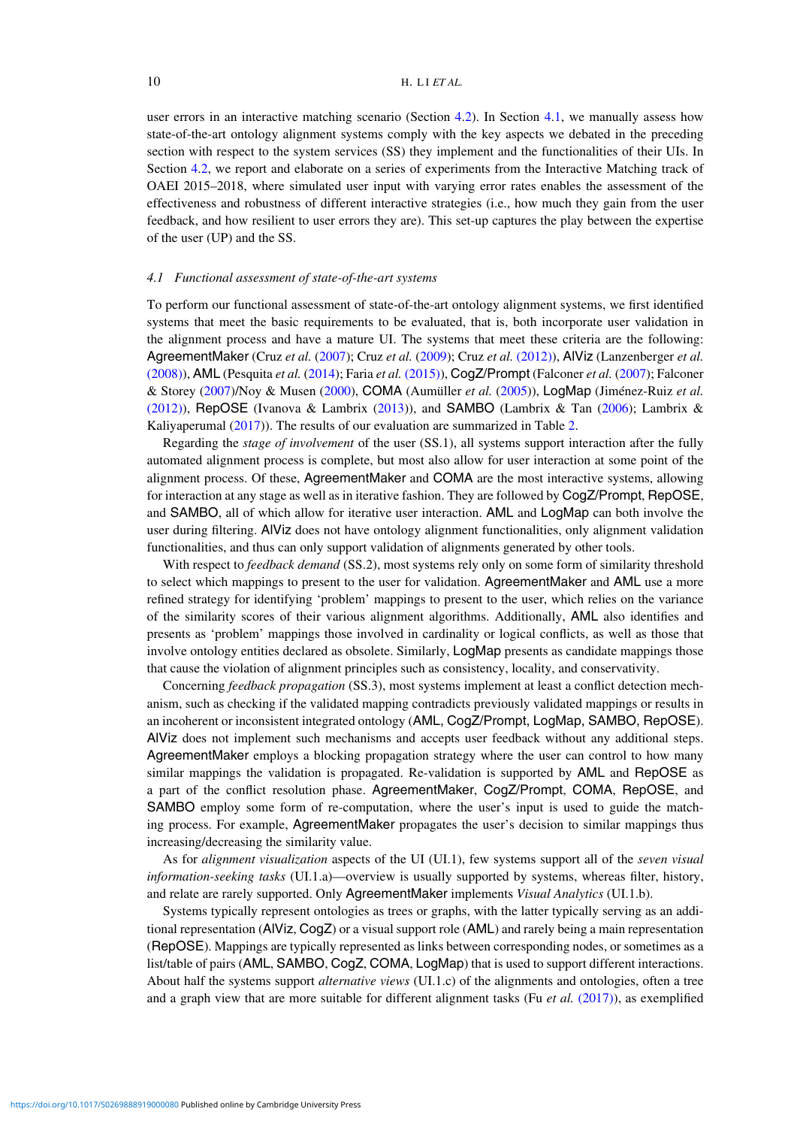user errors in an interactive matching scenario (Section [4](#page-8-0)[.2\)](#page-1-0). In Section [4](#page-8-0)[.1,](#page-0-1) we manually assess how state-of-the-art ontology alignment systems comply with the key aspects we debated in the preceding section with respect to the system services (SS) they implement and the functionalities of their UIs. In Section [4](#page-8-0)[.2,](#page-1-0) we report and elaborate on a series of experiments from the Interactive Matching track of OAEI 2015–2018, where simulated user input with varying error rates enables the assessment of the effectiveness and robustness of different interactive strategies (i.e., how much they gain from the user feedback, and how resilient to user errors they are). This set-up captures the play between the expertise of the user (UP) and the SS.

# <span id="page-9-0"></span>*4.1 Functional assessment of state-of-the-art systems*

To perform our functional assessment of state-of-the-art ontology alignment systems, we first identified systems that meet the basic requirements to be evaluated, that is, both incorporate user validation in the alignment process and have a mature UI. The systems that meet these criteria are the following: AgreementMaker (Cruz *et al.* [\(2007\)](#page-29-22); Cruz *et al.* [\(2009\)](#page-28-2); Cruz *et al.* [\(2012\)\)](#page-29-11), AlViz (Lanzenberger *et al.* [\(2008\)\)](#page-31-18), AML (Pesquita *et al.* [\(2014\)](#page-31-21); Faria *et al.* [\(2015\)\)](#page-29-15), CogZ/Prompt (Falconer *et al.* [\(2007\)](#page-29-21); Falconer & Storey [\(2007\)](#page-29-4)/Noy & Musen [\(2000\)](#page-31-10), COMA (Aumüller *et al.* [\(2005\)](#page-28-6)), LogMap (Jiménez-Ruiz *et al.* [\(2012\)\)](#page-30-0), RepOSE (Ivanova & Lambrix [\(2013\)](#page-30-12)), and SAMBO (Lambrix & Tan [\(2006\)](#page-31-11); Lambrix & Kaliyaperumal [\(2017\)](#page-31-3)). The results of our evaluation are summarized in Table [2.](#page-10-0)

Regarding the *stage of involvement* of the user (SS.1), all systems support interaction after the fully automated alignment process is complete, but most also allow for user interaction at some point of the alignment process. Of these, AgreementMaker and COMA are the most interactive systems, allowing for interaction at any stage as well as in iterative fashion. They are followed by CogZ/Prompt, RepOSE, and SAMBO, all of which allow for iterative user interaction. AML and LogMap can both involve the user during filtering. AlViz does not have ontology alignment functionalities, only alignment validation functionalities, and thus can only support validation of alignments generated by other tools.

With respect to *feedback demand* (SS.2), most systems rely only on some form of similarity threshold to select which mappings to present to the user for validation. AgreementMaker and AML use a more refined strategy for identifying 'problem' mappings to present to the user, which relies on the variance of the similarity scores of their various alignment algorithms. Additionally, AML also identifies and presents as 'problem' mappings those involved in cardinality or logical conflicts, as well as those that involve ontology entities declared as obsolete. Similarly, LogMap presents as candidate mappings those that cause the violation of alignment principles such as consistency, locality, and conservativity.

Concerning *feedback propagation* (SS.3), most systems implement at least a conflict detection mechanism, such as checking if the validated mapping contradicts previously validated mappings or results in an incoherent or inconsistent integrated ontology (AML, CogZ/Prompt, LogMap, SAMBO, RepOSE). AlViz does not implement such mechanisms and accepts user feedback without any additional steps. AgreementMaker employs a blocking propagation strategy where the user can control to how many similar mappings the validation is propagated. Re-validation is supported by AML and RepOSE as a part of the conflict resolution phase. AgreementMaker, CogZ/Prompt, COMA, RepOSE, and SAMBO employ some form of re-computation, where the user's input is used to guide the matching process. For example, AgreementMaker propagates the user's decision to similar mappings thus increasing/decreasing the similarity value.

As for *alignment visualization* aspects of the UI (UI.1), few systems support all of the *seven visual information-seeking tasks* (UI.1.a)—overview is usually supported by systems, whereas filter, history, and relate are rarely supported. Only AgreementMaker implements *Visual Analytics* (UI.1.b).

Systems typically represent ontologies as trees or graphs, with the latter typically serving as an additional representation (AlViz, CogZ) or a visual support role (AML) and rarely being a main representation (RepOSE). Mappings are typically represented as links between corresponding nodes, or sometimes as a list/table of pairs (AML, SAMBO, CogZ, COMA, LogMap) that is used to support different interactions. About half the systems support *alternative views* (UI.1.c) of the alignments and ontologies, often a tree and a graph view that are more suitable for different alignment tasks (Fu *et al.* [\(2017\)\)](#page-29-17), as exemplified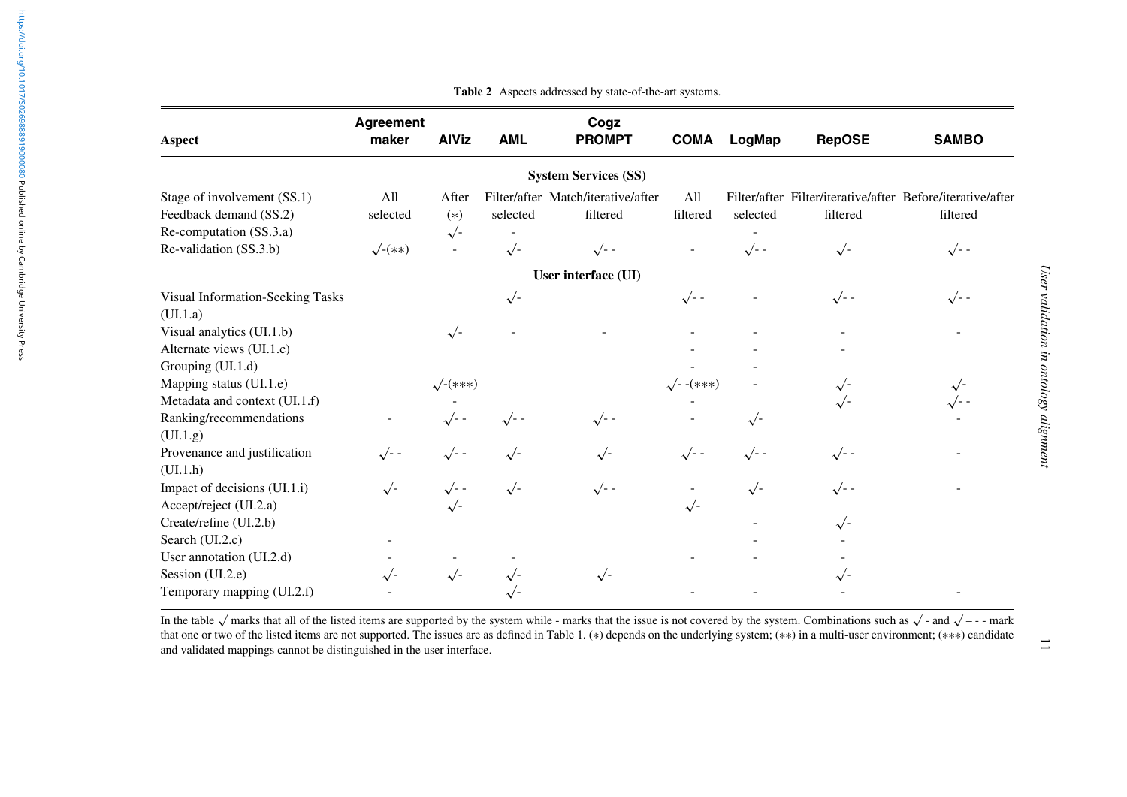| Aspect                           | <b>Agreement</b><br>maker | <b>AlViz</b>    | <b>AML</b> | Cogz<br><b>PROMPT</b>              | <b>COMA</b>      | LogMap       | <b>RepOSE</b> | <b>SAMBO</b>                                               |
|----------------------------------|---------------------------|-----------------|------------|------------------------------------|------------------|--------------|---------------|------------------------------------------------------------|
|                                  |                           |                 |            | <b>System Services (SS)</b>        |                  |              |               |                                                            |
| Stage of involvement (SS.1)      | All                       | After           |            | Filter/after Match/iterative/after | All              |              |               | Filter/after Filter/iterative/after Before/iterative/after |
| Feedback demand (SS.2)           | selected                  | $(*)$           | selected   | filtered                           | filtered         | selected     | filtered      | filtered                                                   |
| Re-computation (SS.3.a)          |                           | $\sqrt{-}$      |            |                                    |                  |              |               |                                                            |
| Re-validation (SS.3.b)           | $\sqrt{-}(**)$            |                 | $\sqrt{-}$ | $\sqrt{-}$                         |                  | $\sqrt{-}$ - | $\sqrt{-}$    | $\sqrt{-}$                                                 |
|                                  |                           |                 |            | User interface (UI)                |                  |              |               |                                                            |
| Visual Information-Seeking Tasks |                           |                 | $\sqrt{2}$ |                                    | $\sqrt{-}$       |              | $\sqrt{-}$    | $\sqrt{-}$                                                 |
| (UI.1.a)                         |                           |                 |            |                                    |                  |              |               |                                                            |
| Visual analytics (UI.1.b)        |                           | $\sqrt{2}$      |            |                                    |                  |              |               |                                                            |
| Alternate views (UI.1.c)         |                           |                 |            |                                    |                  |              |               |                                                            |
| Grouping (UI.1.d)                |                           |                 |            |                                    |                  |              |               |                                                            |
| Mapping status (UI.1.e)          |                           | $\sqrt{-(***)}$ |            |                                    | $\sqrt{--(***)}$ |              | $\sqrt{ }$    |                                                            |
| Metadata and context (UI.1.f)    |                           |                 |            |                                    |                  |              | $\sqrt{-}$    |                                                            |
| Ranking/recommendations          |                           | $\sqrt{-}$      | $\sqrt{-}$ | $\sqrt{-}$                         |                  | $\sqrt{2}$   |               |                                                            |
| (UI.1.g)                         |                           |                 |            |                                    |                  |              |               |                                                            |
| Provenance and justification     | $\sqrt{-}$                | $\sqrt{-}$      | $\sqrt{2}$ | $\sqrt{-}$                         | $\sqrt{-}$       | $\sqrt{-}$   | $\sqrt{ }$ -  |                                                            |
| (UI.1.h)                         |                           |                 |            |                                    |                  |              |               |                                                            |
| Impact of decisions (UI.1.i)     | $\sqrt{2}$                | $\sqrt{-}$      | $\sqrt{2}$ | $\sqrt{-}$                         |                  | $\sqrt{-}$   | $\sqrt{-}$    |                                                            |
| Accept/reject (UI.2.a)           |                           | $\sqrt{2}$      |            |                                    | $\sqrt{2}$       |              |               |                                                            |
| Create/refine (UI.2.b)           |                           |                 |            |                                    |                  |              | $\sqrt{-}$    |                                                            |
| Search (UI.2.c)                  |                           |                 |            |                                    |                  |              |               |                                                            |
| User annotation (UI.2.d)         |                           |                 |            |                                    |                  |              |               |                                                            |
| Session (UI.2.e)                 | $\sqrt{-}$                | $\sqrt{2}$      | $\sqrt{ }$ | $\sqrt{-}$                         |                  |              |               |                                                            |
| Temporary mapping (UI.2.f)       |                           |                 |            |                                    |                  |              |               |                                                            |

**Table 2** Aspects addressed by state-of-the-art systems.

<span id="page-10-0"></span>In the table  $\sqrt{ }$  marks that all of the listed items are supported by the system while - marks that the issue is not covered by the system. Combinations such as  $\sqrt{ }$  - and  $\sqrt{ }$  - - mark that one or two of the listed items are not supported. The issues are as defined in Table 1. (∗) depends on the underlying system; (∗∗) in <sup>a</sup> multi-user environment; (∗∗∗) candidate and validated mappings cannot be distinguished in the user interface.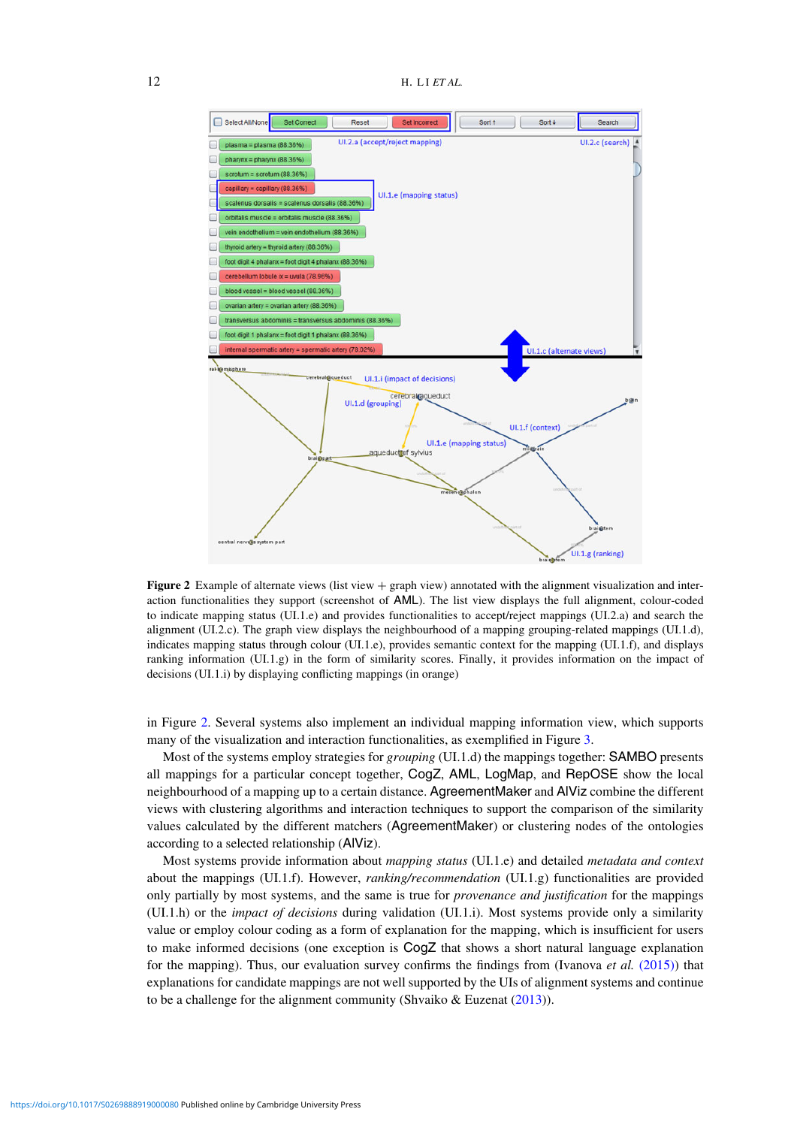<span id="page-11-0"></span>

**Figure 2** Example of alternate views (list view + graph view) annotated with the alignment visualization and interaction functionalities they support (screenshot of AML). The list view displays the full alignment, colour-coded to indicate mapping status (UI.1.e) and provides functionalities to accept/reject mappings (UI.2.a) and search the alignment (UI.2.c). The graph view displays the neighbourhood of a mapping grouping-related mappings (UI.1.d), indicates mapping status through colour (UI.1.e), provides semantic context for the mapping (UI.1.f), and displays ranking information (UI.1.g) in the form of similarity scores. Finally, it provides information on the impact of decisions (UI.1.i) by displaying conflicting mappings (in orange)

in Figure [2.](#page-11-0) Several systems also implement an individual mapping information view, which supports many of the visualization and interaction functionalities, as exemplified in Figure [3.](#page-12-0)

Most of the systems employ strategies for *grouping* (UI.1.d) the mappings together: SAMBO presents all mappings for a particular concept together, CogZ, AML, LogMap, and RepOSE show the local neighbourhood of a mapping up to a certain distance. AgreementMaker and AlViz combine the different views with clustering algorithms and interaction techniques to support the comparison of the similarity values calculated by the different matchers (AgreementMaker) or clustering nodes of the ontologies according to a selected relationship (AlViz).

Most systems provide information about *mapping status* (UI.1.e) and detailed *metadata and context* about the mappings (UI.1.f). However, *ranking/recommendation* (UI.1.g) functionalities are provided only partially by most systems, and the same is true for *provenance and justification* for the mappings (UI.1.h) or the *impact of decisions* during validation (UI.1.i). Most systems provide only a similarity value or employ colour coding as a form of explanation for the mapping, which is insufficient for users to make informed decisions (one exception is CogZ that shows a short natural language explanation for the mapping). Thus, our evaluation survey confirms the findings from (Ivanova *et al.* [\(2015\)\)](#page-30-2) that explanations for candidate mappings are not well supported by the UIs of alignment systems and continue to be a challenge for the alignment community (Shvaiko & Euzenat [\(2013\)](#page-32-0)).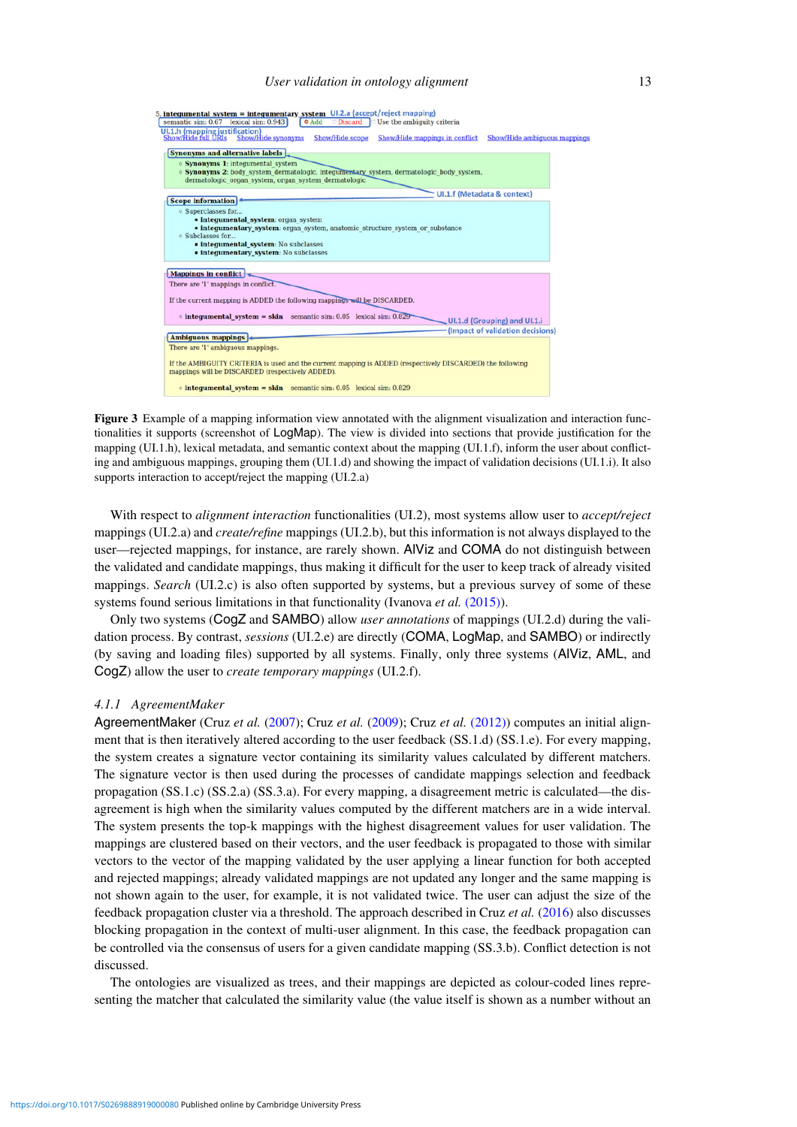# *User validation in ontology alignment* 13

<span id="page-12-0"></span>

**Figure 3** Example of a mapping information view annotated with the alignment visualization and interaction functionalities it supports (screenshot of LogMap). The view is divided into sections that provide justification for the mapping (UI.1.h), lexical metadata, and semantic context about the mapping (UI.1.f), inform the user about conflicting and ambiguous mappings, grouping them (UI.1.d) and showing the impact of validation decisions (UI.1.i). It also supports interaction to accept/reject the mapping (UI.2.a)

With respect to *alignment interaction* functionalities (UI.2), most systems allow user to *accept/reject* mappings (UI.2.a) and *create/refine* mappings (UI.2.b), but this information is not always displayed to the user—rejected mappings, for instance, are rarely shown. AlViz and COMA do not distinguish between the validated and candidate mappings, thus making it difficult for the user to keep track of already visited mappings. *Search* (UI.2.c) is also often supported by systems, but a previous survey of some of these systems found serious limitations in that functionality (Ivanova et al. [\(2015\)\)](#page-30-2).

Only two systems (CogZ and SAMBO) allow *user annotations* of mappings (UI.2.d) during the validation process. By contrast, *sessions* (UI.2.e) are directly (COMA, LogMap, and SAMBO) or indirectly (by saving and loading files) supported by all systems. Finally, only three systems (AlViz, AML, and CogZ) allow the user to *create temporary mappings* (UI.2.f).

#### *4.1.1 AgreementMaker*

AgreementMaker (Cruz *et al.* [\(2007\)](#page-29-22); Cruz *et al.* [\(2009\)](#page-28-2); Cruz *et al.* [\(2012\)\)](#page-29-11) computes an initial alignment that is then iteratively altered according to the user feedback (SS.1.d) (SS.1.e). For every mapping, the system creates a signature vector containing its similarity values calculated by different matchers. The signature vector is then used during the processes of candidate mappings selection and feedback propagation (SS.1.c) (SS.2.a) (SS.3.a). For every mapping, a disagreement metric is calculated—the disagreement is high when the similarity values computed by the different matchers are in a wide interval. The system presents the top-k mappings with the highest disagreement values for user validation. The mappings are clustered based on their vectors, and the user feedback is propagated to those with similar vectors to the vector of the mapping validated by the user applying a linear function for both accepted and rejected mappings; already validated mappings are not updated any longer and the same mapping is not shown again to the user, for example, it is not validated twice. The user can adjust the size of the feedback propagation cluster via a threshold. The approach described in Cruz *et al.* [\(2016\)](#page-28-4) also discusses blocking propagation in the context of multi-user alignment. In this case, the feedback propagation can be controlled via the consensus of users for a given candidate mapping (SS.3.b). Conflict detection is not discussed.

The ontologies are visualized as trees, and their mappings are depicted as colour-coded lines representing the matcher that calculated the similarity value (the value itself is shown as a number without an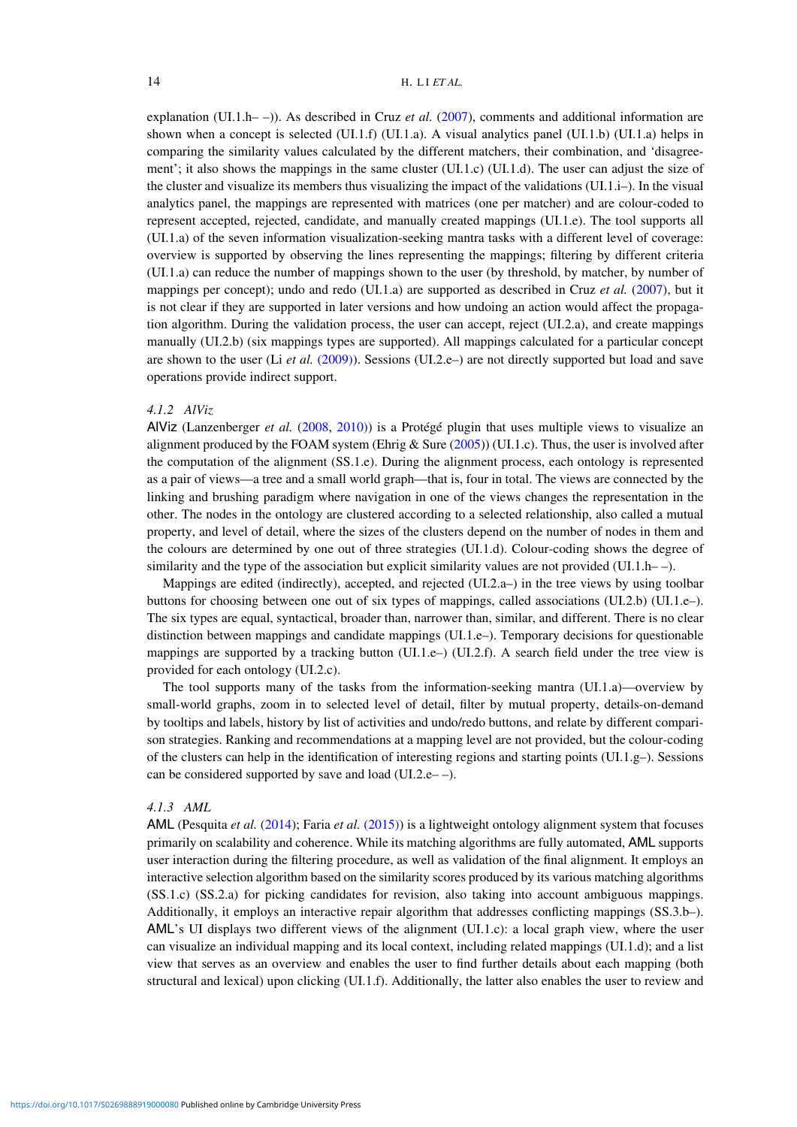explanation (UI.1.h– –)). As described in Cruz *et al.* [\(2007\)](#page-29-22), comments and additional information are shown when a concept is selected (UI.1.f) (UI.1.a). A visual analytics panel (UI.1.b) (UI.1.a) helps in comparing the similarity values calculated by the different matchers, their combination, and 'disagreement'; it also shows the mappings in the same cluster (UI.1.c) (UI.1.d). The user can adjust the size of the cluster and visualize its members thus visualizing the impact of the validations (UI.1.i–). In the visual analytics panel, the mappings are represented with matrices (one per matcher) and are colour-coded to represent accepted, rejected, candidate, and manually created mappings (UI.1.e). The tool supports all (UI.1.a) of the seven information visualization-seeking mantra tasks with a different level of coverage: overview is supported by observing the lines representing the mappings; filtering by different criteria (UI.1.a) can reduce the number of mappings shown to the user (by threshold, by matcher, by number of mappings per concept); undo and redo (UI.1.a) are supported as described in Cruz *et al.* [\(2007\)](#page-29-22), but it is not clear if they are supported in later versions and how undoing an action would affect the propagation algorithm. During the validation process, the user can accept, reject (UI.2.a), and create mappings manually (UI.2.b) (six mappings types are supported). All mappings calculated for a particular concept are shown to the user (Li *et al.* [\(2009\)\)](#page-31-22). Sessions (UI.2.e–) are not directly supported but load and save operations provide indirect support.

## *4.1.2 AlViz*

AlViz (Lanzenberger *et al.* [\(2008,](#page-31-18) [2010\)\)](#page-31-23) is a Protégé plugin that uses multiple views to visualize an alignment produced by the FOAM system (Ehrig & Sure  $(2005)$ ) (UI.1.c). Thus, the user is involved after the computation of the alignment (SS.1.e). During the alignment process, each ontology is represented as a pair of views—a tree and a small world graph—that is, four in total. The views are connected by the linking and brushing paradigm where navigation in one of the views changes the representation in the other. The nodes in the ontology are clustered according to a selected relationship, also called a mutual property, and level of detail, where the sizes of the clusters depend on the number of nodes in them and the colours are determined by one out of three strategies (UI.1.d). Colour-coding shows the degree of similarity and the type of the association but explicit similarity values are not provided (UI.1.h–).

Mappings are edited (indirectly), accepted, and rejected (UI.2.a–) in the tree views by using toolbar buttons for choosing between one out of six types of mappings, called associations (UI.2.b) (UI.1.e–). The six types are equal, syntactical, broader than, narrower than, similar, and different. There is no clear distinction between mappings and candidate mappings (UI.1.e–). Temporary decisions for questionable mappings are supported by a tracking button (UI.1.e–) (UI.2.f). A search field under the tree view is provided for each ontology (UI.2.c).

The tool supports many of the tasks from the information-seeking mantra (UI.1.a)—overview by small-world graphs, zoom in to selected level of detail, filter by mutual property, details-on-demand by tooltips and labels, history by list of activities and undo/redo buttons, and relate by different comparison strategies. Ranking and recommendations at a mapping level are not provided, but the colour-coding of the clusters can help in the identification of interesting regions and starting points (UI.1.g–). Sessions can be considered supported by save and load (UI.2.e– –).

#### *4.1.3 AML*

AML (Pesquita *et al.* [\(2014\)](#page-31-21); Faria *et al.* [\(2015\)\)](#page-29-15) is a lightweight ontology alignment system that focuses primarily on scalability and coherence. While its matching algorithms are fully automated, AML supports user interaction during the filtering procedure, as well as validation of the final alignment. It employs an interactive selection algorithm based on the similarity scores produced by its various matching algorithms (SS.1.c) (SS.2.a) for picking candidates for revision, also taking into account ambiguous mappings. Additionally, it employs an interactive repair algorithm that addresses conflicting mappings (SS.3.b–). AML's UI displays two different views of the alignment (UI.1.c): a local graph view, where the user can visualize an individual mapping and its local context, including related mappings (UI.1.d); and a list view that serves as an overview and enables the user to find further details about each mapping (both structural and lexical) upon clicking (UI.1.f). Additionally, the latter also enables the user to review and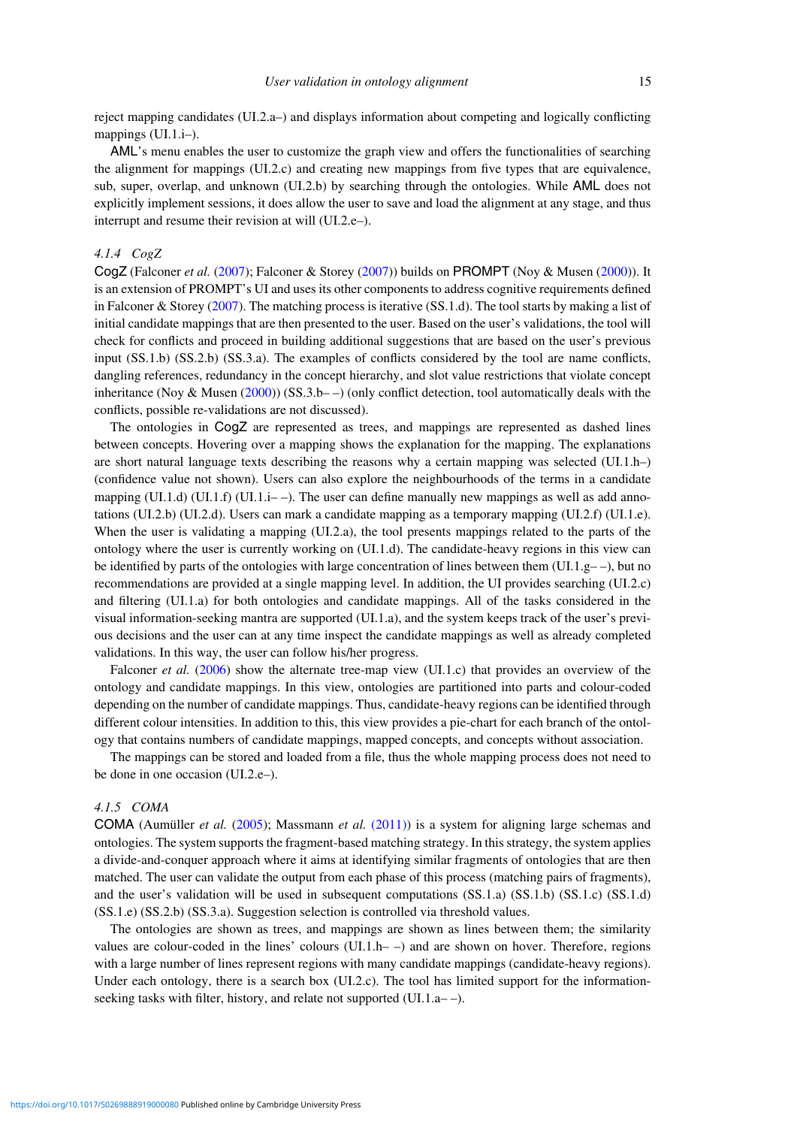reject mapping candidates (UI.2.a–) and displays information about competing and logically conflicting mappings (UI.1.i–).

AML's menu enables the user to customize the graph view and offers the functionalities of searching the alignment for mappings (UI.2.c) and creating new mappings from five types that are equivalence, sub, super, overlap, and unknown (UI.2.b) by searching through the ontologies. While AML does not explicitly implement sessions, it does allow the user to save and load the alignment at any stage, and thus interrupt and resume their revision at will (UI.2.e–).

# *4.1.4 CogZ*

CogZ (Falconer *et al.* [\(2007\)](#page-29-21); Falconer & Storey [\(2007\)](#page-29-4)) builds on PROMPT (Noy & Musen [\(2000\)](#page-31-10)). It is an extension of PROMPT's UI and uses its other components to address cognitive requirements defined in Falconer & Storey [\(2007\)](#page-29-4). The matching process is iterative (SS.1.d). The tool starts by making a list of initial candidate mappings that are then presented to the user. Based on the user's validations, the tool will check for conflicts and proceed in building additional suggestions that are based on the user's previous input (SS.1.b) (SS.2.b) (SS.3.a). The examples of conflicts considered by the tool are name conflicts, dangling references, redundancy in the concept hierarchy, and slot value restrictions that violate concept inheritance (Noy & Musen  $(2000)$ ) (SS.3.b– $-$ ) (only conflict detection, tool automatically deals with the conflicts, possible re-validations are not discussed).

The ontologies in CogZ are represented as trees, and mappings are represented as dashed lines between concepts. Hovering over a mapping shows the explanation for the mapping. The explanations are short natural language texts describing the reasons why a certain mapping was selected (UI.1.h–) (confidence value not shown). Users can also explore the neighbourhoods of the terms in a candidate mapping (UI.1.d) (UI.1.f) (UI.1.i– –). The user can define manually new mappings as well as add annotations (UI.2.b) (UI.2.d). Users can mark a candidate mapping as a temporary mapping (UI.2.f) (UI.1.e). When the user is validating a mapping (UI.2.a), the tool presents mappings related to the parts of the ontology where the user is currently working on (UI.1.d). The candidate-heavy regions in this view can be identified by parts of the ontologies with large concentration of lines between them (UI.1. $g$ ––), but no recommendations are provided at a single mapping level. In addition, the UI provides searching (UI.2.c) and filtering (UI.1.a) for both ontologies and candidate mappings. All of the tasks considered in the visual information-seeking mantra are supported (UI.1.a), and the system keeps track of the user's previous decisions and the user can at any time inspect the candidate mappings as well as already completed validations. In this way, the user can follow his/her progress.

Falconer *et al.* [\(2006\)](#page-29-7) show the alternate tree-map view (UI.1.c) that provides an overview of the ontology and candidate mappings. In this view, ontologies are partitioned into parts and colour-coded depending on the number of candidate mappings. Thus, candidate-heavy regions can be identified through different colour intensities. In addition to this, this view provides a pie-chart for each branch of the ontology that contains numbers of candidate mappings, mapped concepts, and concepts without association.

The mappings can be stored and loaded from a file, thus the whole mapping process does not need to be done in one occasion (UI.2.e–).

#### *4.1.5 COMA*

COMA (Aumüller *et al.* [\(2005\)](#page-28-6); Massmann *et al.* [\(2011\)\)](#page-31-24) is a system for aligning large schemas and ontologies. The system supports the fragment-based matching strategy. In this strategy, the system applies a divide-and-conquer approach where it aims at identifying similar fragments of ontologies that are then matched. The user can validate the output from each phase of this process (matching pairs of fragments), and the user's validation will be used in subsequent computations (SS.1.a) (SS.1.b) (SS.1.c) (SS.1.d) (SS.1.e) (SS.2.b) (SS.3.a). Suggestion selection is controlled via threshold values.

The ontologies are shown as trees, and mappings are shown as lines between them; the similarity values are colour-coded in the lines' colours (UI.1.h– $-$ ) and are shown on hover. Therefore, regions with a large number of lines represent regions with many candidate mappings (candidate-heavy regions). Under each ontology, there is a search box (UI.2.c). The tool has limited support for the informationseeking tasks with filter, history, and relate not supported (UI.1.a– –).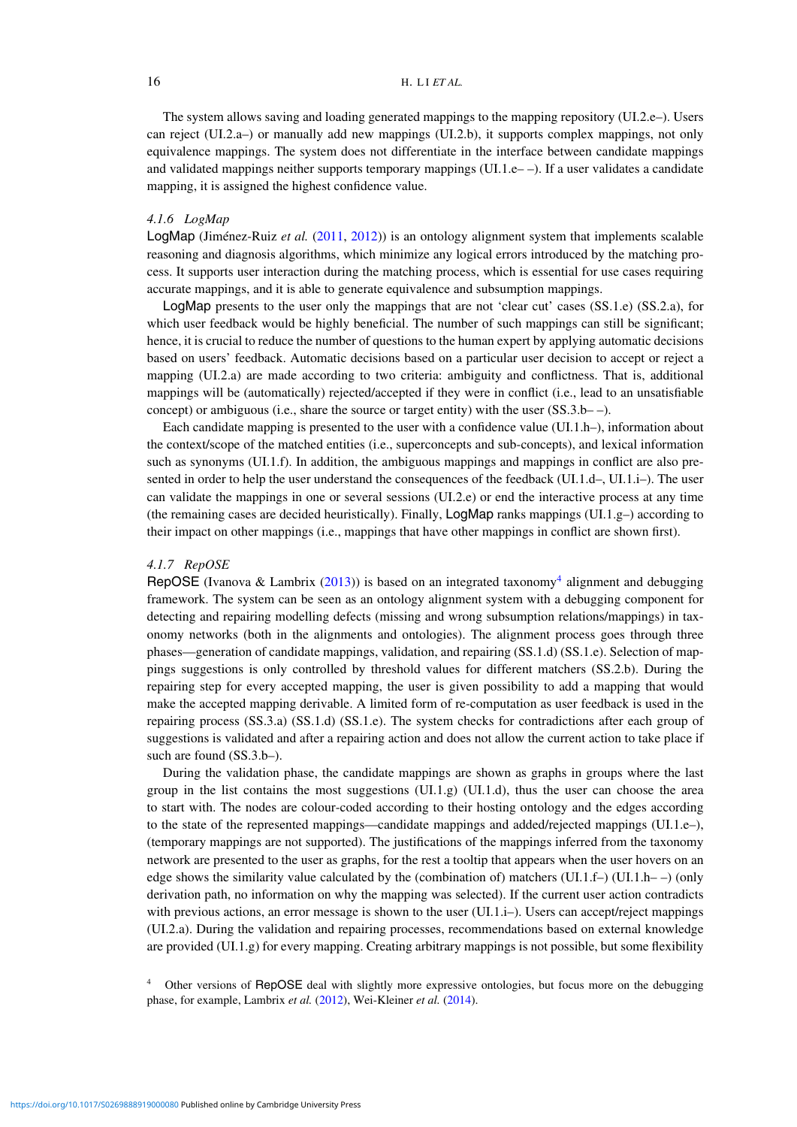The system allows saving and loading generated mappings to the mapping repository (UI.2.e–). Users can reject (UI.2.a–) or manually add new mappings (UI.2.b), it supports complex mappings, not only equivalence mappings. The system does not differentiate in the interface between candidate mappings and validated mappings neither supports temporary mappings (UI.1.e– $-$ ). If a user validates a candidate mapping, it is assigned the highest confidence value.

#### *4.1.6 LogMap*

LogMap (Jiménez-Ruiz *et al.* [\(2011,](#page-30-10) [2012\)](#page-30-0)) is an ontology alignment system that implements scalable reasoning and diagnosis algorithms, which minimize any logical errors introduced by the matching process. It supports user interaction during the matching process, which is essential for use cases requiring accurate mappings, and it is able to generate equivalence and subsumption mappings.

LogMap presents to the user only the mappings that are not 'clear cut' cases (SS.1.e) (SS.2.a), for which user feedback would be highly beneficial. The number of such mappings can still be significant; hence, it is crucial to reduce the number of questions to the human expert by applying automatic decisions based on users' feedback. Automatic decisions based on a particular user decision to accept or reject a mapping (UI.2.a) are made according to two criteria: ambiguity and conflictness. That is, additional mappings will be (automatically) rejected/accepted if they were in conflict (i.e., lead to an unsatisfiable concept) or ambiguous (i.e., share the source or target entity) with the user (SS.3.b– –).

Each candidate mapping is presented to the user with a confidence value (UI.1.h–), information about the context/scope of the matched entities (i.e., superconcepts and sub-concepts), and lexical information such as synonyms (UI.1.f). In addition, the ambiguous mappings and mappings in conflict are also presented in order to help the user understand the consequences of the feedback (UI.1.d–, UI.1.i–). The user can validate the mappings in one or several sessions (UI.2.e) or end the interactive process at any time (the remaining cases are decided heuristically). Finally,  $LogMap$  ranks mappings (UI.1.g–) according to their impact on other mappings (i.e., mappings that have other mappings in conflict are shown first).

# *4.1.7 RepOSE*

RepOSE (Ivanova & Lambrix [\(2013\)](#page-30-12)) is based on an integrated taxonomy<sup>4</sup> alignment and debugging framework. The system can be seen as an ontology alignment system with a debugging component for detecting and repairing modelling defects (missing and wrong subsumption relations/mappings) in taxonomy networks (both in the alignments and ontologies). The alignment process goes through three phases—generation of candidate mappings, validation, and repairing (SS.1.d) (SS.1.e). Selection of mappings suggestions is only controlled by threshold values for different matchers (SS.2.b). During the repairing step for every accepted mapping, the user is given possibility to add a mapping that would make the accepted mapping derivable. A limited form of re-computation as user feedback is used in the repairing process (SS.3.a) (SS.1.d) (SS.1.e). The system checks for contradictions after each group of suggestions is validated and after a repairing action and does not allow the current action to take place if such are found (SS.3.b–).

During the validation phase, the candidate mappings are shown as graphs in groups where the last group in the list contains the most suggestions  $(U1.1.g)$   $(U1.1.d)$ , thus the user can choose the area to start with. The nodes are colour-coded according to their hosting ontology and the edges according to the state of the represented mappings—candidate mappings and added/rejected mappings (UI.1.e–), (temporary mappings are not supported). The justifications of the mappings inferred from the taxonomy network are presented to the user as graphs, for the rest a tooltip that appears when the user hovers on an edge shows the similarity value calculated by the (combination of) matchers (UI.1.f–) (UI.1.h––) (only derivation path, no information on why the mapping was selected). If the current user action contradicts with previous actions, an error message is shown to the user  $(UI.1.i-)$ . Users can accept/reject mappings (UI.2.a). During the validation and repairing processes, recommendations based on external knowledge are provided (UI.1.g) for every mapping. Creating arbitrary mappings is not possible, but some flexibility

<span id="page-15-0"></span>Other versions of RepOSE deal with slightly more expressive ontologies, but focus more on the debugging phase, for example, Lambrix *et al.* [\(2012\)](#page-31-25), Wei-Kleiner *et al.* [\(2014\)](#page-32-12).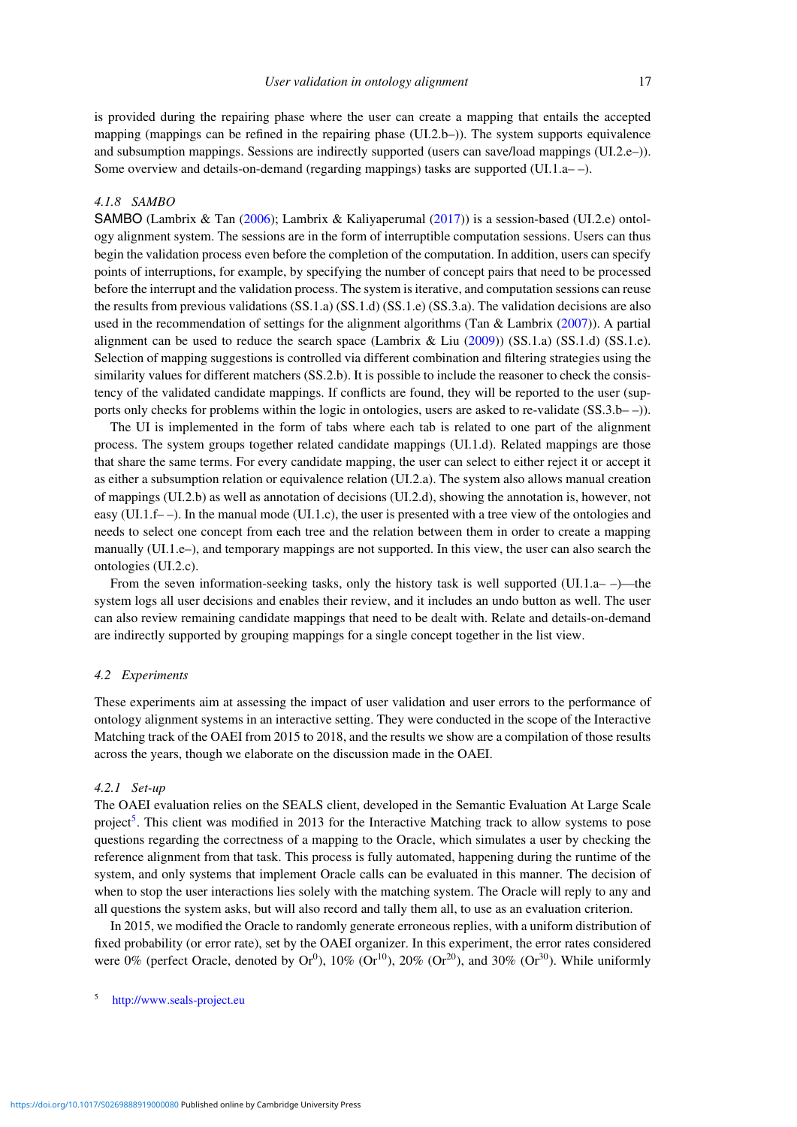is provided during the repairing phase where the user can create a mapping that entails the accepted mapping (mappings can be refined in the repairing phase (UI.2.b–)). The system supports equivalence and subsumption mappings. Sessions are indirectly supported (users can save/load mappings (UI.2.e–)). Some overview and details-on-demand (regarding mappings) tasks are supported (UI.1.a– –).

# *4.1.8 SAMBO*

SAMBO (Lambrix & Tan [\(2006\)](#page-31-11); Lambrix & Kaliyaperumal [\(2017\)](#page-31-3)) is a session-based (UI.2.e) ontology alignment system. The sessions are in the form of interruptible computation sessions. Users can thus begin the validation process even before the completion of the computation. In addition, users can specify points of interruptions, for example, by specifying the number of concept pairs that need to be processed before the interrupt and the validation process. The system is iterative, and computation sessions can reuse the results from previous validations (SS.1.a) (SS.1.d) (SS.1.e) (SS.3.a). The validation decisions are also used in the recommendation of settings for the alignment algorithms (Tan & Lambrix [\(2007\)](#page-32-3)). A partial alignment can be used to reduce the search space (Lambrix & Liu  $(2009)$ ) (SS.1.a) (SS.1.d) (SS.1.e). Selection of mapping suggestions is controlled via different combination and filtering strategies using the similarity values for different matchers (SS.2.b). It is possible to include the reasoner to check the consistency of the validated candidate mappings. If conflicts are found, they will be reported to the user (supports only checks for problems within the logic in ontologies, users are asked to re-validate (SS.3.b– –)).

The UI is implemented in the form of tabs where each tab is related to one part of the alignment process. The system groups together related candidate mappings (UI.1.d). Related mappings are those that share the same terms. For every candidate mapping, the user can select to either reject it or accept it as either a subsumption relation or equivalence relation (UI.2.a). The system also allows manual creation of mappings (UI.2.b) as well as annotation of decisions (UI.2.d), showing the annotation is, however, not easy (UI.1.f– –). In the manual mode (UI.1.c), the user is presented with a tree view of the ontologies and needs to select one concept from each tree and the relation between them in order to create a mapping manually (UI.1.e–), and temporary mappings are not supported. In this view, the user can also search the ontologies (UI.2.c).

From the seven information-seeking tasks, only the history task is well supported  $(UI.1.a-$ )—the system logs all user decisions and enables their review, and it includes an undo button as well. The user can also review remaining candidate mappings that need to be dealt with. Relate and details-on-demand are indirectly supported by grouping mappings for a single concept together in the list view.

# <span id="page-16-0"></span>*4.2 Experiments*

These experiments aim at assessing the impact of user validation and user errors to the performance of ontology alignment systems in an interactive setting. They were conducted in the scope of the Interactive Matching track of the OAEI from 2015 to 2018, and the results we show are a compilation of those results across the years, though we elaborate on the discussion made in the OAEI.

# *4.2.1 Set-up*

The OAEI evaluation relies on the SEALS client, developed in the Semantic Evaluation At Large Scale project<sup>5</sup>. This client was modified in 2013 for the Interactive Matching track to allow systems to pose questions regarding the correctness of a mapping to the Oracle, which simulates a user by checking the reference alignment from that task. This process is fully automated, happening during the runtime of the system, and only systems that implement Oracle calls can be evaluated in this manner. The decision of when to stop the user interactions lies solely with the matching system. The Oracle will reply to any and all questions the system asks, but will also record and tally them all, to use as an evaluation criterion.

In 2015, we modified the Oracle to randomly generate erroneous replies, with a uniform distribution of fixed probability (or error rate), set by the OAEI organizer. In this experiment, the error rates considered were 0% (perfect Oracle, denoted by  $Or^0$ ), 10% ( $Or^{10}$ ), 20% ( $Or^{20}$ ), and 30% ( $Or^{30}$ ). While uniformly

<span id="page-16-1"></span><http://www.seals-project.eu>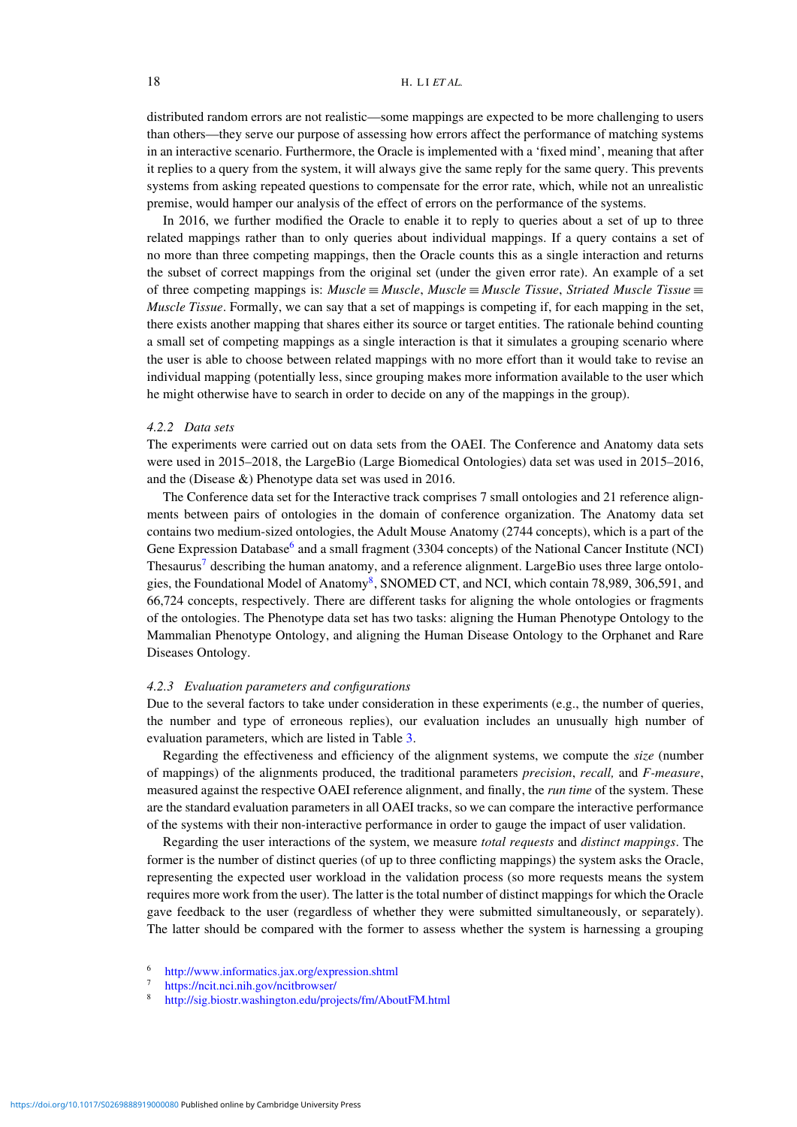distributed random errors are not realistic—some mappings are expected to be more challenging to users than others—they serve our purpose of assessing how errors affect the performance of matching systems in an interactive scenario. Furthermore, the Oracle is implemented with a 'fixed mind', meaning that after it replies to a query from the system, it will always give the same reply for the same query. This prevents systems from asking repeated questions to compensate for the error rate, which, while not an unrealistic premise, would hamper our analysis of the effect of errors on the performance of the systems.

In 2016, we further modified the Oracle to enable it to reply to queries about a set of up to three related mappings rather than to only queries about individual mappings. If a query contains a set of no more than three competing mappings, then the Oracle counts this as a single interaction and returns the subset of correct mappings from the original set (under the given error rate). An example of a set of three competing mappings is: *Muscle* ≡ *Muscle*, *Muscle* ≡ *Muscle Tissue*, *Striated Muscle Tissue* ≡ *Muscle Tissue*. Formally, we can say that a set of mappings is competing if, for each mapping in the set, there exists another mapping that shares either its source or target entities. The rationale behind counting a small set of competing mappings as a single interaction is that it simulates a grouping scenario where the user is able to choose between related mappings with no more effort than it would take to revise an individual mapping (potentially less, since grouping makes more information available to the user which he might otherwise have to search in order to decide on any of the mappings in the group).

#### *4.2.2 Data sets*

The experiments were carried out on data sets from the OAEI. The Conference and Anatomy data sets were used in 2015–2018, the LargeBio (Large Biomedical Ontologies) data set was used in 2015–2016, and the (Disease &) Phenotype data set was used in 2016.

The Conference data set for the Interactive track comprises 7 small ontologies and 21 reference alignments between pairs of ontologies in the domain of conference organization. The Anatomy data set contains two medium-sized ontologies, the Adult Mouse Anatomy (2744 concepts), which is a part of the Gene Expression Database<sup>6</sup> and a small fragment (3304 concepts) of the National Cancer Institute (NCI) Thesaurus<sup>[7](#page-17-1)</sup> describing the human anatomy, and a reference alignment. LargeBio uses three large ontolo-gies, the Foundational Model of Anatomy<sup>8</sup>, SNOMED CT, and NCI, which contain 7[8,](#page-17-2)989, 306,591, and 66,724 concepts, respectively. There are different tasks for aligning the whole ontologies or fragments of the ontologies. The Phenotype data set has two tasks: aligning the Human Phenotype Ontology to the Mammalian Phenotype Ontology, and aligning the Human Disease Ontology to the Orphanet and Rare Diseases Ontology.

#### *4.2.3 Evaluation parameters and configurations*

Due to the several factors to take under consideration in these experiments (e.g., the number of queries, the number and type of erroneous replies), our evaluation includes an unusually high number of evaluation parameters, which are listed in Table [3.](#page-18-0)

Regarding the effectiveness and efficiency of the alignment systems, we compute the *size* (number of mappings) of the alignments produced, the traditional parameters *precision*, *recall,* and *F-measure*, measured against the respective OAEI reference alignment, and finally, the *run time* of the system. These are the standard evaluation parameters in all OAEI tracks, so we can compare the interactive performance of the systems with their non-interactive performance in order to gauge the impact of user validation.

Regarding the user interactions of the system, we measure *total requests* and *distinct mappings*. The former is the number of distinct queries (of up to three conflicting mappings) the system asks the Oracle, representing the expected user workload in the validation process (so more requests means the system requires more work from the user). The latter is the total number of distinct mappings for which the Oracle gave feedback to the user (regardless of whether they were submitted simultaneously, or separately). The latter should be compared with the former to assess whether the system is harnessing a grouping

<sup>6</sup> <http://www.informatics.jax.org/expression.shtml>

<span id="page-17-0"></span> $\frac{7}{8}$  <https://ncit.nci.nih.gov/ncitbrowser/>

<span id="page-17-2"></span><span id="page-17-1"></span><sup>8</sup> <http://sig.biostr.washington.edu/projects/fm/AboutFM.html>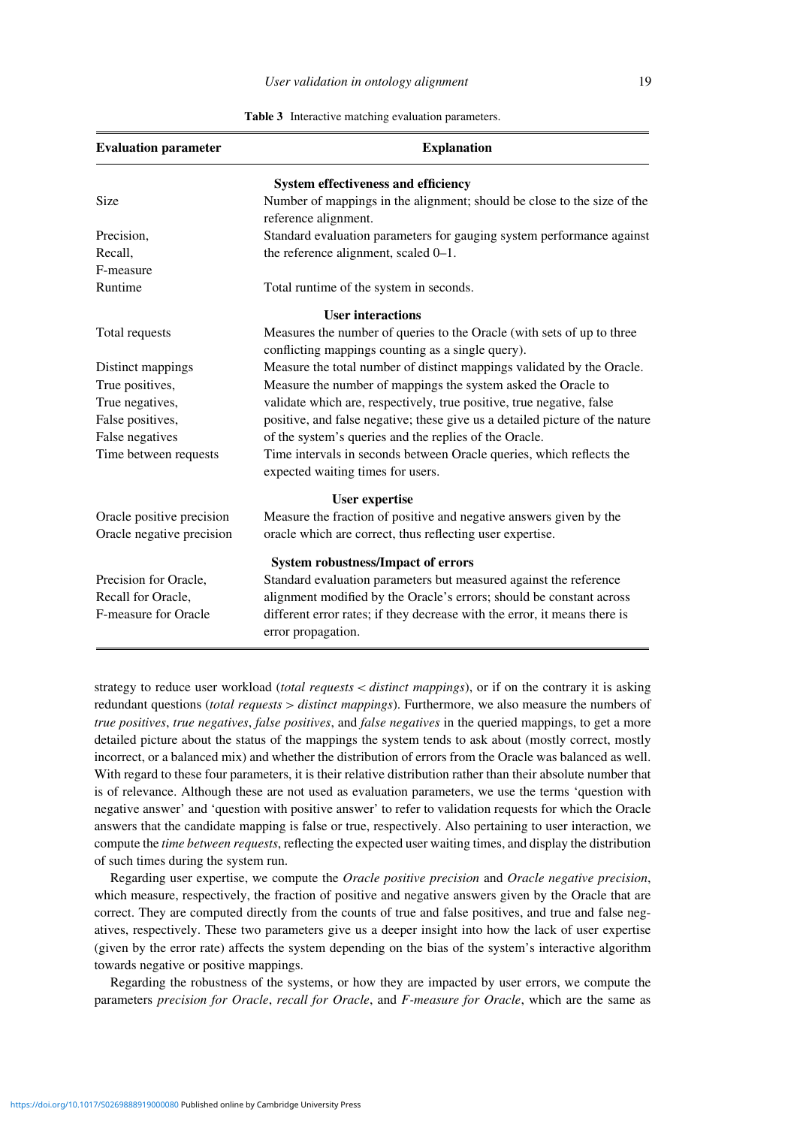<span id="page-18-0"></span>

| <b>Evaluation parameter</b>                | <b>Explanation</b>                                                                                                          |  |  |  |  |  |  |  |
|--------------------------------------------|-----------------------------------------------------------------------------------------------------------------------------|--|--|--|--|--|--|--|
| <b>System effectiveness and efficiency</b> |                                                                                                                             |  |  |  |  |  |  |  |
| Size                                       | Number of mappings in the alignment; should be close to the size of the<br>reference alignment.                             |  |  |  |  |  |  |  |
| Precision,                                 | Standard evaluation parameters for gauging system performance against                                                       |  |  |  |  |  |  |  |
| Recall,                                    | the reference alignment, scaled 0-1.                                                                                        |  |  |  |  |  |  |  |
| F-measure                                  |                                                                                                                             |  |  |  |  |  |  |  |
| Runtime                                    | Total runtime of the system in seconds.                                                                                     |  |  |  |  |  |  |  |
|                                            | <b>User interactions</b>                                                                                                    |  |  |  |  |  |  |  |
| Total requests                             | Measures the number of queries to the Oracle (with sets of up to three<br>conflicting mappings counting as a single query). |  |  |  |  |  |  |  |
| Distinct mappings                          | Measure the total number of distinct mappings validated by the Oracle.                                                      |  |  |  |  |  |  |  |
| True positives,                            | Measure the number of mappings the system asked the Oracle to                                                               |  |  |  |  |  |  |  |
| True negatives,                            | validate which are, respectively, true positive, true negative, false                                                       |  |  |  |  |  |  |  |
| False positives,                           | positive, and false negative; these give us a detailed picture of the nature                                                |  |  |  |  |  |  |  |
| False negatives                            | of the system's queries and the replies of the Oracle.                                                                      |  |  |  |  |  |  |  |
| Time between requests                      | Time intervals in seconds between Oracle queries, which reflects the<br>expected waiting times for users.                   |  |  |  |  |  |  |  |
|                                            | <b>User expertise</b>                                                                                                       |  |  |  |  |  |  |  |
| Oracle positive precision                  | Measure the fraction of positive and negative answers given by the                                                          |  |  |  |  |  |  |  |
| Oracle negative precision                  | oracle which are correct, thus reflecting user expertise.                                                                   |  |  |  |  |  |  |  |
|                                            | <b>System robustness/Impact of errors</b>                                                                                   |  |  |  |  |  |  |  |
| Precision for Oracle,                      | Standard evaluation parameters but measured against the reference                                                           |  |  |  |  |  |  |  |
| Recall for Oracle,                         | alignment modified by the Oracle's errors; should be constant across                                                        |  |  |  |  |  |  |  |
| F-measure for Oracle                       | different error rates; if they decrease with the error, it means there is<br>error propagation.                             |  |  |  |  |  |  |  |

**Table 3** Interactive matching evaluation parameters.

strategy to reduce user workload (*total requests < distinct mappings*), or if on the contrary it is asking redundant questions (*total requests > distinct mappings*). Furthermore, we also measure the numbers of *true positives*, *true negatives*, *false positives*, and *false negatives* in the queried mappings, to get a more detailed picture about the status of the mappings the system tends to ask about (mostly correct, mostly incorrect, or a balanced mix) and whether the distribution of errors from the Oracle was balanced as well. With regard to these four parameters, it is their relative distribution rather than their absolute number that is of relevance. Although these are not used as evaluation parameters, we use the terms 'question with negative answer' and 'question with positive answer' to refer to validation requests for which the Oracle answers that the candidate mapping is false or true, respectively. Also pertaining to user interaction, we compute the *time between requests*, reflecting the expected user waiting times, and display the distribution of such times during the system run.

Regarding user expertise, we compute the *Oracle positive precision* and *Oracle negative precision*, which measure, respectively, the fraction of positive and negative answers given by the Oracle that are correct. They are computed directly from the counts of true and false positives, and true and false negatives, respectively. These two parameters give us a deeper insight into how the lack of user expertise (given by the error rate) affects the system depending on the bias of the system's interactive algorithm towards negative or positive mappings.

Regarding the robustness of the systems, or how they are impacted by user errors, we compute the parameters *precision for Oracle*, *recall for Oracle*, and *F-measure for Oracle*, which are the same as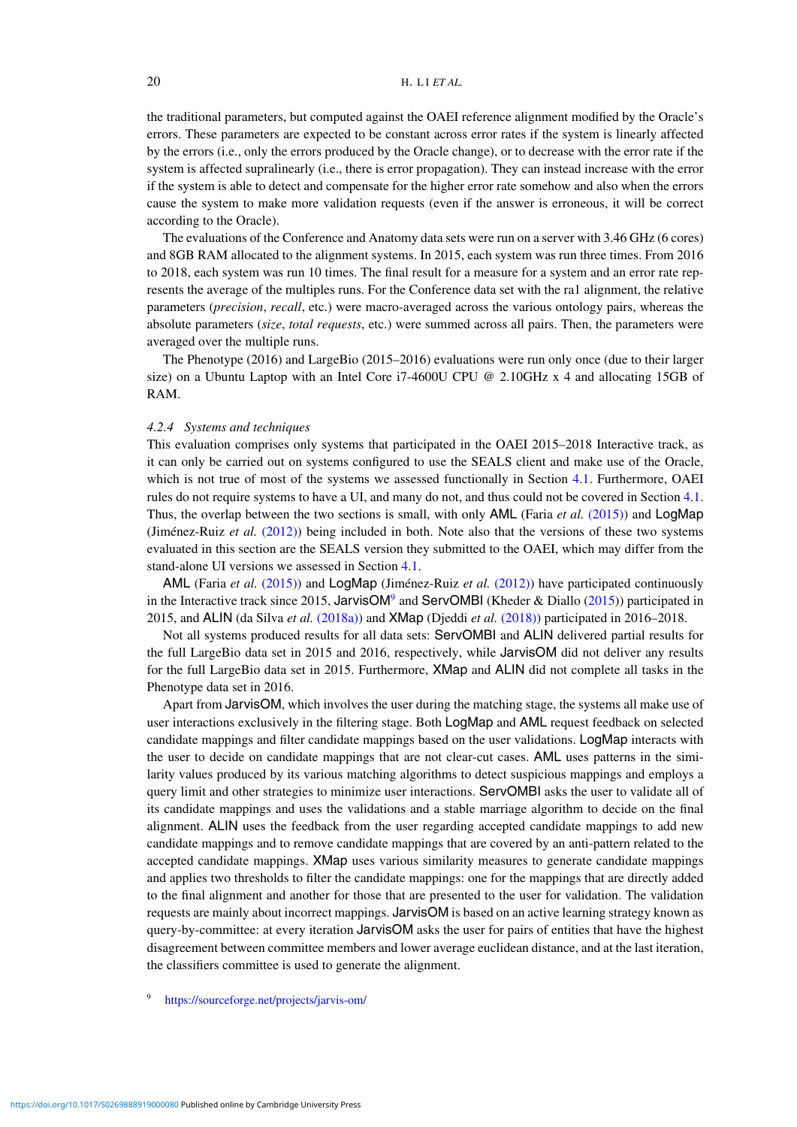the traditional parameters, but computed against the OAEI reference alignment modified by the Oracle's errors. These parameters are expected to be constant across error rates if the system is linearly affected by the errors (i.e., only the errors produced by the Oracle change), or to decrease with the error rate if the system is affected supralinearly (i.e., there is error propagation). They can instead increase with the error if the system is able to detect and compensate for the higher error rate somehow and also when the errors cause the system to make more validation requests (even if the answer is erroneous, it will be correct according to the Oracle).

The evaluations of the Conference and Anatomy data sets were run on a server with 3.46 GHz (6 cores) and 8GB RAM allocated to the alignment systems. In 2015, each system was run three times. From 2016 to 2018, each system was run 10 times. The final result for a measure for a system and an error rate represents the average of the multiples runs. For the Conference data set with the ra1 alignment, the relative parameters (*precision*, *recall*, etc.) were macro-averaged across the various ontology pairs, whereas the absolute parameters (*size*, *total requests*, etc.) were summed across all pairs. Then, the parameters were averaged over the multiple runs.

The Phenotype (2016) and LargeBio (2015–2016) evaluations were run only once (due to their larger size) on a Ubuntu Laptop with an Intel Core i7-4600U CPU @ 2.10GHz x 4 and allocating 15GB of RAM.

# *4.2.4 Systems and techniques*

This evaluation comprises only systems that participated in the OAEI 2015–2018 Interactive track, as it can only be carried out on systems configured to use the SEALS client and make use of the Oracle, which is not true of most of the systems we assessed functionally in Section [4](#page-8-0)[.1.](#page-0-1) Furthermore, OAEI rules do not require systems to have a UI, and many do not, and thus could not be covered in Section [4](#page-8-0)[.1.](#page-0-1) Thus, the overlap between the two sections is small, with only AML (Faria *et al.* [\(2015\)\)](#page-29-15) and LogMap (Jiménez-Ruiz *et al.* [\(2012\)\)](#page-30-0) being included in both. Note also that the versions of these two systems evaluated in this section are the SEALS version they submitted to the OAEI, which may differ from the stand-alone UI versions we assessed in Section [4](#page-8-0)[.1.](#page-0-1)

AML (Faria *et al.* [\(2015\)\)](#page-29-15) and LogMap (Jiménez-Ruiz *et al.* [\(2012\)\)](#page-30-0) have participated continuously in the Interactive track since 2015, JarvisOM<sup>[9](#page-19-0)</sup> and ServOMBI (Kheder & Diallo [\(2015\)](#page-30-21)) participated in 2015, and ALIN (da Silva *et al.* [\(2018a\)\)](#page-29-10) and XMap (Djeddi *et al.* [\(2018\)\)](#page-29-24) participated in 2016–2018.

Not all systems produced results for all data sets: ServOMBI and ALIN delivered partial results for the full LargeBio data set in 2015 and 2016, respectively, while JarvisOM did not deliver any results for the full LargeBio data set in 2015. Furthermore, XMap and ALIN did not complete all tasks in the Phenotype data set in 2016.

Apart from JarvisOM, which involves the user during the matching stage, the systems all make use of user interactions exclusively in the filtering stage. Both LogMap and AML request feedback on selected candidate mappings and filter candidate mappings based on the user validations. LogMap interacts with the user to decide on candidate mappings that are not clear-cut cases. AML uses patterns in the similarity values produced by its various matching algorithms to detect suspicious mappings and employs a query limit and other strategies to minimize user interactions. ServOMBI asks the user to validate all of its candidate mappings and uses the validations and a stable marriage algorithm to decide on the final alignment. ALIN uses the feedback from the user regarding accepted candidate mappings to add new candidate mappings and to remove candidate mappings that are covered by an anti-pattern related to the accepted candidate mappings. XMap uses various similarity measures to generate candidate mappings and applies two thresholds to filter the candidate mappings: one for the mappings that are directly added to the final alignment and another for those that are presented to the user for validation. The validation requests are mainly about incorrect mappings. JarvisOM is based on an active learning strategy known as query-by-committee: at every iteration JarvisOM asks the user for pairs of entities that have the highest disagreement between committee members and lower average euclidean distance, and at the last iteration, the classifiers committee is used to generate the alignment.

<span id="page-19-0"></span><sup>9</sup> <https://sourceforge.net/projects/jarvis-om/>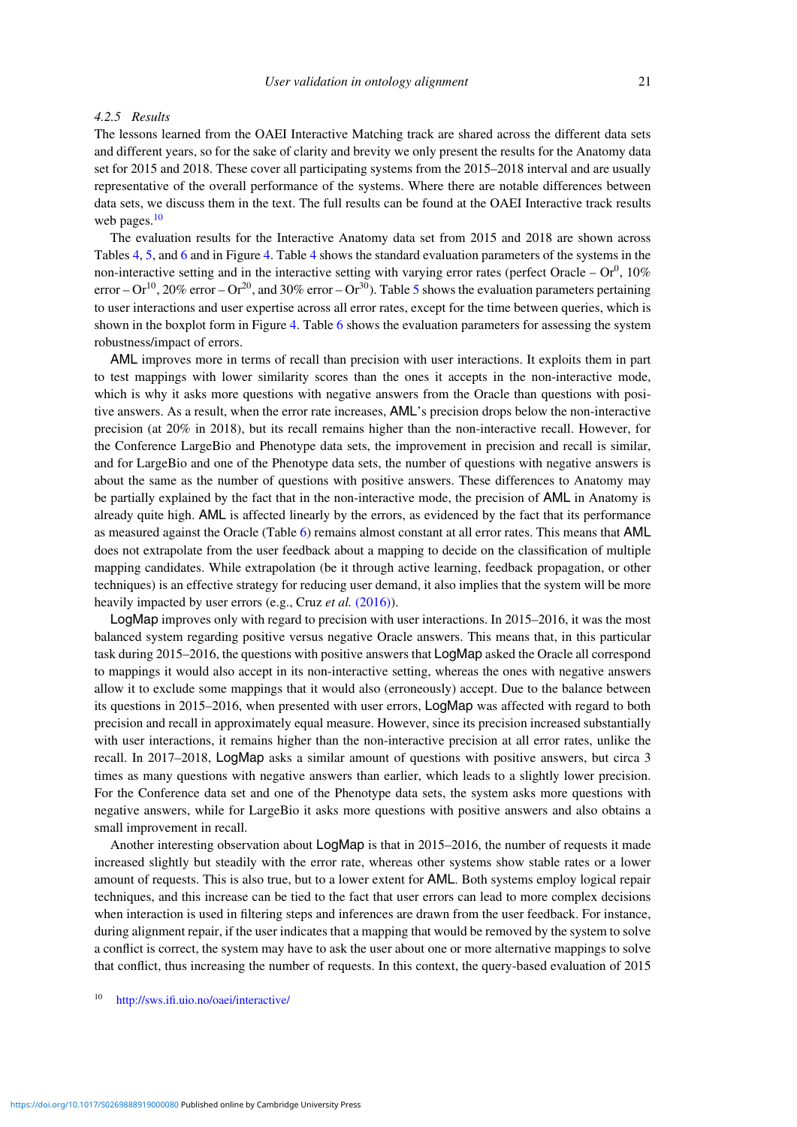# *4.2.5 Results*

The lessons learned from the OAEI Interactive Matching track are shared across the different data sets and different years, so for the sake of clarity and brevity we only present the results for the Anatomy data set for 2015 and 2018. These cover all participating systems from the 2015–2018 interval and are usually representative of the overall performance of the systems. Where there are notable differences between data sets, we discuss them in the text. The full results can be found at the OAEI Interactive track results web pages. $10$ 

The evaluation results for the Interactive Anatomy data set from 2015 and 2018 are shown across Tables [4,](#page-21-0) [5,](#page-22-0) and [6](#page-23-0) and in Figure [4.](#page-24-0) Table [4](#page-21-0) shows the standard evaluation parameters of the systems in the non-interactive setting and in the interactive setting with varying error rates (perfect Oracle –  $\text{Or}^0$ , 10% error –  $Or^{10}$ , 20% error –  $Or^{20}$ , and 30% error –  $Or^{30}$ ). Table [5](#page-22-0) shows the evaluation parameters pertaining to user interactions and user expertise across all error rates, except for the time between queries, which is shown in the boxplot form in Figure [4.](#page-21-0) Table [6](#page-23-0) shows the evaluation parameters for assessing the system robustness/impact of errors.

AML improves more in terms of recall than precision with user interactions. It exploits them in part to test mappings with lower similarity scores than the ones it accepts in the non-interactive mode, which is why it asks more questions with negative answers from the Oracle than questions with positive answers. As a result, when the error rate increases, AML's precision drops below the non-interactive precision (at 20% in 2018), but its recall remains higher than the non-interactive recall. However, for the Conference LargeBio and Phenotype data sets, the improvement in precision and recall is similar, and for LargeBio and one of the Phenotype data sets, the number of questions with negative answers is about the same as the number of questions with positive answers. These differences to Anatomy may be partially explained by the fact that in the non-interactive mode, the precision of AML in Anatomy is already quite high. AML is affected linearly by the errors, as evidenced by the fact that its performance as measured against the Oracle (Table [6\)](#page-23-0) remains almost constant at all error rates. This means that AML does not extrapolate from the user feedback about a mapping to decide on the classification of multiple mapping candidates. While extrapolation (be it through active learning, feedback propagation, or other techniques) is an effective strategy for reducing user demand, it also implies that the system will be more heavily impacted by user errors (e.g., Cruz *et al.* [\(2016\)\)](#page-28-4).

LogMap improves only with regard to precision with user interactions. In 2015–2016, it was the most balanced system regarding positive versus negative Oracle answers. This means that, in this particular task during 2015–2016, the questions with positive answers that LogMap asked the Oracle all correspond to mappings it would also accept in its non-interactive setting, whereas the ones with negative answers allow it to exclude some mappings that it would also (erroneously) accept. Due to the balance between its questions in 2015–2016, when presented with user errors, LogMap was affected with regard to both precision and recall in approximately equal measure. However, since its precision increased substantially with user interactions, it remains higher than the non-interactive precision at all error rates, unlike the recall. In 2017–2018, LogMap asks a similar amount of questions with positive answers, but circa 3 times as many questions with negative answers than earlier, which leads to a slightly lower precision. For the Conference data set and one of the Phenotype data sets, the system asks more questions with negative answers, while for LargeBio it asks more questions with positive answers and also obtains a small improvement in recall.

Another interesting observation about LogMap is that in 2015–2016, the number of requests it made increased slightly but steadily with the error rate, whereas other systems show stable rates or a lower amount of requests. This is also true, but to a lower extent for AML. Both systems employ logical repair techniques, and this increase can be tied to the fact that user errors can lead to more complex decisions when interaction is used in filtering steps and inferences are drawn from the user feedback. For instance, during alignment repair, if the user indicates that a mapping that would be removed by the system to solve a conflict is correct, the system may have to ask the user about one or more alternative mappings to solve that conflict, thus increasing the number of requests. In this context, the query-based evaluation of 2015

<span id="page-20-0"></span><sup>10</sup> <http://sws.ifi.uio.no/oaei/interactive/>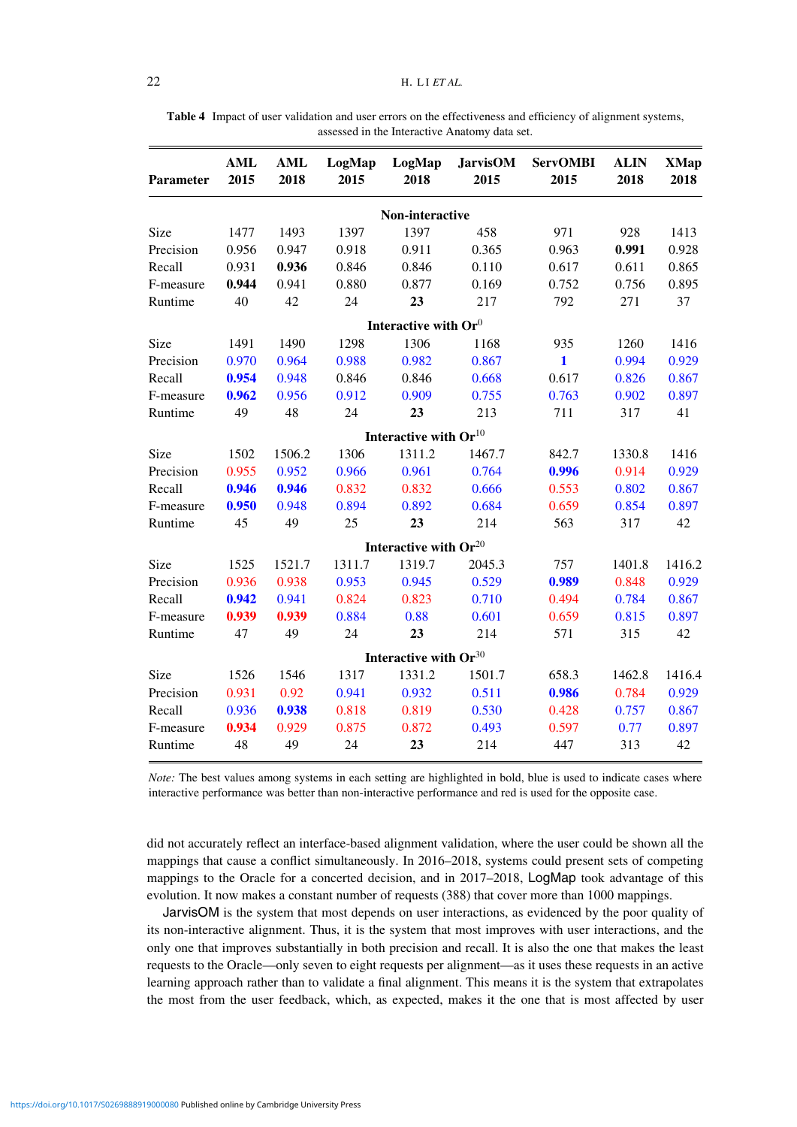| Parameter | <b>AML</b><br>2015 | <b>AML</b><br>2018 | LogMap<br>2015 | LogMap<br>2018                      | <b>JarvisOM</b><br>2015 | <b>ServOMBI</b><br>2015 | <b>ALIN</b><br>2018 | <b>XMap</b><br>2018 |
|-----------|--------------------|--------------------|----------------|-------------------------------------|-------------------------|-------------------------|---------------------|---------------------|
|           |                    |                    |                | Non-interactive                     |                         |                         |                     |                     |
| Size      | 1477               | 1493               | 1397           | 1397                                | 458                     | 971                     | 928                 | 1413                |
| Precision | 0.956              | 0.947              | 0.918          | 0.911                               | 0.365                   | 0.963                   | 0.991               | 0.928               |
| Recall    | 0.931              | 0.936              | 0.846          | 0.846                               | 0.110                   | 0.617                   | 0.611               | 0.865               |
| F-measure | 0.944              | 0.941              | 0.880          | 0.877                               | 0.169                   | 0.752                   | 0.756               | 0.895               |
| Runtime   | 40                 | 42                 | 24             | 23                                  | 217                     | 792                     | 271                 | 37                  |
|           |                    |                    |                | Interactive with $\mathbf{Or}^0$    |                         |                         |                     |                     |
| Size      | 1491               | 1490               | 1298           | 1306                                | 1168                    | 935                     | 1260                | 1416                |
| Precision | 0.970              | 0.964              | 0.988          | 0.982                               | 0.867                   | $\mathbf{1}$            | 0.994               | 0.929               |
| Recall    | 0.954              | 0.948              | 0.846          | 0.846                               | 0.668                   | 0.617                   | 0.826               | 0.867               |
| F-measure | 0.962              | 0.956              | 0.912          | 0.909                               | 0.755                   | 0.763                   | 0.902               | 0.897               |
| Runtime   | 49                 | 48                 | 24             | 23                                  | 213                     | 711                     | 317                 | 41                  |
|           |                    |                    |                | Interactive with $\mathbf{Or}^{10}$ |                         |                         |                     |                     |
| Size      | 1502               | 1506.2             | 1306           | 1311.2                              | 1467.7                  | 842.7                   | 1330.8              | 1416                |
| Precision | 0.955              | 0.952              | 0.966          | 0.961                               | 0.764                   | 0.996                   | 0.914               | 0.929               |
| Recall    | 0.946              | 0.946              | 0.832          | 0.832                               | 0.666                   | 0.553                   | 0.802               | 0.867               |
| F-measure | 0.950              | 0.948              | 0.894          | 0.892                               | 0.684                   | 0.659                   | 0.854               | 0.897               |
| Runtime   | 45                 | 49                 | 25             | 23                                  | 214                     | 563                     | 317                 | 42                  |
|           |                    |                    |                | Interactive with $\mathbf{Or}^{20}$ |                         |                         |                     |                     |
| Size      | 1525               | 1521.7             | 1311.7         | 1319.7                              | 2045.3                  | 757                     | 1401.8              | 1416.2              |
| Precision | 0.936              | 0.938              | 0.953          | 0.945                               | 0.529                   | 0.989                   | 0.848               | 0.929               |
| Recall    | 0.942              | 0.941              | 0.824          | 0.823                               | 0.710                   | 0.494                   | 0.784               | 0.867               |
| F-measure | 0.939              | 0.939              | 0.884          | 0.88                                | 0.601                   | 0.659                   | 0.815               | 0.897               |
| Runtime   | 47                 | 49                 | 24             | 23                                  | 214                     | 571                     | 315                 | 42                  |
|           |                    |                    |                | Interactive with $Or^{30}$          |                         |                         |                     |                     |
| Size      | 1526               | 1546               | 1317           | 1331.2                              | 1501.7                  | 658.3                   | 1462.8              | 1416.4              |
| Precision | 0.931              | 0.92               | 0.941          | 0.932                               | 0.511                   | 0.986                   | 0.784               | 0.929               |
| Recall    | 0.936              | 0.938              | 0.818          | 0.819                               | 0.530                   | 0.428                   | 0.757               | 0.867               |
| F-measure | 0.934              | 0.929              | 0.875          | 0.872                               | 0.493                   | 0.597                   | 0.77                | 0.897               |
| Runtime   | 48                 | 49                 | 24             | 23                                  | 214                     | 447                     | 313                 | 42                  |

<span id="page-21-0"></span>**Table 4** Impact of user validation and user errors on the effectiveness and efficiency of alignment systems, assessed in the Interactive Anatomy data set.

*Note:* The best values among systems in each setting are highlighted in bold, blue is used to indicate cases where interactive performance was better than non-interactive performance and red is used for the opposite case.

did not accurately reflect an interface-based alignment validation, where the user could be shown all the mappings that cause a conflict simultaneously. In 2016–2018, systems could present sets of competing mappings to the Oracle for a concerted decision, and in 2017–2018, LogMap took advantage of this evolution. It now makes a constant number of requests (388) that cover more than 1000 mappings.

JarvisOM is the system that most depends on user interactions, as evidenced by the poor quality of its non-interactive alignment. Thus, it is the system that most improves with user interactions, and the only one that improves substantially in both precision and recall. It is also the one that makes the least requests to the Oracle—only seven to eight requests per alignment—as it uses these requests in an active learning approach rather than to validate a final alignment. This means it is the system that extrapolates the most from the user feedback, which, as expected, makes it the one that is most affected by user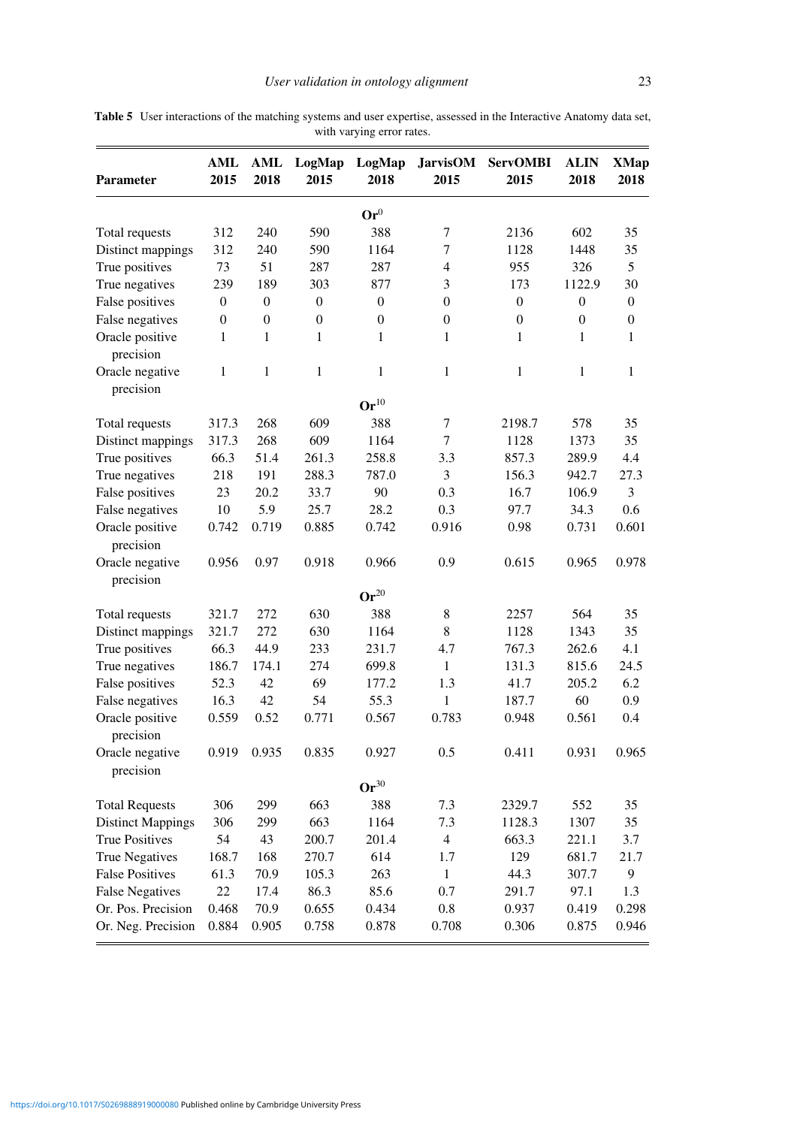| <b>Parameter</b>             | AML<br>2015      | <b>AML</b><br>2018 | LogMap<br>2015   | LogMap<br>2018     | <b>JarvisOM</b><br>2015 | <b>ServOMBI</b><br>2015 | <b>ALIN</b><br>2018 | <b>XMap</b><br>2018 |
|------------------------------|------------------|--------------------|------------------|--------------------|-------------------------|-------------------------|---------------------|---------------------|
|                              |                  |                    |                  | $\mathbf{Or}^0$    |                         |                         |                     |                     |
| Total requests               | 312              | 240                | 590              | 388                | $\tau$                  | 2136                    | 602                 | 35                  |
| Distinct mappings            | 312              | 240                | 590              | 1164               | 7                       | 1128                    | 1448                | 35                  |
| True positives               | 73               | 51                 | 287              | 287                | $\overline{4}$          | 955                     | 326                 | 5                   |
| True negatives               | 239              | 189                | 303              | 877                | 3                       | 173                     | 1122.9              | 30                  |
| False positives              | $\boldsymbol{0}$ | $\boldsymbol{0}$   | $\boldsymbol{0}$ | $\boldsymbol{0}$   | $\boldsymbol{0}$        | $\boldsymbol{0}$        | $\boldsymbol{0}$    | $\boldsymbol{0}$    |
| False negatives              | $\theta$         | $\boldsymbol{0}$   | $\boldsymbol{0}$ | $\boldsymbol{0}$   | $\theta$                | $\boldsymbol{0}$        | $\boldsymbol{0}$    | $\boldsymbol{0}$    |
| Oracle positive<br>precision | 1                | 1                  | 1                | 1                  | $\mathbf{1}$            | 1                       | 1                   | 1                   |
| Oracle negative<br>precision | 1                | 1                  | $\mathbf{1}$     | $\mathbf{1}$       | $\mathbf{1}$            | 1                       | $\mathbf{1}$        | 1                   |
|                              |                  |                    |                  | $\mathbf{Or}^{10}$ |                         |                         |                     |                     |
| Total requests               | 317.3            | 268                | 609              | 388                | $\tau$                  | 2198.7                  | 578                 | 35                  |
| Distinct mappings            | 317.3            | 268                | 609              | 1164               | $\overline{7}$          | 1128                    | 1373                | 35                  |
| True positives               | 66.3             | 51.4               | 261.3            | 258.8              | 3.3                     | 857.3                   | 289.9               | 4.4                 |
| True negatives               | 218              | 191                | 288.3            | 787.0              | 3                       | 156.3                   | 942.7               | 27.3                |
| False positives              | 23               | 20.2               | 33.7             | 90                 | 0.3                     | 16.7                    | 106.9               | 3                   |
| False negatives              | 10               | 5.9                | 25.7             | 28.2               | 0.3                     | 97.7                    | 34.3                | 0.6                 |
| Oracle positive              | 0.742            | 0.719              | 0.885            | 0.742              | 0.916                   | 0.98                    | 0.731               | 0.601               |
| precision                    |                  |                    |                  |                    |                         |                         |                     |                     |
| Oracle negative              | 0.956            | 0.97               | 0.918            | 0.966              | 0.9                     | 0.615                   | 0.965               | 0.978               |
| precision                    |                  |                    |                  |                    |                         |                         |                     |                     |
|                              |                  |                    |                  | $\mathbf{Or}^{20}$ |                         |                         |                     |                     |
| Total requests               | 321.7            | 272                | 630              | 388                | 8                       | 2257                    | 564                 | 35                  |
| Distinct mappings            | 321.7            | 272                | 630              | 1164               | 8                       | 1128                    | 1343                | 35                  |
| True positives               | 66.3             | 44.9               | 233              | 231.7              | 4.7                     | 767.3                   | 262.6               | 4.1                 |
| True negatives               | 186.7            | 174.1              | 274              | 699.8              | $\mathbf{1}$            | 131.3                   | 815.6               | 24.5                |
| False positives              | 52.3             | 42                 | 69               | 177.2              | 1.3                     | 41.7                    | 205.2               | 6.2                 |
| False negatives              | 16.3             | 42                 | 54               | 55.3               | 1                       | 187.7                   | 60                  | 0.9                 |
| Oracle positive<br>precision | 0.559            | 0.52               | 0.771            | 0.567              | 0.783                   | 0.948                   | 0.561               | 0.4                 |
| Oracle negative<br>precision | 0.919            | 0.935              | 0.835            | 0.927              | 0.5                     | 0.411                   | 0.931               | 0.965               |
|                              |                  |                    |                  | $Or^{30}$          |                         |                         |                     |                     |
| <b>Total Requests</b>        | 306              | 299                | 663              | 388                | 7.3                     | 2329.7                  | 552                 | 35                  |
| <b>Distinct Mappings</b>     | 306              | 299                | 663              | 1164               | 7.3                     | 1128.3                  | 1307                | 35                  |
| <b>True Positives</b>        | 54               | 43                 | 200.7            | 201.4              | $\overline{4}$          | 663.3                   | 221.1               | 3.7                 |
| <b>True Negatives</b>        | 168.7            | 168                | 270.7            | 614                | 1.7                     | 129                     | 681.7               | 21.7                |
| <b>False Positives</b>       | 61.3             | 70.9               | 105.3            | 263                | $\mathbf{1}$            | 44.3                    | 307.7               | 9                   |
| <b>False Negatives</b>       | 22               | 17.4               | 86.3             | 85.6               | 0.7                     | 291.7                   | 97.1                | 1.3                 |
| Or. Pos. Precision           | 0.468            | 70.9               | 0.655            | 0.434              | $0.8\,$                 | 0.937                   | 0.419               | 0.298               |
| Or. Neg. Precision           | 0.884            | 0.905              | 0.758            | 0.878              | 0.708                   | 0.306                   | 0.875               | 0.946               |

<span id="page-22-0"></span>**Table 5** User interactions of the matching systems and user expertise, assessed in the Interactive Anatomy data set, with varying error rates.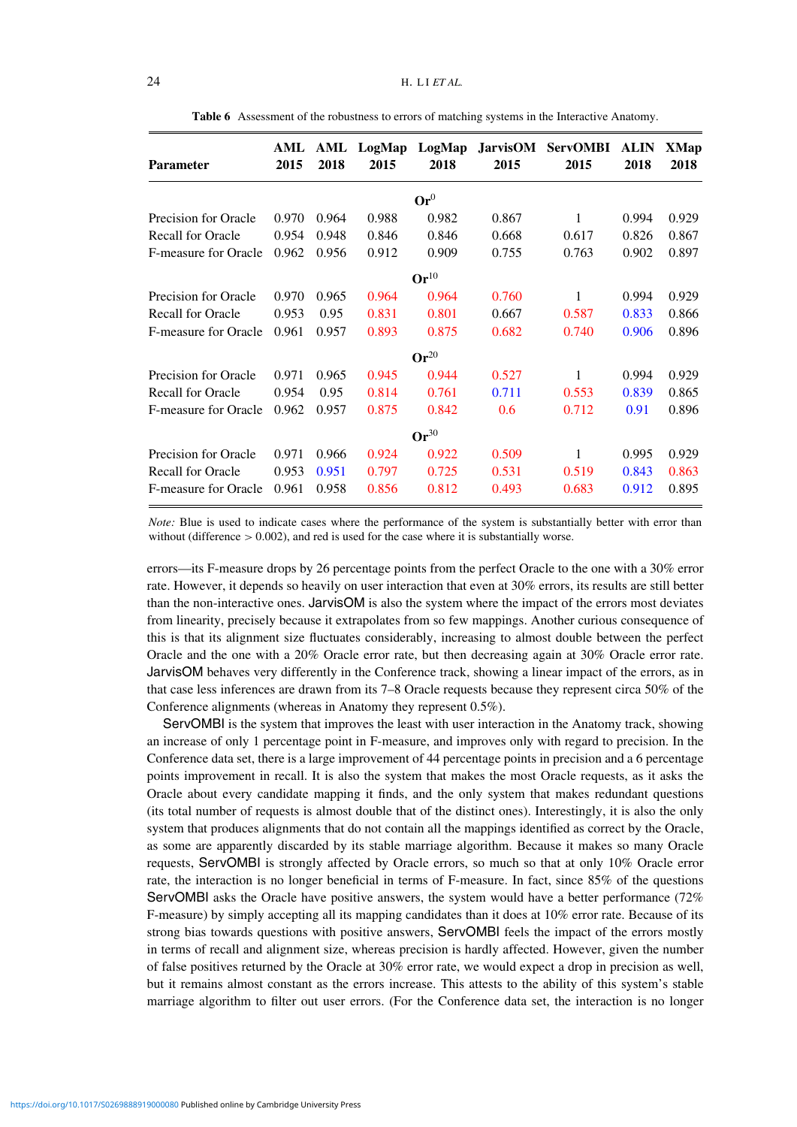<span id="page-23-0"></span>

| <b>Parameter</b>         | AML<br>2015 | AML<br>2018 | LogMap<br>2015 | LogMap<br>2018     | <b>JarvisOM</b><br>2015 | <b>ServOMBI</b><br>2015 | <b>ALIN</b><br>2018 | XMap<br>2018 |
|--------------------------|-------------|-------------|----------------|--------------------|-------------------------|-------------------------|---------------------|--------------|
|                          |             |             |                | $\mathbf{Or}^0$    |                         |                         |                     |              |
| Precision for Oracle     | 0.970       | 0.964       | 0.988          | 0.982              | 0.867                   | 1                       | 0.994               | 0.929        |
| <b>Recall for Oracle</b> | 0.954       | 0.948       | 0.846          | 0.846              | 0.668                   | 0.617                   | 0.826               | 0.867        |
| F-measure for Oracle     | 0.962       | 0.956       | 0.912          | 0.909              | 0.755                   | 0.763                   | 0.902               | 0.897        |
|                          |             |             |                | $\mathbf{Or}^{10}$ |                         |                         |                     |              |
| Precision for Oracle     | 0.970       | 0.965       | 0.964          | 0.964              | 0.760                   | 1                       | 0.994               | 0.929        |
| <b>Recall for Oracle</b> | 0.953       | 0.95        | 0.831          | 0.801              | 0.667                   | 0.587                   | 0.833               | 0.866        |
| F-measure for Oracle     | 0.961       | 0.957       | 0.893          | 0.875              | 0.682                   | 0.740                   | 0.906               | 0.896        |
|                          |             |             |                | $\mathbf{Or}^{20}$ |                         |                         |                     |              |
| Precision for Oracle     | 0.971       | 0.965       | 0.945          | 0.944              | 0.527                   | 1                       | 0.994               | 0.929        |
| <b>Recall for Oracle</b> | 0.954       | 0.95        | 0.814          | 0.761              | 0.711                   | 0.553                   | 0.839               | 0.865        |
| F-measure for Oracle     | 0.962       | 0.957       | 0.875          | 0.842              | 0.6                     | 0.712                   | 0.91                | 0.896        |
|                          |             |             |                | $Or^{30}$          |                         |                         |                     |              |
| Precision for Oracle     | 0.971       | 0.966       | 0.924          | 0.922              | 0.509                   | 1                       | 0.995               | 0.929        |
| <b>Recall for Oracle</b> | 0.953       | 0.951       | 0.797          | 0.725              | 0.531                   | 0.519                   | 0.843               | 0.863        |
| F-measure for Oracle     | 0.961       | 0.958       | 0.856          | 0.812              | 0.493                   | 0.683                   | 0.912               | 0.895        |

**Table 6** Assessment of the robustness to errors of matching systems in the Interactive Anatomy.

*Note:* Blue is used to indicate cases where the performance of the system is substantially better with error than without (difference  $> 0.002$ ), and red is used for the case where it is substantially worse.

errors—its F-measure drops by 26 percentage points from the perfect Oracle to the one with a 30% error rate. However, it depends so heavily on user interaction that even at 30% errors, its results are still better than the non-interactive ones. JarvisOM is also the system where the impact of the errors most deviates from linearity, precisely because it extrapolates from so few mappings. Another curious consequence of this is that its alignment size fluctuates considerably, increasing to almost double between the perfect Oracle and the one with a 20% Oracle error rate, but then decreasing again at 30% Oracle error rate. JarvisOM behaves very differently in the Conference track, showing a linear impact of the errors, as in that case less inferences are drawn from its 7–8 Oracle requests because they represent circa 50% of the Conference alignments (whereas in Anatomy they represent 0.5%).

ServOMBI is the system that improves the least with user interaction in the Anatomy track, showing an increase of only 1 percentage point in F-measure, and improves only with regard to precision. In the Conference data set, there is a large improvement of 44 percentage points in precision and a 6 percentage points improvement in recall. It is also the system that makes the most Oracle requests, as it asks the Oracle about every candidate mapping it finds, and the only system that makes redundant questions (its total number of requests is almost double that of the distinct ones). Interestingly, it is also the only system that produces alignments that do not contain all the mappings identified as correct by the Oracle, as some are apparently discarded by its stable marriage algorithm. Because it makes so many Oracle requests, ServOMBI is strongly affected by Oracle errors, so much so that at only 10% Oracle error rate, the interaction is no longer beneficial in terms of F-measure. In fact, since 85% of the questions ServOMBI asks the Oracle have positive answers, the system would have a better performance (72% F-measure) by simply accepting all its mapping candidates than it does at 10% error rate. Because of its strong bias towards questions with positive answers, ServOMBI feels the impact of the errors mostly in terms of recall and alignment size, whereas precision is hardly affected. However, given the number of false positives returned by the Oracle at 30% error rate, we would expect a drop in precision as well, but it remains almost constant as the errors increase. This attests to the ability of this system's stable marriage algorithm to filter out user errors. (For the Conference data set, the interaction is no longer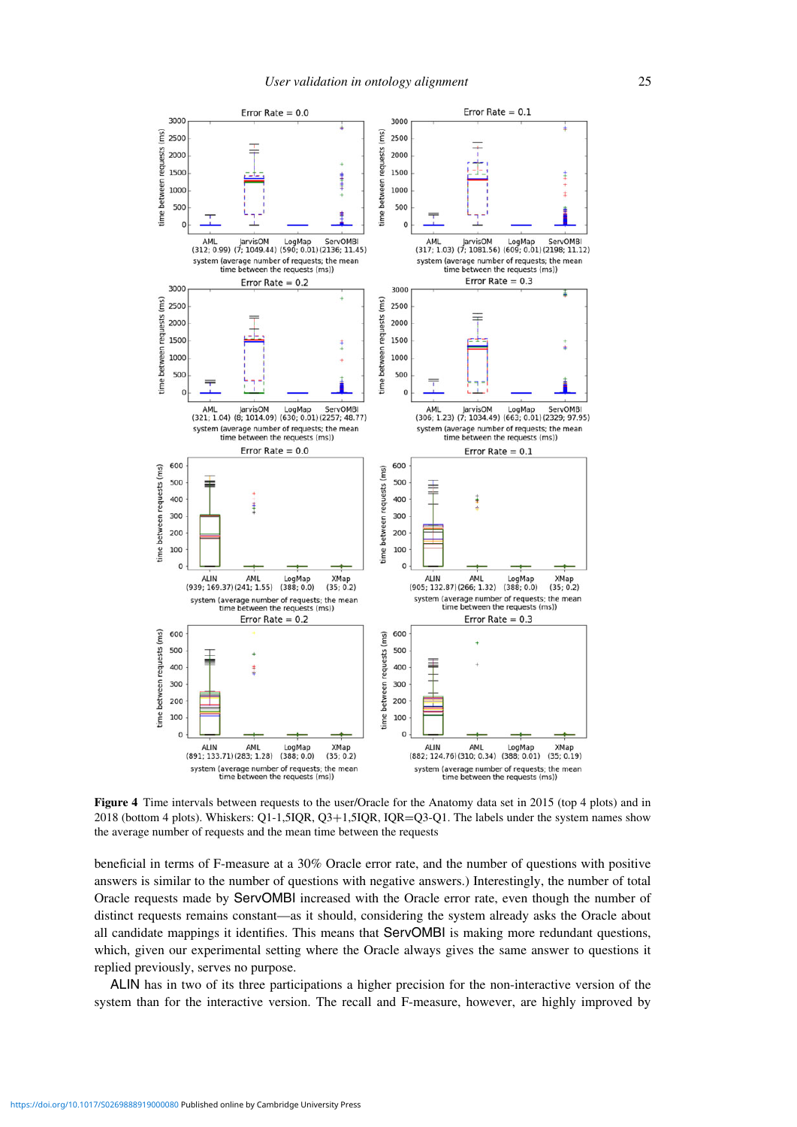<span id="page-24-0"></span>

**Figure 4** Time intervals between requests to the user/Oracle for the Anatomy data set in 2015 (top 4 plots) and in 2018 (bottom 4 plots). Whiskers: Q1-1,5IQR, Q3+1,5IQR, IQR=Q3-Q1. The labels under the system names show the average number of requests and the mean time between the requests

beneficial in terms of F-measure at a 30% Oracle error rate, and the number of questions with positive answers is similar to the number of questions with negative answers.) Interestingly, the number of total Oracle requests made by ServOMBI increased with the Oracle error rate, even though the number of distinct requests remains constant—as it should, considering the system already asks the Oracle about all candidate mappings it identifies. This means that ServOMBI is making more redundant questions, which, given our experimental setting where the Oracle always gives the same answer to questions it replied previously, serves no purpose.

ALIN has in two of its three participations a higher precision for the non-interactive version of the system than for the interactive version. The recall and F-measure, however, are highly improved by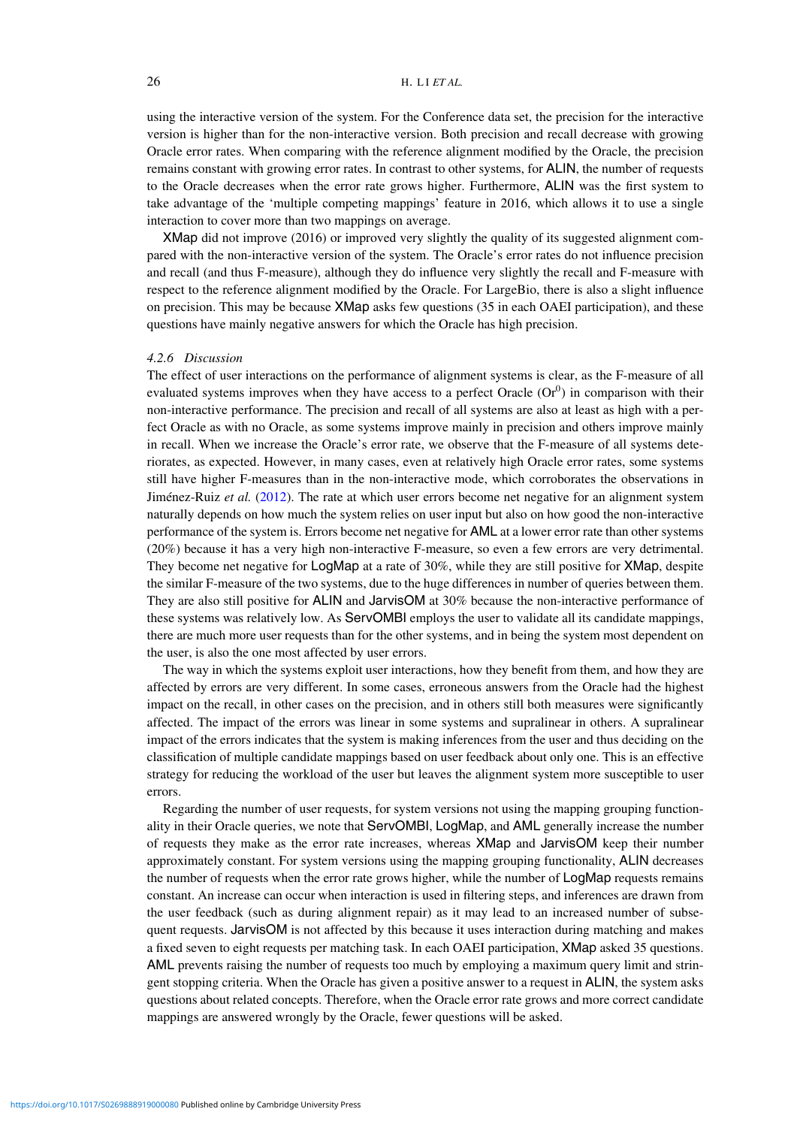using the interactive version of the system. For the Conference data set, the precision for the interactive version is higher than for the non-interactive version. Both precision and recall decrease with growing Oracle error rates. When comparing with the reference alignment modified by the Oracle, the precision remains constant with growing error rates. In contrast to other systems, for ALIN, the number of requests to the Oracle decreases when the error rate grows higher. Furthermore, ALIN was the first system to take advantage of the 'multiple competing mappings' feature in 2016, which allows it to use a single interaction to cover more than two mappings on average.

XMap did not improve (2016) or improved very slightly the quality of its suggested alignment compared with the non-interactive version of the system. The Oracle's error rates do not influence precision and recall (and thus F-measure), although they do influence very slightly the recall and F-measure with respect to the reference alignment modified by the Oracle. For LargeBio, there is also a slight influence on precision. This may be because XMap asks few questions (35 in each OAEI participation), and these questions have mainly negative answers for which the Oracle has high precision.

# *4.2.6 Discussion*

The effect of user interactions on the performance of alignment systems is clear, as the F-measure of all evaluated systems improves when they have access to a perfect Oracle  $(Or^0)$  in comparison with their non-interactive performance. The precision and recall of all systems are also at least as high with a perfect Oracle as with no Oracle, as some systems improve mainly in precision and others improve mainly in recall. When we increase the Oracle's error rate, we observe that the F-measure of all systems deteriorates, as expected. However, in many cases, even at relatively high Oracle error rates, some systems still have higher F-measures than in the non-interactive mode, which corroborates the observations in Jiménez-Ruiz *et al.* [\(2012\)](#page-30-0). The rate at which user errors become net negative for an alignment system naturally depends on how much the system relies on user input but also on how good the non-interactive performance of the system is. Errors become net negative for AML at a lower error rate than other systems (20%) because it has a very high non-interactive F-measure, so even a few errors are very detrimental. They become net negative for LogMap at a rate of 30%, while they are still positive for XMap, despite the similar F-measure of the two systems, due to the huge differences in number of queries between them. They are also still positive for ALIN and JarvisOM at 30% because the non-interactive performance of these systems was relatively low. As ServOMBI employs the user to validate all its candidate mappings, there are much more user requests than for the other systems, and in being the system most dependent on the user, is also the one most affected by user errors.

The way in which the systems exploit user interactions, how they benefit from them, and how they are affected by errors are very different. In some cases, erroneous answers from the Oracle had the highest impact on the recall, in other cases on the precision, and in others still both measures were significantly affected. The impact of the errors was linear in some systems and supralinear in others. A supralinear impact of the errors indicates that the system is making inferences from the user and thus deciding on the classification of multiple candidate mappings based on user feedback about only one. This is an effective strategy for reducing the workload of the user but leaves the alignment system more susceptible to user errors.

Regarding the number of user requests, for system versions not using the mapping grouping functionality in their Oracle queries, we note that ServOMBI, LogMap, and AML generally increase the number of requests they make as the error rate increases, whereas XMap and JarvisOM keep their number approximately constant. For system versions using the mapping grouping functionality, ALIN decreases the number of requests when the error rate grows higher, while the number of LogMap requests remains constant. An increase can occur when interaction is used in filtering steps, and inferences are drawn from the user feedback (such as during alignment repair) as it may lead to an increased number of subsequent requests. JarvisOM is not affected by this because it uses interaction during matching and makes a fixed seven to eight requests per matching task. In each OAEI participation, XMap asked 35 questions. AML prevents raising the number of requests too much by employing a maximum query limit and stringent stopping criteria. When the Oracle has given a positive answer to a request in ALIN, the system asks questions about related concepts. Therefore, when the Oracle error rate grows and more correct candidate mappings are answered wrongly by the Oracle, fewer questions will be asked.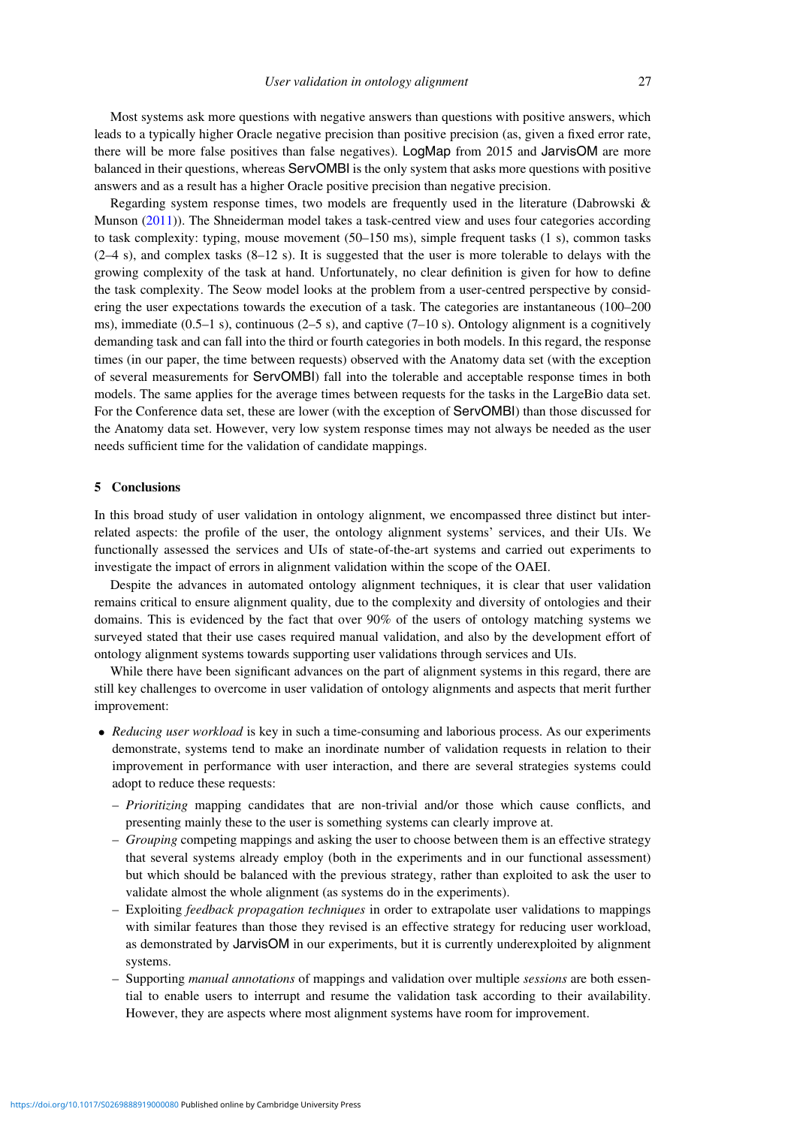Most systems ask more questions with negative answers than questions with positive answers, which leads to a typically higher Oracle negative precision than positive precision (as, given a fixed error rate, there will be more false positives than false negatives). LogMap from 2015 and JarvisOM are more balanced in their questions, whereas ServOMBI is the only system that asks more questions with positive answers and as a result has a higher Oracle positive precision than negative precision.

Regarding system response times, two models are frequently used in the literature (Dabrowski & Munson [\(2011\)](#page-29-25)). The Shneiderman model takes a task-centred view and uses four categories according to task complexity: typing, mouse movement (50–150 ms), simple frequent tasks (1 s), common tasks (2–4 s), and complex tasks (8–12 s). It is suggested that the user is more tolerable to delays with the growing complexity of the task at hand. Unfortunately, no clear definition is given for how to define the task complexity. The Seow model looks at the problem from a user-centred perspective by considering the user expectations towards the execution of a task. The categories are instantaneous (100–200 ms), immediate  $(0.5-1 \text{ s})$ , continuous  $(2-5 \text{ s})$ , and captive  $(7-10 \text{ s})$ . Ontology alignment is a cognitively demanding task and can fall into the third or fourth categories in both models. In this regard, the response times (in our paper, the time between requests) observed with the Anatomy data set (with the exception of several measurements for ServOMBI) fall into the tolerable and acceptable response times in both models. The same applies for the average times between requests for the tasks in the LargeBio data set. For the Conference data set, these are lower (with the exception of ServOMBI) than those discussed for the Anatomy data set. However, very low system response times may not always be needed as the user needs sufficient time for the validation of candidate mappings.

#### **5 Conclusions**

In this broad study of user validation in ontology alignment, we encompassed three distinct but interrelated aspects: the profile of the user, the ontology alignment systems' services, and their UIs. We functionally assessed the services and UIs of state-of-the-art systems and carried out experiments to investigate the impact of errors in alignment validation within the scope of the OAEI.

Despite the advances in automated ontology alignment techniques, it is clear that user validation remains critical to ensure alignment quality, due to the complexity and diversity of ontologies and their domains. This is evidenced by the fact that over 90% of the users of ontology matching systems we surveyed stated that their use cases required manual validation, and also by the development effort of ontology alignment systems towards supporting user validations through services and UIs.

While there have been significant advances on the part of alignment systems in this regard, there are still key challenges to overcome in user validation of ontology alignments and aspects that merit further improvement:

- *Reducing user workload* is key in such a time-consuming and laborious process. As our experiments demonstrate, systems tend to make an inordinate number of validation requests in relation to their improvement in performance with user interaction, and there are several strategies systems could adopt to reduce these requests:
	- *Prioritizing* mapping candidates that are non-trivial and/or those which cause conflicts, and presenting mainly these to the user is something systems can clearly improve at.
	- *Grouping* competing mappings and asking the user to choose between them is an effective strategy that several systems already employ (both in the experiments and in our functional assessment) but which should be balanced with the previous strategy, rather than exploited to ask the user to validate almost the whole alignment (as systems do in the experiments).
	- Exploiting *feedback propagation techniques* in order to extrapolate user validations to mappings with similar features than those they revised is an effective strategy for reducing user workload, as demonstrated by JarvisOM in our experiments, but it is currently underexploited by alignment systems.
	- Supporting *manual annotations* of mappings and validation over multiple *sessions* are both essential to enable users to interrupt and resume the validation task according to their availability. However, they are aspects where most alignment systems have room for improvement.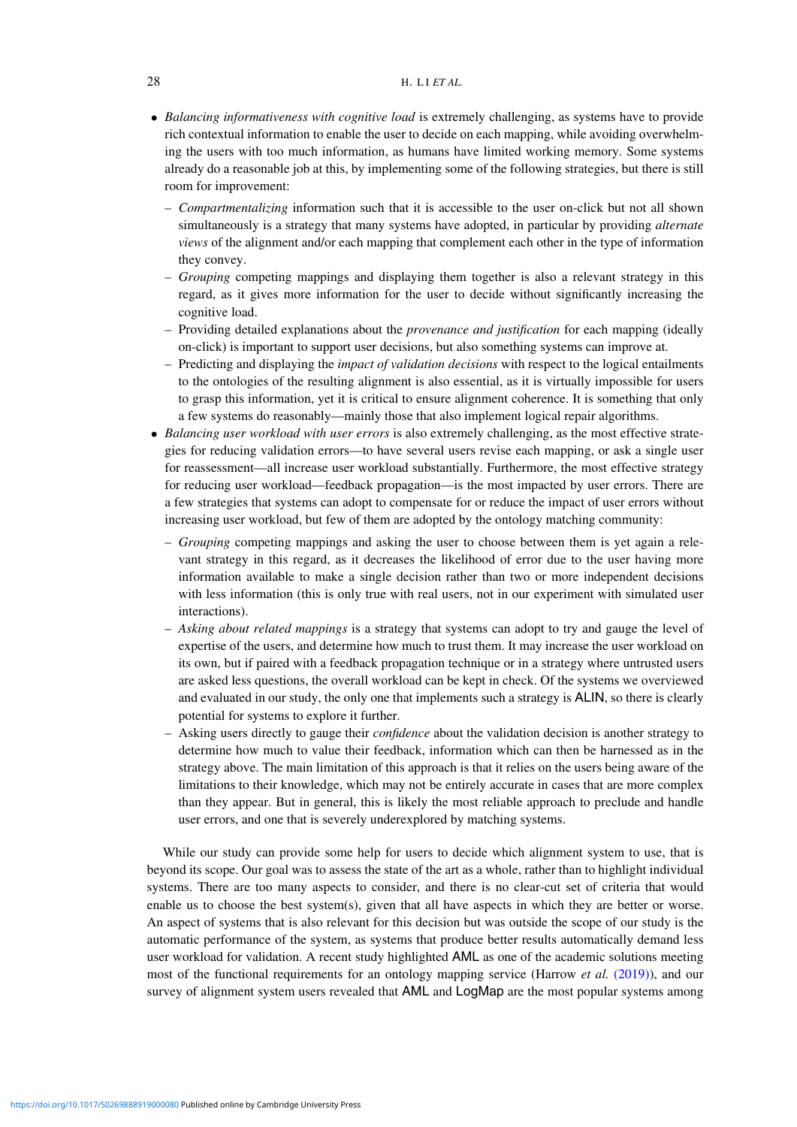- *Balancing informativeness with cognitive load* is extremely challenging, as systems have to provide rich contextual information to enable the user to decide on each mapping, while avoiding overwhelming the users with too much information, as humans have limited working memory. Some systems already do a reasonable job at this, by implementing some of the following strategies, but there is still room for improvement:
	- *Compartmentalizing* information such that it is accessible to the user on-click but not all shown simultaneously is a strategy that many systems have adopted, in particular by providing *alternate views* of the alignment and/or each mapping that complement each other in the type of information they convey.
	- *Grouping* competing mappings and displaying them together is also a relevant strategy in this regard, as it gives more information for the user to decide without significantly increasing the cognitive load.
	- Providing detailed explanations about the *provenance and justification* for each mapping (ideally on-click) is important to support user decisions, but also something systems can improve at.
	- Predicting and displaying the *impact of validation decisions* with respect to the logical entailments to the ontologies of the resulting alignment is also essential, as it is virtually impossible for users to grasp this information, yet it is critical to ensure alignment coherence. It is something that only a few systems do reasonably—mainly those that also implement logical repair algorithms.
- *Balancing user workload with user errors* is also extremely challenging, as the most effective strategies for reducing validation errors—to have several users revise each mapping, or ask a single user for reassessment—all increase user workload substantially. Furthermore, the most effective strategy for reducing user workload—feedback propagation—is the most impacted by user errors. There are a few strategies that systems can adopt to compensate for or reduce the impact of user errors without increasing user workload, but few of them are adopted by the ontology matching community:
	- *Grouping* competing mappings and asking the user to choose between them is yet again a relevant strategy in this regard, as it decreases the likelihood of error due to the user having more information available to make a single decision rather than two or more independent decisions with less information (this is only true with real users, not in our experiment with simulated user interactions).
	- *Asking about related mappings* is a strategy that systems can adopt to try and gauge the level of expertise of the users, and determine how much to trust them. It may increase the user workload on its own, but if paired with a feedback propagation technique or in a strategy where untrusted users are asked less questions, the overall workload can be kept in check. Of the systems we overviewed and evaluated in our study, the only one that implements such a strategy is ALIN, so there is clearly potential for systems to explore it further.
	- Asking users directly to gauge their *confidence* about the validation decision is another strategy to determine how much to value their feedback, information which can then be harnessed as in the strategy above. The main limitation of this approach is that it relies on the users being aware of the limitations to their knowledge, which may not be entirely accurate in cases that are more complex than they appear. But in general, this is likely the most reliable approach to preclude and handle user errors, and one that is severely underexplored by matching systems.

While our study can provide some help for users to decide which alignment system to use, that is beyond its scope. Our goal was to assess the state of the art as a whole, rather than to highlight individual systems. There are too many aspects to consider, and there is no clear-cut set of criteria that would enable us to choose the best system(s), given that all have aspects in which they are better or worse. An aspect of systems that is also relevant for this decision but was outside the scope of our study is the automatic performance of the system, as systems that produce better results automatically demand less user workload for validation. A recent study highlighted AML as one of the academic solutions meeting most of the functional requirements for an ontology mapping service (Harrow *et al.* [\(2019\)\)](#page-30-22), and our survey of alignment system users revealed that AML and LogMap are the most popular systems among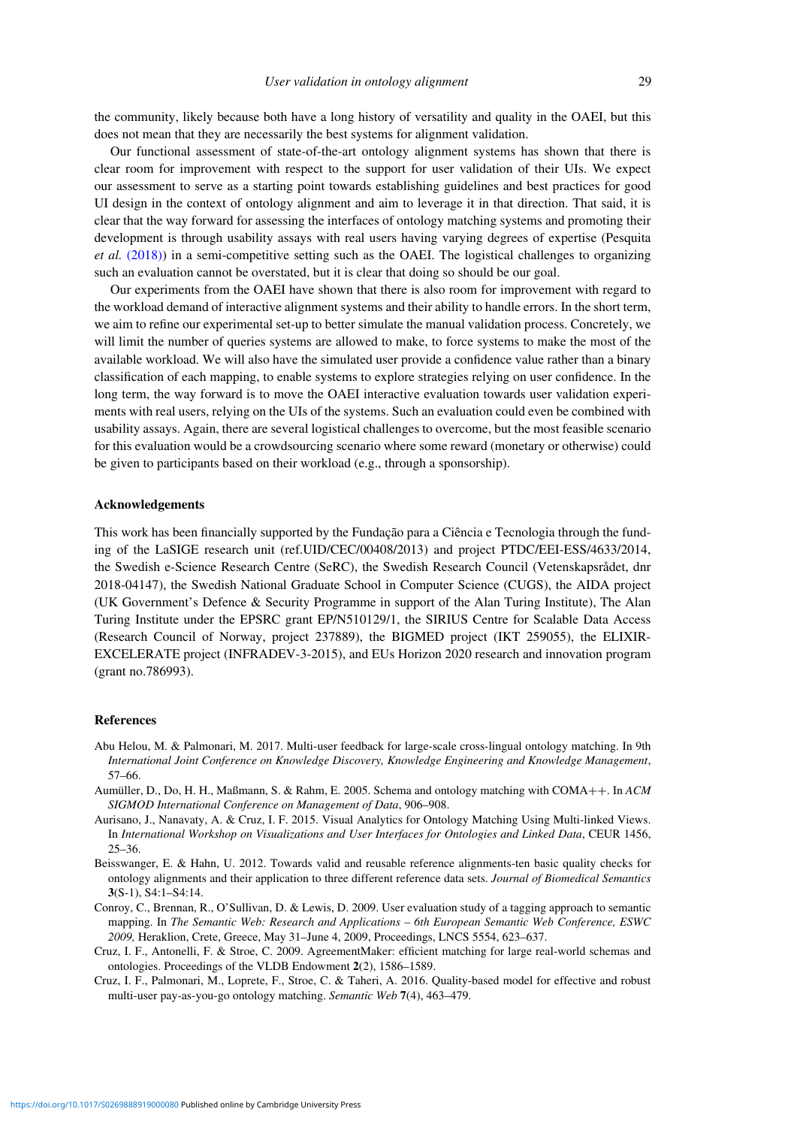the community, likely because both have a long history of versatility and quality in the OAEI, but this does not mean that they are necessarily the best systems for alignment validation.

Our functional assessment of state-of-the-art ontology alignment systems has shown that there is clear room for improvement with respect to the support for user validation of their UIs. We expect our assessment to serve as a starting point towards establishing guidelines and best practices for good UI design in the context of ontology alignment and aim to leverage it in that direction. That said, it is clear that the way forward for assessing the interfaces of ontology matching systems and promoting their development is through usability assays with real users having varying degrees of expertise (Pesquita *et al.* [\(2018\)\)](#page-31-26) in a semi-competitive setting such as the OAEI. The logistical challenges to organizing such an evaluation cannot be overstated, but it is clear that doing so should be our goal.

Our experiments from the OAEI have shown that there is also room for improvement with regard to the workload demand of interactive alignment systems and their ability to handle errors. In the short term, we aim to refine our experimental set-up to better simulate the manual validation process. Concretely, we will limit the number of queries systems are allowed to make, to force systems to make the most of the available workload. We will also have the simulated user provide a confidence value rather than a binary classification of each mapping, to enable systems to explore strategies relying on user confidence. In the long term, the way forward is to move the OAEI interactive evaluation towards user validation experiments with real users, relying on the UIs of the systems. Such an evaluation could even be combined with usability assays. Again, there are several logistical challenges to overcome, but the most feasible scenario for this evaluation would be a crowdsourcing scenario where some reward (monetary or otherwise) could be given to participants based on their workload (e.g., through a sponsorship).

# **Acknowledgements**

This work has been financially supported by the Fundação para a Ciência e Tecnologia through the funding of the LaSIGE research unit (ref.UID/CEC/00408/2013) and project PTDC/EEI-ESS/4633/2014, the Swedish e-Science Research Centre (SeRC), the Swedish Research Council (Vetenskapsrådet, dnr 2018-04147), the Swedish National Graduate School in Computer Science (CUGS), the AIDA project (UK Government's Defence & Security Programme in support of the Alan Turing Institute), The Alan Turing Institute under the EPSRC grant EP/N510129/1, the SIRIUS Centre for Scalable Data Access (Research Council of Norway, project 237889), the BIGMED project (IKT 259055), the ELIXIR-EXCELERATE project (INFRADEV-3-2015), and EUs Horizon 2020 research and innovation program (grant no.786993).

#### **References**

- <span id="page-28-3"></span>Abu Helou, M. & Palmonari, M. 2017. Multi-user feedback for large-scale cross-lingual ontology matching. In 9th *International Joint Conference on Knowledge Discovery, Knowledge Engineering and Knowledge Management*, 57–66.
- <span id="page-28-6"></span>Aumüller, D., Do, H. H., Maßmann, S. & Rahm, E. 2005. Schema and ontology matching with COMA++. In *ACM SIGMOD International Conference on Management of Data*, 906–908.
- <span id="page-28-5"></span>Aurisano, J., Nanavaty, A. & Cruz, I. F. 2015. Visual Analytics for Ontology Matching Using Multi-linked Views. In *International Workshop on Visualizations and User Interfaces for Ontologies and Linked Data*, CEUR 1456, 25–36.
- <span id="page-28-0"></span>Beisswanger, E. & Hahn, U. 2012. Towards valid and reusable reference alignments-ten basic quality checks for ontology alignments and their application to three different reference data sets. *Journal of Biomedical Semantics* **3**(S-1), S4:1–S4:14.
- <span id="page-28-1"></span>Conroy, C., Brennan, R., O'Sullivan, D. & Lewis, D. 2009. User evaluation study of a tagging approach to semantic mapping. In *The Semantic Web: Research and Applications – 6th European Semantic Web Conference, ESWC 2009,* Heraklion, Crete, Greece, May 31–June 4, 2009, Proceedings, LNCS 5554, 623–637.
- <span id="page-28-2"></span>Cruz, I. F., Antonelli, F. & Stroe, C. 2009. AgreementMaker: efficient matching for large real-world schemas and ontologies. Proceedings of the VLDB Endowment **2**(2), 1586–1589.
- <span id="page-28-4"></span>Cruz, I. F., Palmonari, M., Loprete, F., Stroe, C. & Taheri, A. 2016. Quality-based model for effective and robust multi-user pay-as-you-go ontology matching. *Semantic Web* **7**(4), 463–479.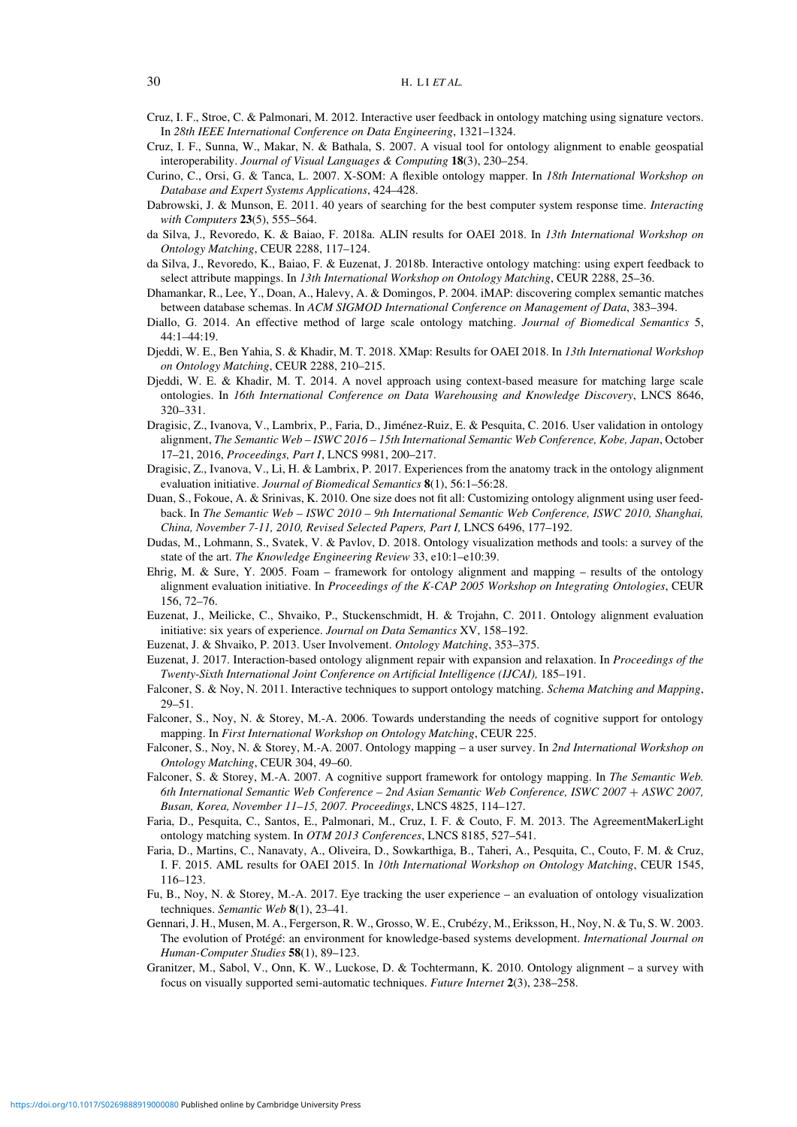- <span id="page-29-11"></span>Cruz, I. F., Stroe, C. & Palmonari, M. 2012. Interactive user feedback in ontology matching using signature vectors. In *28th IEEE International Conference on Data Engineering*, 1321–1324.
- <span id="page-29-22"></span>Cruz, I. F., Sunna, W., Makar, N. & Bathala, S. 2007. A visual tool for ontology alignment to enable geospatial interoperability. *Journal of Visual Languages & Computing* **18**(3), 230–254.
- <span id="page-29-13"></span>Curino, C., Orsi, G. & Tanca, L. 2007. X-SOM: A flexible ontology mapper. In *18th International Workshop on Database and Expert Systems Applications*, 424–428.
- <span id="page-29-25"></span>Dabrowski, J. & Munson, E. 2011. 40 years of searching for the best computer system response time. *Interacting with Computers* **23**(5), 555–564.
- <span id="page-29-10"></span>da Silva, J., Revoredo, K. & Baiao, F. 2018a. ALIN results for OAEI 2018. In *13th International Workshop on Ontology Matching*, CEUR 2288, 117–124.
- da Silva, J., Revoredo, K., Baiao, F. & Euzenat, J. 2018b. Interactive ontology matching: using expert feedback to select attribute mappings. In *13th International Workshop on Ontology Matching*, CEUR 2288, 25–36.
- <span id="page-29-19"></span>Dhamankar, R., Lee, Y., Doan, A., Halevy, A. & Domingos, P. 2004. iMAP: discovering complex semantic matches between database schemas. In *ACM SIGMOD International Conference on Management of Data*, 383–394.
- <span id="page-29-14"></span>Diallo, G. 2014. An effective method of large scale ontology matching. *Journal of Biomedical Semantics* 5, 44:1–44:19.
- <span id="page-29-24"></span>Djeddi, W. E., Ben Yahia, S. & Khadir, M. T. 2018. XMap: Results for OAEI 2018. In *13th International Workshop on Ontology Matching*, CEUR 2288, 210–215.
- <span id="page-29-12"></span>Djeddi, W. E. & Khadir, M. T. 2014. A novel approach using context-based measure for matching large scale ontologies. In *16th International Conference on Data Warehousing and Knowledge Discovery*, LNCS 8646, 320–331.
- <span id="page-29-1"></span>Dragisic, Z., Ivanova, V., Lambrix, P., Faria, D., Jiménez-Ruiz, E. & Pesquita, C. 2016. User validation in ontology alignment, *The Semantic Web – ISWC 2016 – 15th International Semantic Web Conference, Kobe, Japan*, October 17–21, 2016, *Proceedings, Part I*, LNCS 9981, 200–217.
- <span id="page-29-3"></span>Dragisic, Z., Ivanova, V., Li, H. & Lambrix, P. 2017. Experiences from the anatomy track in the ontology alignment evaluation initiative. *Journal of Biomedical Semantics* **8**(1), 56:1–56:28.
- <span id="page-29-9"></span>Duan, S., Fokoue, A. & Srinivas, K. 2010. One size does not fit all: Customizing ontology alignment using user feedback. In *The Semantic Web – ISWC 2010 – 9th International Semantic Web Conference, ISWC 2010, Shanghai, China, November 7-11, 2010, Revised Selected Papers, Part I,* LNCS 6496, 177–192.
- <span id="page-29-16"></span>Dudas, M., Lohmann, S., Svatek, V. & Pavlov, D. 2018. Ontology visualization methods and tools: a survey of the state of the art. *The Knowledge Engineering Review* 33, e10:1–e10:39.
- <span id="page-29-23"></span>Ehrig, M. & Sure, Y. 2005. Foam – framework for ontology alignment and mapping – results of the ontology alignment evaluation initiative. In *Proceedings of the K-CAP 2005 Workshop on Integrating Ontologies*, CEUR 156, 72–76.
- <span id="page-29-2"></span>Euzenat, J., Meilicke, C., Shvaiko, P., Stuckenschmidt, H. & Trojahn, C. 2011. Ontology alignment evaluation initiative: six years of experience. *Journal on Data Semantics* XV, 158–192.
- <span id="page-29-18"></span>Euzenat, J. & Shvaiko, P. 2013. User Involvement. *Ontology Matching*, 353–375.
- <span id="page-29-20"></span>Euzenat, J. 2017. Interaction-based ontology alignment repair with expansion and relaxation. In *Proceedings of the Twenty-Sixth International Joint Conference on Artificial Intelligence (IJCAI),* 185–191.
- <span id="page-29-5"></span>Falconer, S. & Noy, N. 2011. Interactive techniques to support ontology matching. *Schema Matching and Mapping*, 29–51.
- <span id="page-29-7"></span>Falconer, S., Noy, N. & Storey, M.-A. 2006. Towards understanding the needs of cognitive support for ontology mapping. In *First International Workshop on Ontology Matching*, CEUR 225.
- <span id="page-29-21"></span>Falconer, S., Noy, N. & Storey, M.-A. 2007. Ontology mapping – a user survey. In *2nd International Workshop on Ontology Matching*, CEUR 304, 49–60.
- <span id="page-29-4"></span>Falconer, S. & Storey, M.-A. 2007. A cognitive support framework for ontology mapping. In *The Semantic Web. 6th International Semantic Web Conference – 2nd Asian Semantic Web Conference, ISWC 2007* + *ASWC 2007, Busan, Korea, November 11–15, 2007. Proceedings*, LNCS 4825, 114–127.
- <span id="page-29-6"></span>Faria, D., Pesquita, C., Santos, E., Palmonari, M., Cruz, I. F. & Couto, F. M. 2013. The AgreementMakerLight ontology matching system. In *OTM 2013 Conferences*, LNCS 8185, 527–541.
- <span id="page-29-15"></span>Faria, D., Martins, C., Nanavaty, A., Oliveira, D., Sowkarthiga, B., Taheri, A., Pesquita, C., Couto, F. M. & Cruz, I. F. 2015. AML results for OAEI 2015. In *10th International Workshop on Ontology Matching*, CEUR 1545, 116–123.
- <span id="page-29-17"></span>Fu, B., Noy, N. & Storey, M.-A. 2017. Eye tracking the user experience – an evaluation of ontology visualization techniques. *Semantic Web* **8**(1), 23–41.
- <span id="page-29-8"></span>Gennari, J. H., Musen, M. A., Fergerson, R. W., Grosso, W. E., Crubézy, M., Eriksson, H., Noy, N. & Tu, S. W. 2003. The evolution of Protégé: an environment for knowledge-based systems development. *International Journal on Human-Computer Studies* **58**(1), 89–123.
- <span id="page-29-0"></span>Granitzer, M., Sabol, V., Onn, K. W., Luckose, D. & Tochtermann, K. 2010. Ontology alignment – a survey with focus on visually supported semi-automatic techniques. *Future Internet* **2**(3), 238–258.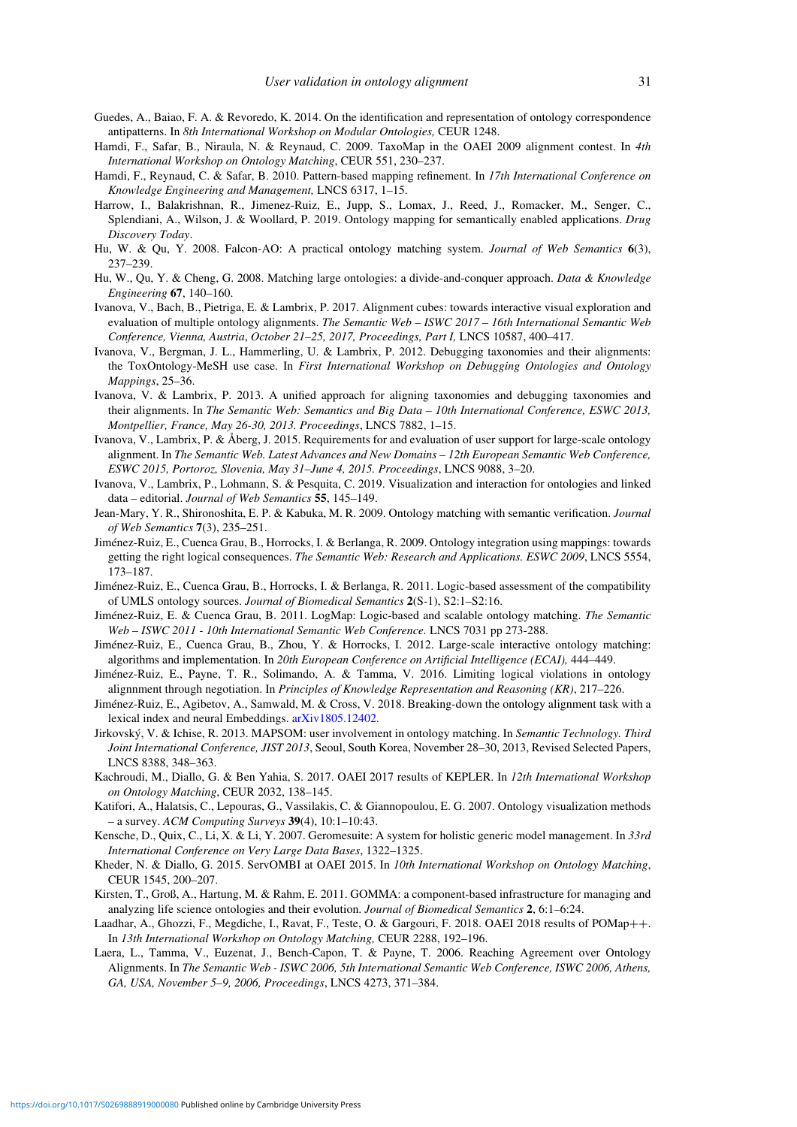- <span id="page-30-13"></span>Guedes, A., Baiao, F. A. & Revoredo, K. 2014. On the identification and representation of ontology correspondence antipatterns. In *8th International Workshop on Modular Ontologies,* CEUR 1248.
- <span id="page-30-5"></span>Hamdi, F., Safar, B., Niraula, N. & Reynaud, C. 2009. TaxoMap in the OAEI 2009 alignment contest. In *4th International Workshop on Ontology Matching*, CEUR 551, 230–237.
- Hamdi, F., Reynaud, C. & Safar, B. 2010. Pattern-based mapping refinement. In *17th International Conference on Knowledge Engineering and Management,* LNCS 6317, 1–15.
- <span id="page-30-22"></span>Harrow, I., Balakrishnan, R., Jimenez-Ruiz, E., Jupp, S., Lomax, J., Reed, J., Romacker, M., Senger, C., Splendiani, A., Wilson, J. & Woollard, P. 2019. Ontology mapping for semantically enabled applications. *Drug Discovery Today*.
- <span id="page-30-3"></span>Hu, W. & Qu, Y. 2008. Falcon-AO: A practical ontology matching system. *Journal of Web Semantics* **6**(3), 237–239.
- <span id="page-30-4"></span>Hu, W., Qu, Y. & Cheng, G. 2008. Matching large ontologies: a divide-and-conquer approach. *Data & Knowledge Engineering* **67**, 140–160.
- <span id="page-30-11"></span>Ivanova, V., Bach, B., Pietriga, E. & Lambrix, P. 2017. Alignment cubes: towards interactive visual exploration and evaluation of multiple ontology alignments. *The Semantic Web – ISWC 2017 – 16th International Semantic Web Conference, Vienna, Austria*, *October 21–25, 2017, Proceedings, Part I,* LNCS 10587, 400–417.
- Ivanova, V., Bergman, J. L., Hammerling, U. & Lambrix, P. 2012. Debugging taxonomies and their alignments: the ToxOntology-MeSH use case. In *First International Workshop on Debugging Ontologies and Ontology Mappings*, 25–36.
- <span id="page-30-12"></span>Ivanova, V. & Lambrix, P. 2013. A unified approach for aligning taxonomies and debugging taxonomies and their alignments. In *The Semantic Web: Semantics and Big Data – 10th International Conference, ESWC 2013, Montpellier, France, May 26-30, 2013. Proceedings*, LNCS 7882, 1–15.
- <span id="page-30-2"></span>Ivanova, V., Lambrix, P. & Åberg, J. 2015. Requirements for and evaluation of user support for large-scale ontology alignment. In *The Semantic Web. Latest Advances and New Domains – 12th European Semantic Web Conference, ESWC 2015, Portoroz, Slovenia, May 31–June 4, 2015. Proceedings*, LNCS 9088, 3–20.
- <span id="page-30-1"></span>Ivanova, V., Lambrix, P., Lohmann, S. & Pesquita, C. 2019. Visualization and interaction for ontologies and linked data – editorial. *Journal of Web Semantics* **55**, 145–149.
- <span id="page-30-16"></span>Jean-Mary, Y. R., Shironoshita, E. P. & Kabuka, M. R. 2009. Ontology matching with semantic verification. *Journal of Web Semantics* **7**(3), 235–251.
- <span id="page-30-17"></span>Jiménez-Ruiz, E., Cuenca Grau, B., Horrocks, I. & Berlanga, R. 2009. Ontology integration using mappings: towards getting the right logical consequences. *The Semantic Web: Research and Applications. ESWC 2009*, LNCS 5554, 173–187.
- <span id="page-30-10"></span>Jiménez-Ruiz, E., Cuenca Grau, B., Horrocks, I. & Berlanga, R. 2011. Logic-based assessment of the compatibility of UMLS ontology sources. *Journal of Biomedical Semantics* **2**(S-1), S2:1–S2:16.
- Jiménez-Ruiz, E. & Cuenca Grau, B. 2011. LogMap: Logic-based and scalable ontology matching. *The Semantic Web – ISWC 2011 - 10th International Semantic Web Conference.* LNCS 7031 pp 273-288.
- <span id="page-30-0"></span>Jiménez-Ruiz, E., Cuenca Grau, B., Zhou, Y. & Horrocks, I. 2012. Large-scale interactive ontology matching: algorithms and implementation. In *20th European Conference on Artificial Intelligence (ECAI),* 444–449.
- <span id="page-30-20"></span>Jiménez-Ruiz, E., Payne, T. R., Solimando, A. & Tamma, V. 2016. Limiting logical violations in ontology alignnment through negotiation. In *Principles of Knowledge Representation and Reasoning (KR)*, 217–226.
- <span id="page-30-9"></span>Jiménez-Ruiz, E., Agibetov, A., Samwald, M. & Cross, V. 2018. Breaking-down the ontology alignment task with a lexical index and neural Embeddings. [arXiv1805.12402.](https://arxiv.org/abs/arXiv1805.12402.)
- <span id="page-30-14"></span>Jirkovský, V. & Ichise, R. 2013. MAPSOM: user involvement in ontology matching. In *Semantic Technology. Third Joint International Conference, JIST 2013*, Seoul, South Korea, November 28–30, 2013, Revised Selected Papers, LNCS 8388, 348–363.
- <span id="page-30-7"></span>Kachroudi, M., Diallo, G. & Ben Yahia, S. 2017. OAEI 2017 results of KEPLER. In *12th International Workshop on Ontology Matching*, CEUR 2032, 138–145.
- <span id="page-30-18"></span>Katifori, A., Halatsis, C., Lepouras, G., Vassilakis, C. & Giannopoulou, E. G. 2007. Ontology visualization methods – a survey. *ACM Computing Surveys* **39**(4), 10:1–10:43.
- <span id="page-30-15"></span>Kensche, D., Quix, C., Li, X. & Li, Y. 2007. Geromesuite: A system for holistic generic model management. In *33rd International Conference on Very Large Data Bases*, 1322–1325.
- <span id="page-30-21"></span>Kheder, N. & Diallo, G. 2015. ServOMBI at OAEI 2015. In *10th International Workshop on Ontology Matching*, CEUR 1545, 200–207.
- <span id="page-30-6"></span>Kirsten, T., Groß, A., Hartung, M. & Rahm, E. 2011. GOMMA: a component-based infrastructure for managing and analyzing life science ontologies and their evolution. *Journal of Biomedical Semantics* **2**, 6:1–6:24.
- <span id="page-30-8"></span>Laadhar, A., Ghozzi, F., Megdiche, I., Ravat, F., Teste, O. & Gargouri, F. 2018. OAEI 2018 results of POMap++. In *13th International Workshop on Ontology Matching,* CEUR 2288, 192–196.
- <span id="page-30-19"></span>Laera, L., Tamma, V., Euzenat, J., Bench-Capon, T. & Payne, T. 2006. Reaching Agreement over Ontology Alignments. In *The Semantic Web - ISWC 2006, 5th International Semantic Web Conference, ISWC 2006, Athens, GA, USA, November 5–9, 2006, Proceedings*, LNCS 4273, 371–384.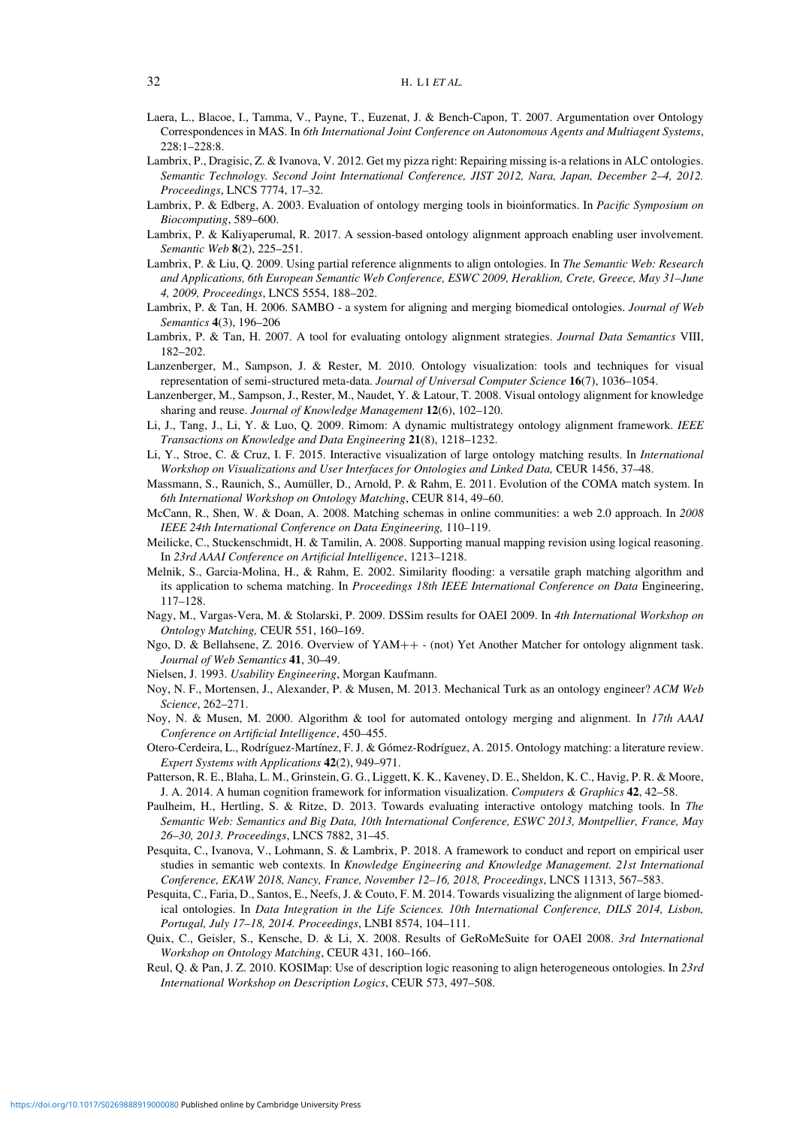- <span id="page-31-20"></span>Laera, L., Blacoe, I., Tamma, V., Payne, T., Euzenat, J. & Bench-Capon, T. 2007. Argumentation over Ontology Correspondences in MAS. In *6th International Joint Conference on Autonomous Agents and Multiagent Systems*,  $228.1 - 228.8$
- <span id="page-31-25"></span>Lambrix, P., Dragisic, Z. & Ivanova, V. 2012. Get my pizza right: Repairing missing is-a relations in ALC ontologies. *Semantic Technology. Second Joint International Conference, JIST 2012, Nara, Japan, December 2–4, 2012. Proceedings*, LNCS 7774, 17–32.
- <span id="page-31-1"></span>Lambrix, P. & Edberg, A. 2003. Evaluation of ontology merging tools in bioinformatics. In *Pacific Symposium on Biocomputing*, 589–600.
- <span id="page-31-3"></span>Lambrix, P. & Kaliyaperumal, R. 2017. A session-based ontology alignment approach enabling user involvement. *Semantic Web* **8**(2), 225–251.
- <span id="page-31-9"></span>Lambrix, P. & Liu, Q. 2009. Using partial reference alignments to align ontologies. In *The Semantic Web: Research and Applications, 6th European Semantic Web Conference, ESWC 2009, Heraklion, Crete, Greece, May 31–June 4, 2009, Proceedings*, LNCS 5554, 188–202.
- <span id="page-31-11"></span>Lambrix, P. & Tan, H. 2006. SAMBO - a system for aligning and merging biomedical ontologies. *Journal of Web Semantics* **4**(3), 196–206
- <span id="page-31-17"></span>Lambrix, P. & Tan, H. 2007. A tool for evaluating ontology alignment strategies. *Journal Data Semantics* VIII, 182–202.
- <span id="page-31-23"></span>Lanzenberger, M., Sampson, J. & Rester, M. 2010. Ontology visualization: tools and techniques for visual representation of semi-structured meta-data. *Journal of Universal Computer Science* **16**(7), 1036–1054.
- <span id="page-31-18"></span>Lanzenberger, M., Sampson, J., Rester, M., Naudet, Y. & Latour, T. 2008. Visual ontology alignment for knowledge sharing and reuse. *Journal of Knowledge Management* **12**(6), 102–120.
- <span id="page-31-22"></span>Li, J., Tang, J., Li, Y. & Luo, Q. 2009. Rimom: A dynamic multistrategy ontology alignment framework. *IEEE Transactions on Knowledge and Data Engineering* **21**(8), 1218–1232.
- <span id="page-31-12"></span>Li, Y., Stroe, C. & Cruz, I. F. 2015. Interactive visualization of large ontology matching results. In *International Workshop on Visualizations and User Interfaces for Ontologies and Linked Data,* CEUR 1456, 37–48.
- <span id="page-31-24"></span>Massmann, S., Raunich, S., Aumüller, D., Arnold, P. & Rahm, E. 2011. Evolution of the COMA match system. In *6th International Workshop on Ontology Matching*, CEUR 814, 49–60.
- <span id="page-31-7"></span>McCann, R., Shen, W. & Doan, A. 2008. Matching schemas in online communities: a web 2.0 approach. In *2008 IEEE 24th International Conference on Data Engineering,* 110–119.
- <span id="page-31-15"></span>Meilicke, C., Stuckenschmidt, H. & Tamilin, A. 2008. Supporting manual mapping revision using logical reasoning. In *23rd AAAI Conference on Artificial Intelligence*, 1213–1218.
- <span id="page-31-4"></span>Melnik, S., Garcia-Molina, H., & Rahm, E. 2002. Similarity flooding: a versatile graph matching algorithm and its application to schema matching. In *Proceedings 18th IEEE International Conference on Data* Engineering, 117–128.
- <span id="page-31-2"></span>Nagy, M., Vargas-Vera, M. & Stolarski, P. 2009. DSSim results for OAEI 2009. In *4th International Workshop on Ontology Matching,* CEUR 551, 160–169.
- <span id="page-31-13"></span>Ngo, D. & Bellahsene, Z. 2016. Overview of YAM++ - (not) Yet Another Matcher for ontology alignment task. *Journal of Web Semantics* **41**, 30–49.
- <span id="page-31-6"></span>Nielsen, J. 1993. *Usability Engineering*, Morgan Kaufmann.
- <span id="page-31-5"></span>Noy, N. F., Mortensen, J., Alexander, P. & Musen, M. 2013. Mechanical Turk as an ontology engineer? *ACM Web Science*, 262–271.
- <span id="page-31-10"></span>Noy, N. & Musen, M. 2000. Algorithm & tool for automated ontology merging and alignment. In *17th AAAI Conference on Artificial Intelligence*, 450–455.
- <span id="page-31-8"></span>Otero-Cerdeira, L., Rodríguez-Martínez, F. J. & Gómez-Rodríguez, A. 2015. Ontology matching: a literature review. *Expert Systems with Applications* **42**(2), 949–971.
- <span id="page-31-16"></span>Patterson, R. E., Blaha, L. M., Grinstein, G. G., Liggett, K. K., Kaveney, D. E., Sheldon, K. C., Havig, P. R. & Moore, J. A. 2014. A human cognition framework for information visualization. *Computers & Graphics* **42**, 42–58.
- <span id="page-31-0"></span>Paulheim, H., Hertling, S. & Ritze, D. 2013. Towards evaluating interactive ontology matching tools. In *The Semantic Web: Semantics and Big Data, 10th International Conference, ESWC 2013, Montpellier, France, May 26–30, 2013. Proceedings*, LNCS 7882, 31–45.
- <span id="page-31-26"></span>Pesquita, C., Ivanova, V., Lohmann, S. & Lambrix, P. 2018. A framework to conduct and report on empirical user studies in semantic web contexts. In *Knowledge Engineering and Knowledge Management. 21st International Conference, EKAW 2018, Nancy, France, November 12–16, 2018, Proceedings*, LNCS 11313, 567–583.
- <span id="page-31-21"></span>Pesquita, C., Faria, D., Santos, E., Neefs, J. & Couto, F. M. 2014. Towards visualizing the alignment of large biomedical ontologies. In *Data Integration in the Life Sciences. 10th International Conference, DILS 2014, Lisbon, Portugal, July 17–18, 2014. Proceedings*, LNBI 8574, 104–111.
- <span id="page-31-19"></span>Quix, C., Geisler, S., Kensche, D. & Li, X. 2008. Results of GeRoMeSuite for OAEI 2008. *3rd International Workshop on Ontology Matching*, CEUR 431, 160–166.
- <span id="page-31-14"></span>Reul, Q. & Pan, J. Z. 2010. KOSIMap: Use of description logic reasoning to align heterogeneous ontologies. In *23rd International Workshop on Description Logics*, CEUR 573, 497–508.